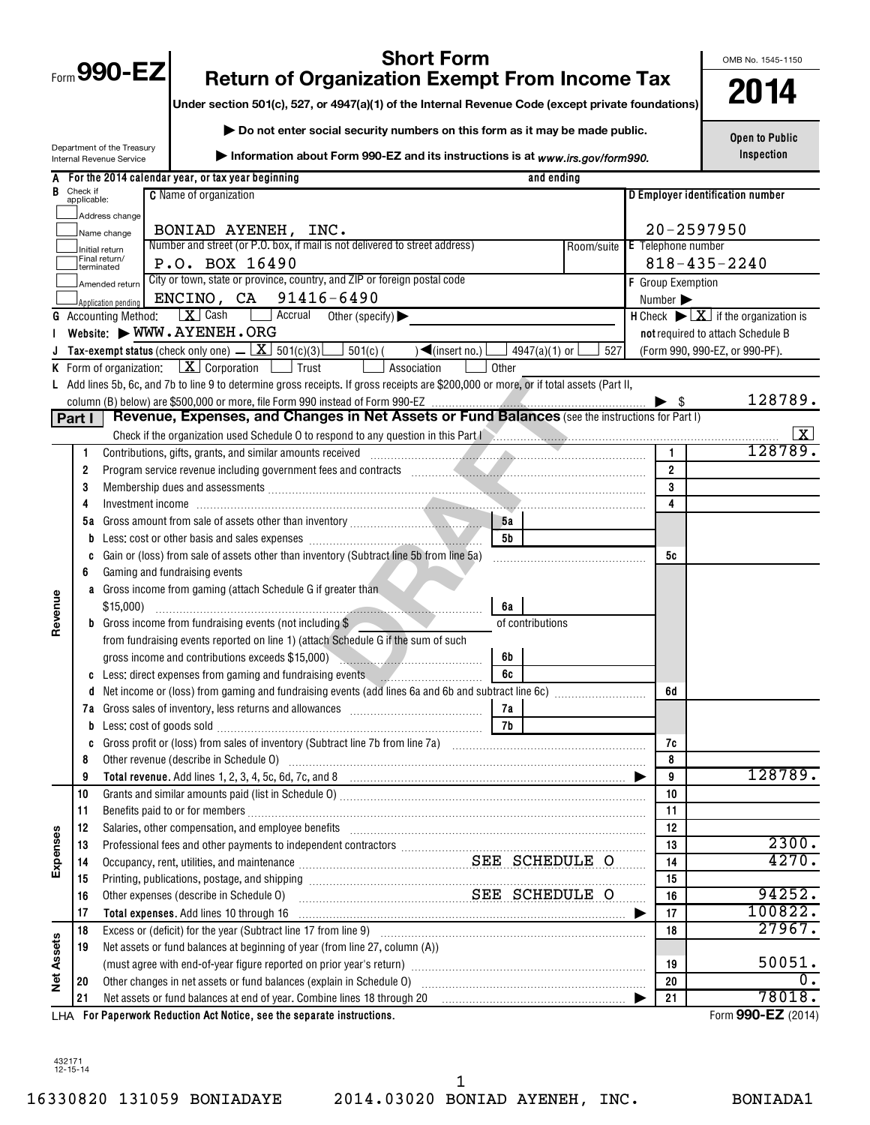|                   |                         | Form 990-EZ                                        | <b>Short Form</b><br><b>Return of Organization Exempt From Income Tax</b>                                                                                                                                                      |                |                  |     |                                             | OMB No. 1545-1150                                                              |
|-------------------|-------------------------|----------------------------------------------------|--------------------------------------------------------------------------------------------------------------------------------------------------------------------------------------------------------------------------------|----------------|------------------|-----|---------------------------------------------|--------------------------------------------------------------------------------|
|                   |                         |                                                    | Under section 501(c), 527, or 4947(a)(1) of the Internal Revenue Code (except private foundations)                                                                                                                             |                |                  |     |                                             | 2014                                                                           |
|                   |                         |                                                    | Do not enter social security numbers on this form as it may be made public.                                                                                                                                                    |                |                  |     |                                             |                                                                                |
|                   |                         | Department of the Treasury                         |                                                                                                                                                                                                                                |                |                  |     |                                             | <b>Open to Public</b>                                                          |
|                   |                         | Internal Revenue Service                           | Information about Form 990-EZ and its instructions is at www.irs.gov/form990.                                                                                                                                                  |                |                  |     |                                             | Inspection                                                                     |
| A                 |                         |                                                    | For the 2014 calendar year, or tax year beginning                                                                                                                                                                              |                | and ending       |     |                                             |                                                                                |
|                   | Check if<br>applicable: |                                                    | <b>C</b> Name of organization                                                                                                                                                                                                  |                |                  |     |                                             | D Employer identification number                                               |
|                   |                         | Address change                                     |                                                                                                                                                                                                                                |                |                  |     |                                             |                                                                                |
|                   |                         | Name change                                        | BONIAD AYENEH, INC.<br>Number and street (or P.O. box, if mail is not delivered to street address)                                                                                                                             |                |                  |     | 20-2597950<br>Room/suite E Telephone number |                                                                                |
|                   |                         | Initial return<br>Final return/                    | P.O. BOX 16490                                                                                                                                                                                                                 |                |                  |     |                                             | $818 - 435 - 2240$                                                             |
|                   |                         | terminated                                         | City or town, state or province, country, and ZIP or foreign postal code                                                                                                                                                       |                |                  |     | <b>F</b> Group Exemption                    |                                                                                |
|                   |                         | Amended return                                     | ENCINO, CA 91416-6490                                                                                                                                                                                                          |                |                  |     | Number >                                    |                                                                                |
|                   |                         | Application pending<br><b>G</b> Accounting Method: | $\mathbf{X}$ Cash<br><b>Accrual</b><br>Other (specify) $\blacktriangleright$                                                                                                                                                   |                |                  |     |                                             | <b>H</b> Check $\blacktriangleright \boxed{\mathbf{X}}$ if the organization is |
|                   |                         |                                                    | Website: $\blacktriangleright$ WWW. AYENEH. ORG                                                                                                                                                                                |                |                  |     |                                             | not required to attach Schedule B                                              |
|                   |                         |                                                    | <b>J</b> Tax-exempt status (check only one) $\angle$ $\boxed{\mathbf{X}}$ 501(c)(3) $\boxed{\phantom{0}}$ 501(c) (<br>$\sqrt{\frac{2}{\text{S}}\left(\frac{1}{100}\right)}$                                                    |                | 4947(a)(1) or L  | 527 |                                             | (Form 990, 990-EZ, or 990-PF).                                                 |
|                   |                         |                                                    | <b>K</b> Form of organization: $X \cdot \text{Corporation}$ $\Box$ Trust<br>Association                                                                                                                                        | Other          |                  |     |                                             |                                                                                |
|                   |                         |                                                    | L Add lines 5b, 6c, and 7b to line 9 to determine gross receipts. If gross receipts are \$200,000 or more, or if total assets (Part II,                                                                                        |                |                  |     |                                             |                                                                                |
|                   |                         |                                                    |                                                                                                                                                                                                                                |                |                  |     | - \$                                        | 128789.                                                                        |
|                   | Part I                  |                                                    | Revenue, Expenses, and Changes in Net Assets or Fund Balances (see the instructions for Part I)                                                                                                                                |                |                  |     |                                             |                                                                                |
|                   |                         |                                                    | Check if the organization used Schedule O to respond to any question in this Part   Yumman Manusetting Check if the organization used Schedule O to respond to any question in this Part   Yumman Manusetting Manusetting Chec |                |                  |     |                                             |                                                                                |
|                   | 1                       |                                                    | Contributions, gifts, grants, and similar amounts received entertainment and successive contributions, gifts, grants, and similar amounts received                                                                             |                |                  |     | 1                                           | 128789                                                                         |
|                   | 2                       |                                                    | Program service revenue including government fees and contracts [11] program service revenues including government fees and contracts                                                                                          |                |                  |     | $\overline{2}$                              |                                                                                |
|                   | 3                       |                                                    |                                                                                                                                                                                                                                |                |                  |     | 3                                           |                                                                                |
|                   | 4                       |                                                    |                                                                                                                                                                                                                                |                |                  |     | 4                                           |                                                                                |
|                   | 5а                      |                                                    |                                                                                                                                                                                                                                | 5а             |                  |     |                                             |                                                                                |
|                   |                         |                                                    |                                                                                                                                                                                                                                | 5b             |                  |     |                                             |                                                                                |
|                   |                         |                                                    | Gain or (loss) from sale of assets other than inventory (Subtract line 5b from line 5a)                                                                                                                                        |                |                  |     | 5с                                          |                                                                                |
|                   | 6                       |                                                    | Gaming and fundraising events                                                                                                                                                                                                  |                |                  |     |                                             |                                                                                |
| Revenue           |                         | \$15,000                                           | a Gross income from gaming (attach Schedule G if greater than                                                                                                                                                                  | 6a             |                  |     |                                             |                                                                                |
|                   |                         |                                                    | <b>b</b> Gross income from fundraising events (not including $$$                                                                                                                                                               |                | of contributions |     |                                             |                                                                                |
|                   |                         |                                                    | from fundraising events reported on line 1) (attach Schedule G if the sum of such                                                                                                                                              |                |                  |     |                                             |                                                                                |
|                   |                         |                                                    | gross income and contributions exceeds \$15,000)                                                                                                                                                                               | 6b             |                  |     |                                             |                                                                                |
|                   |                         |                                                    |                                                                                                                                                                                                                                | 6с             |                  |     |                                             |                                                                                |
|                   | d                       |                                                    |                                                                                                                                                                                                                                |                |                  |     | 6d                                          |                                                                                |
|                   |                         |                                                    |                                                                                                                                                                                                                                | 7a             |                  |     |                                             |                                                                                |
|                   | b                       |                                                    | Less: cost of goods sold with an array control of the solution of the solution of the set of goods sold with a                                                                                                                 | 7 <sub>b</sub> |                  |     |                                             |                                                                                |
|                   | c                       |                                                    |                                                                                                                                                                                                                                |                |                  |     | 7c                                          |                                                                                |
|                   | 8<br>9                  |                                                    | Other revenue (describe in Schedule O) encontractional contraction of the contraction of the contraction of the contraction of the contraction of the contraction of the contraction of the contraction of the contraction of  |                |                  |     | 8<br>9                                      | 128789.                                                                        |
|                   | 10                      |                                                    |                                                                                                                                                                                                                                |                |                  |     | 10                                          |                                                                                |
|                   | 11                      |                                                    |                                                                                                                                                                                                                                |                |                  |     | 11                                          |                                                                                |
|                   | 12                      |                                                    | Salaries, other compensation, and employee benefits [11] manufactures in the community of the compensation, and employee benefits [11] manufactures in the community of the community of the community of the community of the |                |                  |     | 12                                          |                                                                                |
| Expenses          | 13                      |                                                    |                                                                                                                                                                                                                                |                |                  |     | 13                                          | 2300.                                                                          |
|                   | 14                      |                                                    | Professional fees and other payments to independent contractors<br>Occupancy, rent, utilities, and maintenance<br>CCUPANCY SEE SCHEDULE O                                                                                      |                |                  |     | 14                                          | 4270.                                                                          |
|                   | 15                      |                                                    |                                                                                                                                                                                                                                |                |                  |     | 15                                          |                                                                                |
|                   | 16                      |                                                    | SEE SCHEDULE O<br>Other expenses (describe in Schedule O)                                                                                                                                                                      |                |                  |     | 16                                          | 94252.                                                                         |
|                   | 17                      |                                                    | Total expenses. Add lines 10 through 16 measurements are constructed as a set of the set of the set of the set of the set of the set of the set of the set of the set of the set of the set of the set of the set of the set o |                |                  |     | 17                                          | 100822.                                                                        |
|                   | 18                      |                                                    |                                                                                                                                                                                                                                |                |                  |     | 18                                          | 27967.                                                                         |
| <b>Net Assets</b> | 19                      |                                                    | Net assets or fund balances at beginning of year (from line 27, column (A))                                                                                                                                                    |                |                  |     |                                             |                                                                                |
|                   |                         |                                                    |                                                                                                                                                                                                                                |                |                  |     | 19                                          | 50051.                                                                         |
|                   | 20                      |                                                    | Other changes in net assets or fund balances (explain in Schedule O) [11] [12] [20] [20] [20] [20] [20] [20] [                                                                                                                 |                |                  |     | 20                                          | 0.                                                                             |
|                   | 21                      |                                                    | Net assets or fund balances at end of year. Combine lines 18 through 20 [11, 11] [12] [12] [12] [12] [12] [12]                                                                                                                 |                |                  |     | 21                                          | 78018.                                                                         |

**For Paperwork Reduction Act Notice, see the separate instructions.** LHA Form (2014)

Form **990-EZ** (2014)

432171 12-15-14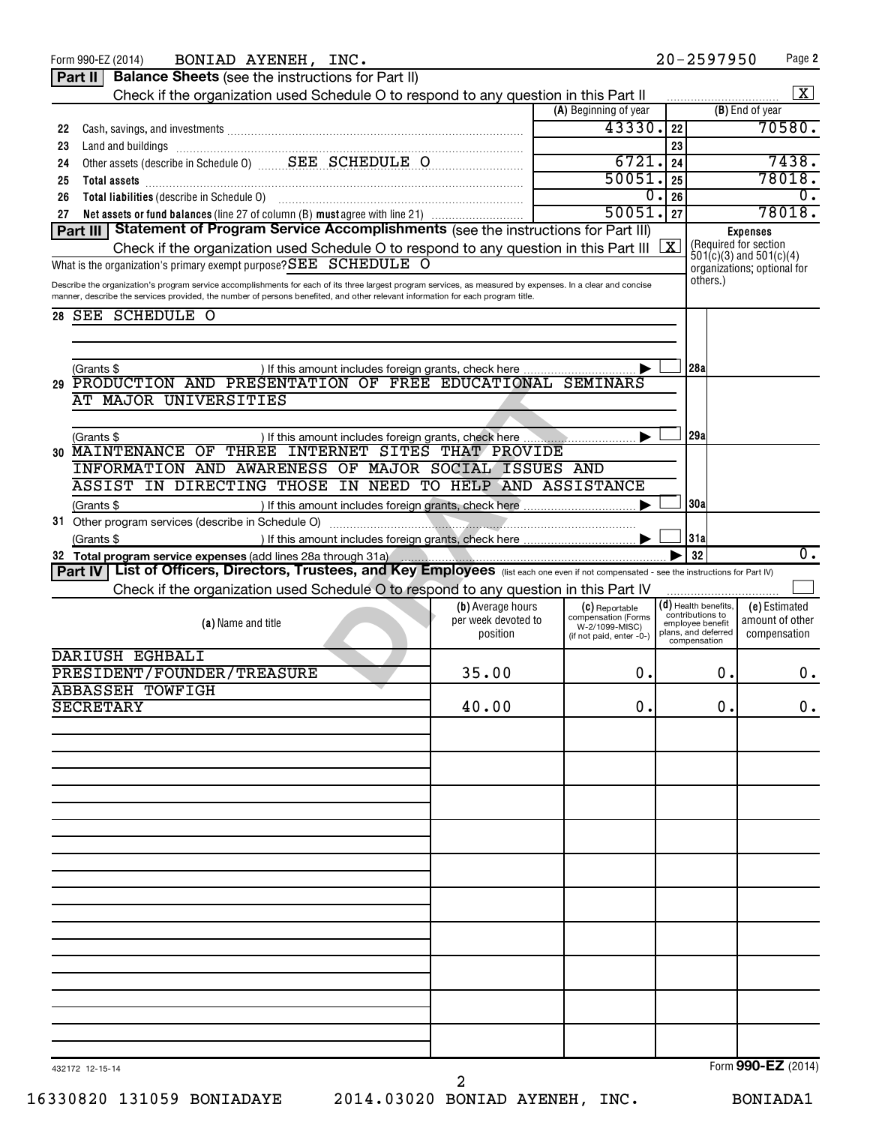| BONIAD AYENEH, INC.<br>Form 990-EZ (2014)                                                                                                                   |                                 |                                       | $20 - 2597950$                             | Page 2                                               |
|-------------------------------------------------------------------------------------------------------------------------------------------------------------|---------------------------------|---------------------------------------|--------------------------------------------|------------------------------------------------------|
| <b>Balance Sheets</b> (see the instructions for Part II)<br>Part $  $                                                                                       |                                 |                                       |                                            |                                                      |
| Check if the organization used Schedule O to respond to any question in this Part II                                                                        |                                 |                                       |                                            | $\sqrt{X}$                                           |
|                                                                                                                                                             |                                 | (A) Beginning of year                 |                                            | (B) End of year                                      |
| 22                                                                                                                                                          |                                 | 43330.                                | 22                                         | 70580.                                               |
| Land and buildings [11] Martin Martin March 2014 and and buildings [11] Martin Martin Martin Martin Martin Mar<br>23                                        |                                 |                                       | 23                                         |                                                      |
| 24                                                                                                                                                          |                                 | 6721                                  | 24                                         | 7438.                                                |
| 25                                                                                                                                                          |                                 | 50051.                                | 25                                         | 78018.                                               |
| 26                                                                                                                                                          |                                 | 0                                     | 26                                         | 0.                                                   |
| Net assets or fund balances (line 27 of column (B) must agree with line 21)<br>27                                                                           |                                 | 50051                                 | 27                                         | 78018.                                               |
| Statement of Program Service Accomplishments (see the instructions for Part III)<br>Part III                                                                |                                 |                                       |                                            | <b>Expenses</b>                                      |
| Check if the organization used Schedule O to respond to any question in this Part III                                                                       |                                 |                                       | X                                          | (Required for section<br>$501(c)(3)$ and $501(c)(4)$ |
| What is the organization's primary exempt purpose? SEE SCHEDULE O                                                                                           |                                 |                                       |                                            | organizations; optional for                          |
| Describe the organization's program service accomplishments for each of its three largest program services, as measured by expenses. In a clear and concise |                                 |                                       | others.)                                   |                                                      |
| manner, describe the services provided, the number of persons benefited, and other relevant information for each program title.                             |                                 |                                       |                                            |                                                      |
| SEE SCHEDULE O<br>28                                                                                                                                        |                                 |                                       |                                            |                                                      |
|                                                                                                                                                             |                                 |                                       |                                            |                                                      |
|                                                                                                                                                             |                                 |                                       |                                            |                                                      |
| (Grants \$                                                                                                                                                  |                                 |                                       | 28a                                        |                                                      |
| PRODUCTION AND PRESENTATION OF FREE EDUCATIONAL SEMINARS<br>29                                                                                              |                                 |                                       |                                            |                                                      |
| AT MAJOR UNIVERSITIES                                                                                                                                       |                                 |                                       |                                            |                                                      |
|                                                                                                                                                             |                                 |                                       |                                            |                                                      |
| (Grants \$                                                                                                                                                  |                                 |                                       | 29a                                        |                                                      |
| 30 MAINTENANCE OF THREE INTERNET SITES THAT PROVIDE                                                                                                         |                                 |                                       |                                            |                                                      |
| INFORMATION AND AWARENESS OF MAJOR SOCIAL ISSUES AND                                                                                                        |                                 |                                       |                                            |                                                      |
| ASSIST IN DIRECTING THOSE IN NEED TO HELP AND ASSISTANCE                                                                                                    |                                 |                                       |                                            |                                                      |
| (Grants \$                                                                                                                                                  |                                 |                                       | 30al                                       |                                                      |
|                                                                                                                                                             |                                 |                                       |                                            |                                                      |
| (Grants \$                                                                                                                                                  |                                 |                                       | 31a                                        |                                                      |
| 32 Total program service expenses (add lines 28a through 31a)                                                                                               |                                 |                                       | 32                                         | $\overline{0}$ .                                     |
| List of Officers, Directors, Trustees, and Key Employees (list each one even if not compensated - see the instructions for Part IV)<br>Part IV              |                                 |                                       |                                            |                                                      |
| Check if the organization used Schedule O to respond to any question in this Part IV                                                                        |                                 |                                       |                                            |                                                      |
|                                                                                                                                                             | (b) Average hours               | (C) Reportable<br>compensation (Forms | $(d)$ Health benefits.<br>contributions to | (e) Estimated                                        |
| (a) Name and title                                                                                                                                          | per week devoted to<br>position | W-2/1099-MISC)                        | emplovee benefit<br>plans, and deferred    | amount of other<br>compensation                      |
|                                                                                                                                                             |                                 | (if not paid, enter -0-)              | compensation                               |                                                      |
| DARIUSH EGHBALI                                                                                                                                             |                                 |                                       |                                            |                                                      |
| PRESIDENT/FOUNDER/TREASURE                                                                                                                                  |                                 |                                       |                                            |                                                      |
|                                                                                                                                                             | 35.00                           | 0.                                    | 0.                                         | 0.                                                   |
| <b>ABBASSEH TOWFIGH</b>                                                                                                                                     |                                 |                                       |                                            |                                                      |
| <b>SECRETARY</b>                                                                                                                                            | 40.00                           | 0.                                    | 0.                                         | 0.                                                   |
|                                                                                                                                                             |                                 |                                       |                                            |                                                      |
|                                                                                                                                                             |                                 |                                       |                                            |                                                      |
|                                                                                                                                                             |                                 |                                       |                                            |                                                      |
|                                                                                                                                                             |                                 |                                       |                                            |                                                      |
|                                                                                                                                                             |                                 |                                       |                                            |                                                      |
|                                                                                                                                                             |                                 |                                       |                                            |                                                      |
|                                                                                                                                                             |                                 |                                       |                                            |                                                      |
|                                                                                                                                                             |                                 |                                       |                                            |                                                      |
|                                                                                                                                                             |                                 |                                       |                                            |                                                      |
|                                                                                                                                                             |                                 |                                       |                                            |                                                      |
|                                                                                                                                                             |                                 |                                       |                                            |                                                      |
|                                                                                                                                                             |                                 |                                       |                                            |                                                      |
|                                                                                                                                                             |                                 |                                       |                                            |                                                      |
|                                                                                                                                                             |                                 |                                       |                                            |                                                      |
|                                                                                                                                                             |                                 |                                       |                                            |                                                      |
|                                                                                                                                                             |                                 |                                       |                                            |                                                      |
|                                                                                                                                                             |                                 |                                       |                                            |                                                      |
|                                                                                                                                                             |                                 |                                       |                                            |                                                      |
|                                                                                                                                                             |                                 |                                       |                                            |                                                      |
|                                                                                                                                                             |                                 |                                       |                                            |                                                      |
| 432172 12-15-14                                                                                                                                             | 2                               |                                       |                                            | Form 990-EZ (2014)                                   |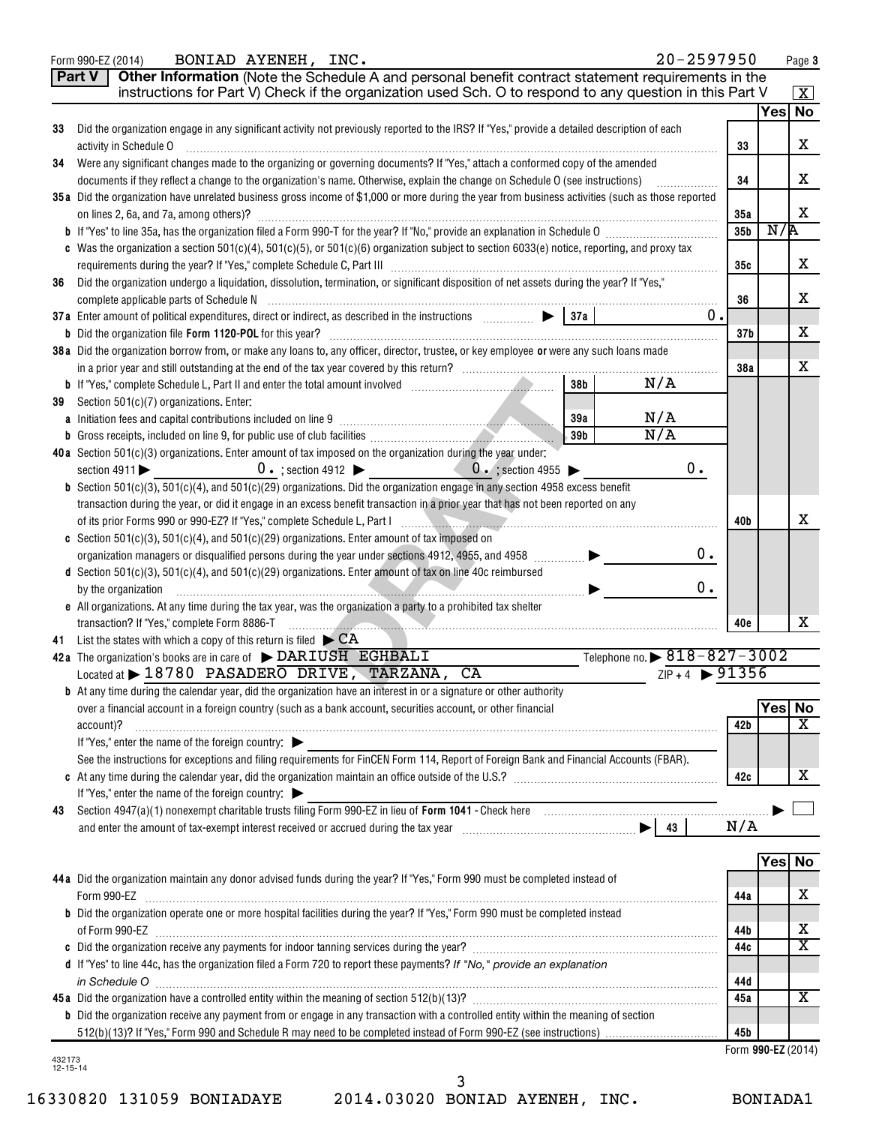|                          | 20-2597950<br>BONIAD AYENEH, INC.<br>Form 990-EZ (2014)                                                                                                                                                                            |                           |        | Page 3                  |
|--------------------------|------------------------------------------------------------------------------------------------------------------------------------------------------------------------------------------------------------------------------------|---------------------------|--------|-------------------------|
|                          | Other Information (Note the Schedule A and personal benefit contract statement requirements in the<br><b>Part V</b>                                                                                                                |                           |        |                         |
|                          | instructions for Part V) Check if the organization used Sch. O to respond to any question in this Part V                                                                                                                           |                           |        | $\boxed{\textbf{X}}$    |
|                          |                                                                                                                                                                                                                                    |                           |        | Yes No                  |
| 33                       | Did the organization engage in any significant activity not previously reported to the IRS? If "Yes," provide a detailed description of each                                                                                       |                           |        |                         |
|                          | activity in Schedule O                                                                                                                                                                                                             | 33                        |        | х                       |
| 34                       | Were any significant changes made to the organizing or governing documents? If "Yes," attach a conformed copy of the amended                                                                                                       |                           |        |                         |
|                          | documents if they reflect a change to the organization's name. Otherwise, explain the change on Schedule O (see instructions)                                                                                                      | 34                        |        | x                       |
|                          | 35a Did the organization have unrelated business gross income of \$1,000 or more during the year from business activities (such as those reported                                                                                  |                           |        |                         |
|                          |                                                                                                                                                                                                                                    | 35a                       |        | x                       |
|                          |                                                                                                                                                                                                                                    | 35 <sub>b</sub>           | N/R    |                         |
|                          | c Was the organization a section 501(c)(4), 501(c)(5), or 501(c)(6) organization subject to section 6033(e) notice, reporting, and proxy tax                                                                                       |                           |        |                         |
|                          |                                                                                                                                                                                                                                    | 35с                       |        | x                       |
| 36                       | Did the organization undergo a liquidation, dissolution, termination, or significant disposition of net assets during the year? If "Yes,"                                                                                          |                           |        |                         |
|                          |                                                                                                                                                                                                                                    | 36                        |        | x                       |
|                          | 37a Enter amount of political expenditures, direct or indirect, as described in the instructions $\Box$ $\Box$ $\Box$ 37a<br>0.                                                                                                    |                           |        |                         |
|                          |                                                                                                                                                                                                                                    | 37 <sub>b</sub>           |        | х                       |
|                          | 38 a Did the organization borrow from, or make any loans to, any officer, director, trustee, or key employee or were any such loans made                                                                                           |                           |        |                         |
|                          | 38 <sub>b</sub>                                                                                                                                                                                                                    | 38a                       |        | X                       |
|                          | N/A                                                                                                                                                                                                                                |                           |        |                         |
| 39                       | Section 501(c)(7) organizations. Enter:<br>N/A                                                                                                                                                                                     |                           |        |                         |
|                          | 39a<br>a Initiation fees and capital contributions included on line 9 [11] manuscription fees and capital contributions included on line 9<br>$\overline{N/A}$<br>39b                                                              |                           |        |                         |
|                          |                                                                                                                                                                                                                                    |                           |        |                         |
|                          | 40a Section 501(c)(3) organizations. Enter amount of tax imposed on the organization during the year under:<br>$0$ .<br>section $4911$                                                                                             |                           |        |                         |
|                          | $0 \cdot$ ; section 4912 $\triangleright$ $0 \cdot$ ; section 4955 $\triangleright$<br><b>b</b> Section $501(c)(3)$ , $501(c)(4)$ , and $501(c)(29)$ organizations. Did the organization engage in any section 4958 excess benefit |                           |        |                         |
|                          | transaction during the year, or did it engage in an excess benefit transaction in a prior year that has not been reported on any                                                                                                   |                           |        |                         |
|                          | of its prior Forms 990 or 990-EZ? If "Yes," complete Schedule L, Part I [1] [1] [1] [1] [1] [1] [1] [1] [1] [1                                                                                                                     | 40b                       |        | х                       |
|                          | c Section 501(c)(3), 501(c)(4), and 501(c)(29) organizations. Enter amount of tax imposed on                                                                                                                                       |                           |        |                         |
|                          | 0.<br>organization managers or disqualified persons during the year under sections 4912, 4955, and 4958 [                                                                                                                          |                           |        |                         |
|                          | d Section 501(c)(3), 501(c)(4), and 501(c)(29) organizations. Enter amount of tax on line 40c reimbursed                                                                                                                           |                           |        |                         |
|                          | $0$ .<br>by the organization                                                                                                                                                                                                       |                           |        |                         |
|                          | e All organizations. At any time during the tax year, was the organization a party to a prohibited tax shelter                                                                                                                     |                           |        |                         |
|                          | transaction? If "Yes," complete Form 8886-T                                                                                                                                                                                        | 40e                       |        | x                       |
|                          | 41 List the states with which a copy of this return is filed $\blacktriangleright$ CA                                                                                                                                              |                           |        |                         |
|                          | Telephone no. $\triangleright$ 818 - 827 - 3002<br>42a The organization's books are in care of $\blacktriangleright$ DARIUSH EGHBALI                                                                                               |                           |        |                         |
|                          | $ZIP + 4$ $\rightarrow$ 91356<br>Located at $\blacktriangleright$ 18780 PASADERO DRIVE, TARZANA,<br>CA                                                                                                                             |                           |        |                         |
|                          | <b>b</b> At any time during the calendar year, did the organization have an interest in or a signature or other authority                                                                                                          |                           |        |                         |
|                          | over a financial account in a foreign country (such as a bank account, securities account, or other financial                                                                                                                      |                           | Yes No |                         |
|                          | account)?                                                                                                                                                                                                                          | 42b                       |        | х                       |
|                          | If "Yes," enter the name of the foreign country:                                                                                                                                                                                   |                           |        |                         |
|                          | See the instructions for exceptions and filing requirements for FinCEN Form 114, Report of Foreign Bank and Financial Accounts (FBAR).                                                                                             |                           |        |                         |
|                          |                                                                                                                                                                                                                                    | 42c                       |        | х                       |
|                          | If "Yes," enter the name of the foreign country: $\blacktriangleright$                                                                                                                                                             |                           |        |                         |
| 43                       | Section 4947(a)(1) nonexempt charitable trusts filing Form 990-EZ in lieu of Form 1041 - Check here manufactured and the manufactured with the Section 4947(a)(1) nonexempt charitable trusts filing Form 990-EZ in lieu of Fo     |                           |        |                         |
|                          |                                                                                                                                                                                                                                    | N/A                       |        |                         |
|                          |                                                                                                                                                                                                                                    |                           |        |                         |
|                          |                                                                                                                                                                                                                                    |                           | Yes No |                         |
|                          | 44 a Did the organization maintain any donor advised funds during the year? If "Yes," Form 990 must be completed instead of                                                                                                        |                           |        |                         |
|                          | Form 990-EZ                                                                                                                                                                                                                        | 44a                       |        | х                       |
|                          | <b>b</b> Did the organization operate one or more hospital facilities during the year? If "Yes," Form 990 must be completed instead                                                                                                |                           |        |                         |
|                          |                                                                                                                                                                                                                                    | 44b                       |        | x                       |
|                          |                                                                                                                                                                                                                                    | 44c                       |        | $\overline{\texttt{x}}$ |
|                          | d If "Yes" to line 44c, has the organization filed a Form 720 to report these payments? If "No," provide an explanation                                                                                                            |                           |        |                         |
|                          |                                                                                                                                                                                                                                    | 44d                       |        |                         |
|                          |                                                                                                                                                                                                                                    | 45a                       |        | X                       |
|                          | <b>b</b> Did the organization receive any payment from or engage in any transaction with a controlled entity within the meaning of section                                                                                         |                           |        |                         |
|                          |                                                                                                                                                                                                                                    | 45b<br>Form 990-EZ (2014) |        |                         |
| 432173<br>$12 - 15 - 14$ |                                                                                                                                                                                                                                    |                           |        |                         |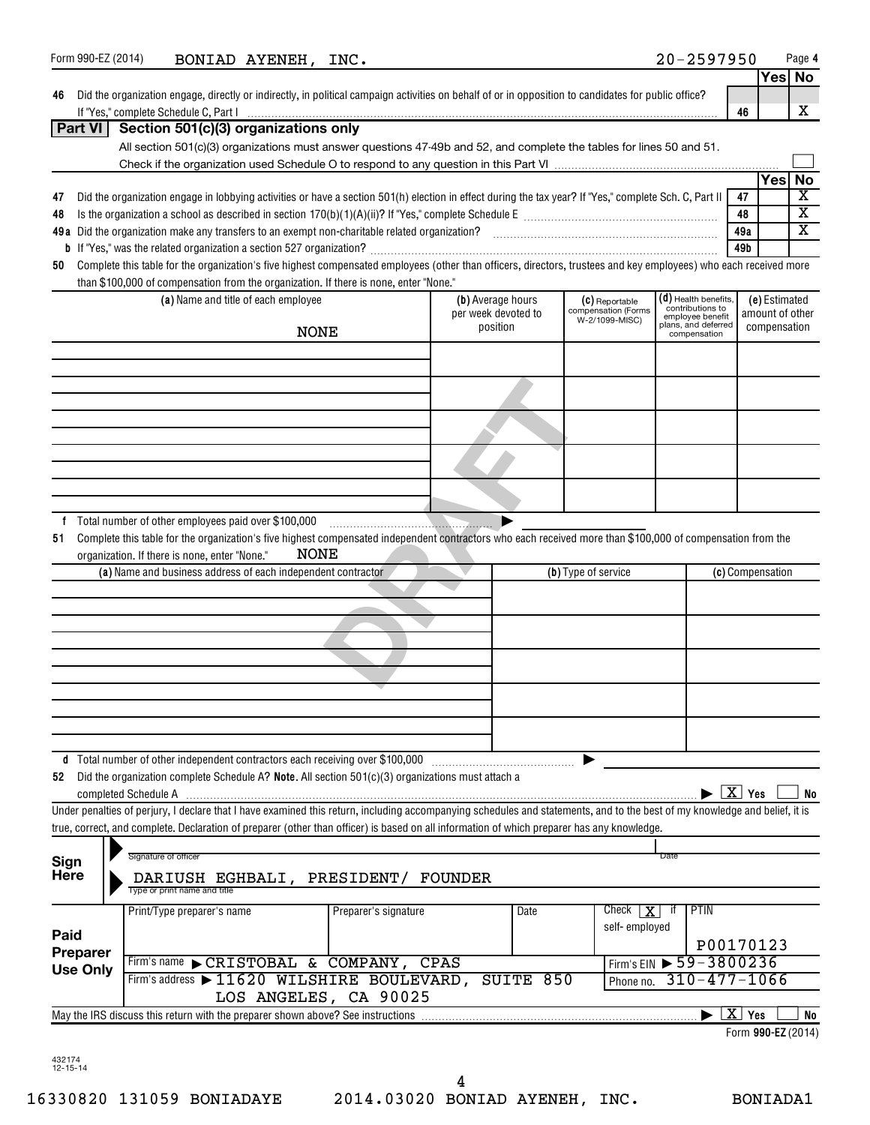| Form 990-EZ (2014) | BONIAD AYENEH, INC.                                                                                                                                                                           |                       |                                 |           |                                       | $20 - 2597950$                           |                    |                                 | Page 4                  |
|--------------------|-----------------------------------------------------------------------------------------------------------------------------------------------------------------------------------------------|-----------------------|---------------------------------|-----------|---------------------------------------|------------------------------------------|--------------------|---------------------------------|-------------------------|
|                    |                                                                                                                                                                                               |                       |                                 |           |                                       |                                          |                    |                                 | Yes No                  |
| 46                 | Did the organization engage, directly or indirectly, in political campaign activities on behalf of or in opposition to candidates for public office?<br>If "Yes," complete Schedule C, Part I |                       |                                 |           |                                       |                                          | 46                 |                                 | X                       |
| Part VI            | Section 501(c)(3) organizations only                                                                                                                                                          |                       |                                 |           |                                       |                                          |                    |                                 |                         |
|                    | All section 501(c)(3) organizations must answer questions 47-49b and 52, and complete the tables for lines 50 and 51.                                                                         |                       |                                 |           |                                       |                                          |                    |                                 |                         |
|                    |                                                                                                                                                                                               |                       |                                 |           |                                       |                                          |                    | <b>Yes</b>                      | No                      |
| 47                 | Did the organization engage in lobbying activities or have a section 501(h) election in effect during the tax year? If "Yes," complete Sch. C, Part II                                        |                       |                                 |           |                                       |                                          | 47                 |                                 | $\overline{\textbf{x}}$ |
| 48                 |                                                                                                                                                                                               |                       |                                 |           |                                       |                                          | 48                 |                                 | $\overline{\textbf{X}}$ |
|                    |                                                                                                                                                                                               |                       |                                 |           |                                       |                                          | 49a<br>49b         |                                 | $\overline{\texttt{x}}$ |
| 50                 | Complete this table for the organization's five highest compensated employees (other than officers, directors, trustees and key employees) who each received more                             |                       |                                 |           |                                       |                                          |                    |                                 |                         |
|                    | than \$100,000 of compensation from the organization. If there is none, enter "None."                                                                                                         |                       |                                 |           |                                       |                                          |                    |                                 |                         |
|                    | (a) Name and title of each employee                                                                                                                                                           |                       | (b) Average hours               |           | (C) Reportable<br>compensation (Forms | (d) Health benefits,<br>contributions to |                    | (e) Estimated                   |                         |
|                    | <b>NONE</b>                                                                                                                                                                                   |                       | per week devoted to<br>position |           | W-2/1099-MISC)                        | employee benefit<br>plans, and deferred  |                    | amount of other<br>compensation |                         |
|                    |                                                                                                                                                                                               |                       |                                 |           |                                       | compensation                             |                    |                                 |                         |
|                    |                                                                                                                                                                                               |                       |                                 |           |                                       |                                          |                    |                                 |                         |
|                    |                                                                                                                                                                                               |                       |                                 |           |                                       |                                          |                    |                                 |                         |
|                    |                                                                                                                                                                                               |                       |                                 |           |                                       |                                          |                    |                                 |                         |
|                    |                                                                                                                                                                                               |                       |                                 |           |                                       |                                          |                    |                                 |                         |
|                    |                                                                                                                                                                                               |                       |                                 |           |                                       |                                          |                    |                                 |                         |
|                    |                                                                                                                                                                                               |                       |                                 |           |                                       |                                          |                    |                                 |                         |
|                    |                                                                                                                                                                                               |                       |                                 |           |                                       |                                          |                    |                                 |                         |
| $\mathbf{f}$       | Total number of other employees paid over \$100,000                                                                                                                                           |                       |                                 |           |                                       |                                          |                    |                                 |                         |
| 51                 | Complete this table for the organization's five highest compensated independent contractors who each received more than \$100,000 of compensation from the                                    |                       |                                 |           |                                       |                                          |                    |                                 |                         |
|                    | <b>NONE</b><br>organization. If there is none, enter "None."                                                                                                                                  |                       |                                 |           |                                       |                                          |                    |                                 |                         |
|                    | (a) Name and business address of each independent contractor                                                                                                                                  |                       |                                 |           | (b) Type of service                   |                                          |                    | (c) Compensation                |                         |
|                    |                                                                                                                                                                                               |                       |                                 |           |                                       |                                          |                    |                                 |                         |
|                    |                                                                                                                                                                                               |                       |                                 |           |                                       |                                          |                    |                                 |                         |
|                    |                                                                                                                                                                                               |                       |                                 |           |                                       |                                          |                    |                                 |                         |
|                    |                                                                                                                                                                                               |                       |                                 |           |                                       |                                          |                    |                                 |                         |
|                    |                                                                                                                                                                                               |                       |                                 |           |                                       |                                          |                    |                                 |                         |
|                    |                                                                                                                                                                                               |                       |                                 |           |                                       |                                          |                    |                                 |                         |
|                    |                                                                                                                                                                                               |                       |                                 |           |                                       |                                          |                    |                                 |                         |
|                    | d Total number of other independent contractors each receiving over \$100,000                                                                                                                 |                       |                                 |           |                                       |                                          |                    |                                 |                         |
| 52                 | Did the organization complete Schedule A? Note. All section $501(c)(3)$ organizations must attach a                                                                                           |                       |                                 |           |                                       |                                          |                    |                                 |                         |
|                    |                                                                                                                                                                                               |                       |                                 |           |                                       |                                          | $\overline{X}$ Yes |                                 | No                      |
|                    | Under penalties of perjury, I declare that I have examined this return, including accompanying schedules and statements, and to the best of my knowledge and belief, it is                    |                       |                                 |           |                                       |                                          |                    |                                 |                         |
|                    | true, correct, and complete. Declaration of preparer (other than officer) is based on all information of which preparer has any knowledge.                                                    |                       |                                 |           |                                       |                                          |                    |                                 |                         |
| Sign               | Signature of officer                                                                                                                                                                          |                       |                                 |           |                                       | Date                                     |                    |                                 |                         |
| <b>Here</b>        | DARIUSH EGHBALI, PRESIDENT/<br>Type or print name and title                                                                                                                                   |                       | FOUNDER                         |           |                                       |                                          |                    |                                 |                         |
|                    | Print/Type preparer's name                                                                                                                                                                    | Preparer's signature  |                                 | Date      | Check<br>х                            | PTIN                                     |                    |                                 |                         |
| Paid               |                                                                                                                                                                                               |                       |                                 |           | self-employed                         |                                          |                    |                                 |                         |
| Preparer           | Firm's name CRISTOBAL & COMPANY, CPAS                                                                                                                                                         |                       |                                 |           |                                       | Firm's EIN ▶ 59-3800236                  |                    | P00170123                       |                         |
| <b>Use Only</b>    | Firm's address > 11620 WILSHIRE BOULEVARD,                                                                                                                                                    |                       |                                 | SUITE 850 | Phone no.                             | $310 - 477 - 1066$                       |                    |                                 |                         |
|                    |                                                                                                                                                                                               | LOS ANGELES, CA 90025 |                                 |           |                                       |                                          |                    |                                 |                         |
|                    |                                                                                                                                                                                               |                       |                                 |           |                                       |                                          | $\overline{X}$ Yes |                                 | No                      |
|                    |                                                                                                                                                                                               |                       |                                 |           |                                       |                                          |                    | Form 990-EZ (2014)              |                         |

432174 12-15-14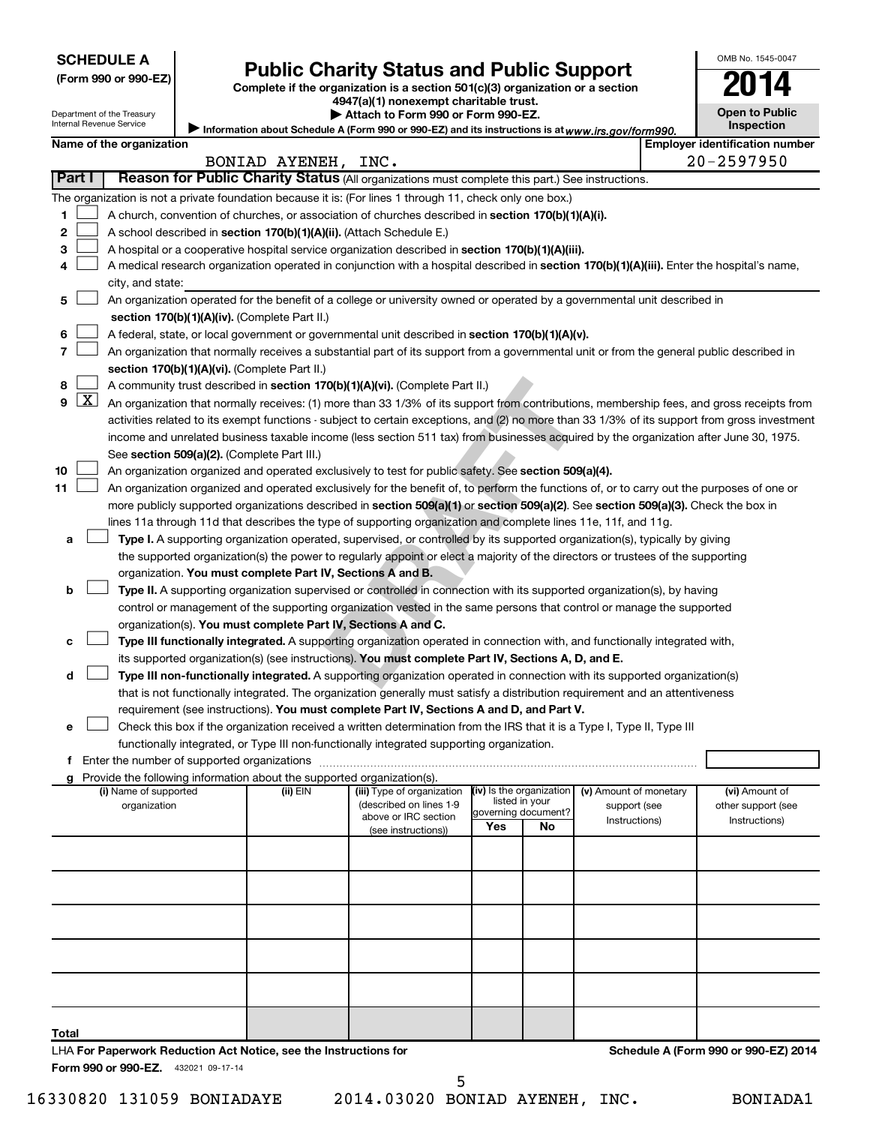Department of the Treasury Internal Revenue Service

## Form 990 or 990-EZ) **Public Charity Status and Public Support**<br>
Complete if the organization is a section 501(c)(3) organization or a section<br> **2014**

Information about Schedule A (Form 990 or 990-EZ) and its instructions is at www.irs.gov/form990.

**4947(a)(1) nonexempt charitable trust. | Attach to Form 990 or Form 990-EZ.** 

| OMB No. 1545-0047                   |
|-------------------------------------|
| 111                                 |
| <b>Open to Public</b><br>Inspection |

|       |            | Name of the organization                                                                                                                                                             |                     |                                                 |                                            |    |                        | <b>Employer identification number</b><br>20-2597950 |
|-------|------------|--------------------------------------------------------------------------------------------------------------------------------------------------------------------------------------|---------------------|-------------------------------------------------|--------------------------------------------|----|------------------------|-----------------------------------------------------|
|       | Part I     | Reason for Public Charity Status (All organizations must complete this part.) See instructions.                                                                                      | BONIAD AYENEH, INC. |                                                 |                                            |    |                        |                                                     |
|       |            |                                                                                                                                                                                      |                     |                                                 |                                            |    |                        |                                                     |
|       |            | The organization is not a private foundation because it is: (For lines 1 through 11, check only one box.)                                                                            |                     |                                                 |                                            |    |                        |                                                     |
| 1.    |            | A church, convention of churches, or association of churches described in section 170(b)(1)(A)(i).                                                                                   |                     |                                                 |                                            |    |                        |                                                     |
| 2     |            | A school described in section 170(b)(1)(A)(ii). (Attach Schedule E.)                                                                                                                 |                     |                                                 |                                            |    |                        |                                                     |
| з     |            | A hospital or a cooperative hospital service organization described in section 170(b)(1)(A)(iii).                                                                                    |                     |                                                 |                                            |    |                        |                                                     |
| 4     |            | A medical research organization operated in conjunction with a hospital described in section 170(b)(1)(A)(iii). Enter the hospital's name,                                           |                     |                                                 |                                            |    |                        |                                                     |
|       |            | city, and state:                                                                                                                                                                     |                     |                                                 |                                            |    |                        |                                                     |
| 5.    |            | An organization operated for the benefit of a college or university owned or operated by a governmental unit described in                                                            |                     |                                                 |                                            |    |                        |                                                     |
|       |            | section 170(b)(1)(A)(iv). (Complete Part II.)                                                                                                                                        |                     |                                                 |                                            |    |                        |                                                     |
| 6     |            | A federal, state, or local government or governmental unit described in section 170(b)(1)(A)(v).                                                                                     |                     |                                                 |                                            |    |                        |                                                     |
| 7     |            | An organization that normally receives a substantial part of its support from a governmental unit or from the general public described in                                            |                     |                                                 |                                            |    |                        |                                                     |
|       |            | section 170(b)(1)(A)(vi). (Complete Part II.)                                                                                                                                        |                     |                                                 |                                            |    |                        |                                                     |
| 8     | $9 \mid X$ | A community trust described in section 170(b)(1)(A)(vi). (Complete Part II.)                                                                                                         |                     |                                                 |                                            |    |                        |                                                     |
|       |            | An organization that normally receives: (1) more than 33 1/3% of its support from contributions, membership fees, and gross receipts from                                            |                     |                                                 |                                            |    |                        |                                                     |
|       |            | activities related to its exempt functions - subject to certain exceptions, and (2) no more than 33 1/3% of its support from gross investment                                        |                     |                                                 |                                            |    |                        |                                                     |
|       |            | income and unrelated business taxable income (less section 511 tax) from businesses acquired by the organization after June 30, 1975.<br>See section 509(a)(2). (Complete Part III.) |                     |                                                 |                                            |    |                        |                                                     |
| 10    |            | An organization organized and operated exclusively to test for public safety. See section 509(a)(4).                                                                                 |                     |                                                 |                                            |    |                        |                                                     |
| 11    |            | An organization organized and operated exclusively for the benefit of, to perform the functions of, or to carry out the purposes of one or                                           |                     |                                                 |                                            |    |                        |                                                     |
|       |            | more publicly supported organizations described in section 509(a)(1) or section 509(a)(2). See section 509(a)(3). Check the box in                                                   |                     |                                                 |                                            |    |                        |                                                     |
|       |            | lines 11a through 11d that describes the type of supporting organization and complete lines 11e, 11f, and 11g.                                                                       |                     |                                                 |                                            |    |                        |                                                     |
| а     |            | Type I. A supporting organization operated, supervised, or controlled by its supported organization(s), typically by giving                                                          |                     |                                                 |                                            |    |                        |                                                     |
|       |            | the supported organization(s) the power to regularly appoint or elect a majority of the directors or trustees of the supporting                                                      |                     |                                                 |                                            |    |                        |                                                     |
|       |            | organization. You must complete Part IV, Sections A and B.                                                                                                                           |                     |                                                 |                                            |    |                        |                                                     |
| b     |            | Type II. A supporting organization supervised or controlled in connection with its supported organization(s), by having                                                              |                     |                                                 |                                            |    |                        |                                                     |
|       |            | control or management of the supporting organization vested in the same persons that control or manage the supported                                                                 |                     |                                                 |                                            |    |                        |                                                     |
|       |            | organization(s). You must complete Part IV, Sections A and C.                                                                                                                        |                     |                                                 |                                            |    |                        |                                                     |
| с     |            | Type III functionally integrated. A supporting organization operated in connection with, and functionally integrated with,                                                           |                     |                                                 |                                            |    |                        |                                                     |
|       |            | its supported organization(s) (see instructions). You must complete Part IV, Sections A, D, and E.                                                                                   |                     |                                                 |                                            |    |                        |                                                     |
| d     |            | Type III non-functionally integrated. A supporting organization operated in connection with its supported organization(s)                                                            |                     |                                                 |                                            |    |                        |                                                     |
|       |            | that is not functionally integrated. The organization generally must satisfy a distribution requirement and an attentiveness                                                         |                     |                                                 |                                            |    |                        |                                                     |
|       |            | requirement (see instructions). You must complete Part IV, Sections A and D, and Part V.                                                                                             |                     |                                                 |                                            |    |                        |                                                     |
| е     |            | Check this box if the organization received a written determination from the IRS that it is a Type I, Type II, Type III                                                              |                     |                                                 |                                            |    |                        |                                                     |
|       |            | functionally integrated, or Type III non-functionally integrated supporting organization.                                                                                            |                     |                                                 |                                            |    |                        |                                                     |
|       |            |                                                                                                                                                                                      |                     |                                                 |                                            |    |                        |                                                     |
|       |            | g Provide the following information about the supported organization(s).                                                                                                             |                     |                                                 |                                            |    |                        |                                                     |
|       |            | (i) Name of supported                                                                                                                                                                | (ii) EIN            | (iii) Type of organization                      | (iv) Is the organization<br>listed in your |    | (v) Amount of monetary | (vi) Amount of                                      |
|       |            | organization                                                                                                                                                                         |                     | (described on lines 1-9<br>above or IRC section | governing document?                        |    | support (see           | other support (see                                  |
|       |            |                                                                                                                                                                                      |                     | (see instructions))                             | Yes                                        | No | Instructions)          | Instructions)                                       |
|       |            |                                                                                                                                                                                      |                     |                                                 |                                            |    |                        |                                                     |
|       |            |                                                                                                                                                                                      |                     |                                                 |                                            |    |                        |                                                     |
|       |            |                                                                                                                                                                                      |                     |                                                 |                                            |    |                        |                                                     |
|       |            |                                                                                                                                                                                      |                     |                                                 |                                            |    |                        |                                                     |
|       |            |                                                                                                                                                                                      |                     |                                                 |                                            |    |                        |                                                     |
|       |            |                                                                                                                                                                                      |                     |                                                 |                                            |    |                        |                                                     |
|       |            |                                                                                                                                                                                      |                     |                                                 |                                            |    |                        |                                                     |
|       |            |                                                                                                                                                                                      |                     |                                                 |                                            |    |                        |                                                     |
|       |            |                                                                                                                                                                                      |                     |                                                 |                                            |    |                        |                                                     |
|       |            |                                                                                                                                                                                      |                     |                                                 |                                            |    |                        |                                                     |
| Total |            |                                                                                                                                                                                      |                     |                                                 |                                            |    |                        |                                                     |
|       |            | LHA For Paperwork Reduction Act Notice, see the Instructions for                                                                                                                     |                     |                                                 |                                            |    |                        | Schedule A (Form 990 or 990-EZ) 2014                |
|       |            | Form 990 or 990-EZ. 432021 09-17-14                                                                                                                                                  |                     |                                                 |                                            |    |                        |                                                     |

16330820 131059 BONIADAYE 2014.03020 BONIAD AYENEH, INC. BONIADA1 5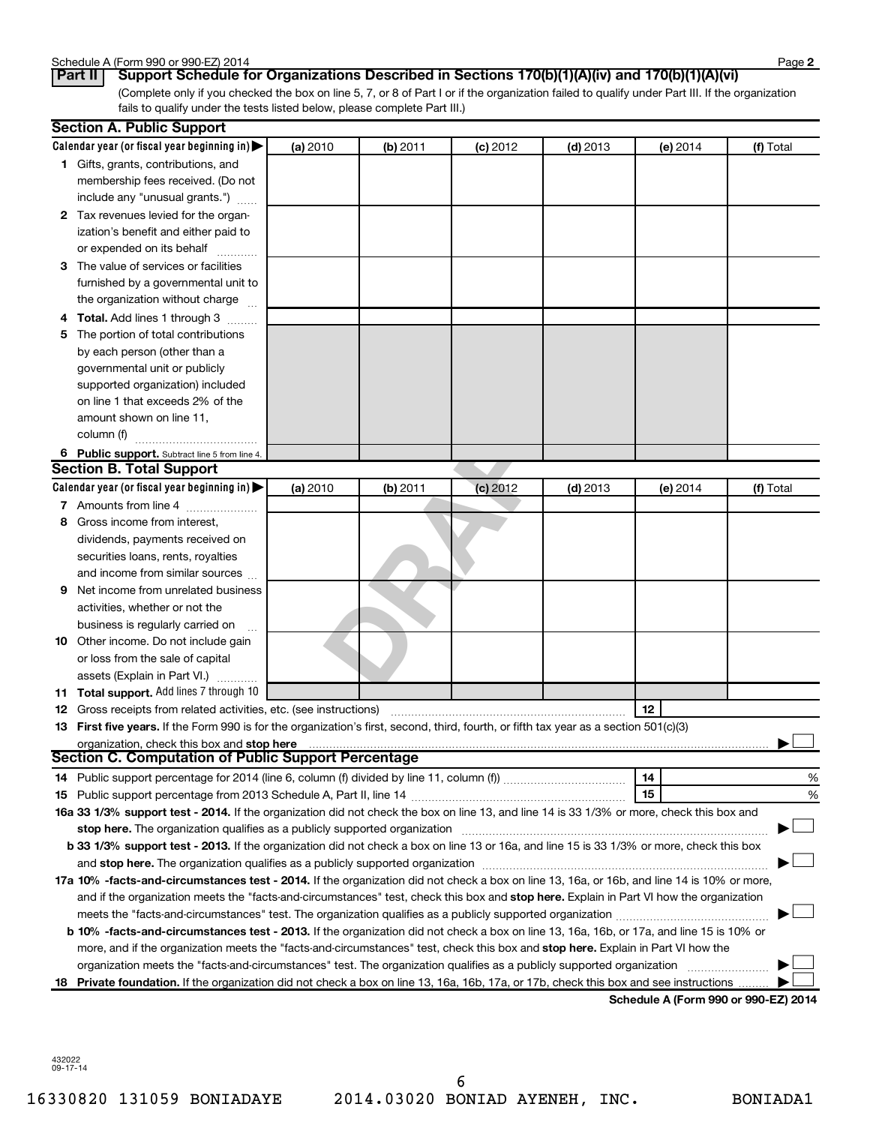| Schedule A (Form 990 or 990-EZ) 2014 | Page |
|--------------------------------------|------|
|--------------------------------------|------|

**2**

(Complete only if you checked the box on line 5, 7, or 8 of Part I or if the organization failed to qualify under Part III. If the organization fails to qualify under the tests listed below, please complete Part III.) **Part II Support Schedule for Organizations Described in Sections 170(b)(1)(A)(iv) and 170(b)(1)(A)(vi)**

|    | <b>Section A. Public Support</b>                                                                                                                                                                                               |          |            |            |            |                                      |           |
|----|--------------------------------------------------------------------------------------------------------------------------------------------------------------------------------------------------------------------------------|----------|------------|------------|------------|--------------------------------------|-----------|
|    | Calendar year (or fiscal year beginning in) $\blacktriangleright$                                                                                                                                                              | (a) 2010 | $(b)$ 2011 | $(c)$ 2012 | $(d)$ 2013 | (e) 2014                             | (f) Total |
|    | 1 Gifts, grants, contributions, and                                                                                                                                                                                            |          |            |            |            |                                      |           |
|    | membership fees received. (Do not                                                                                                                                                                                              |          |            |            |            |                                      |           |
|    | include any "unusual grants.")                                                                                                                                                                                                 |          |            |            |            |                                      |           |
|    | 2 Tax revenues levied for the organ-                                                                                                                                                                                           |          |            |            |            |                                      |           |
|    | ization's benefit and either paid to                                                                                                                                                                                           |          |            |            |            |                                      |           |
|    | or expended on its behalf                                                                                                                                                                                                      |          |            |            |            |                                      |           |
|    | 3 The value of services or facilities                                                                                                                                                                                          |          |            |            |            |                                      |           |
|    | furnished by a governmental unit to                                                                                                                                                                                            |          |            |            |            |                                      |           |
|    | the organization without charge                                                                                                                                                                                                |          |            |            |            |                                      |           |
|    | <b>Total.</b> Add lines 1 through 3                                                                                                                                                                                            |          |            |            |            |                                      |           |
| 5  | The portion of total contributions                                                                                                                                                                                             |          |            |            |            |                                      |           |
|    | by each person (other than a                                                                                                                                                                                                   |          |            |            |            |                                      |           |
|    | governmental unit or publicly                                                                                                                                                                                                  |          |            |            |            |                                      |           |
|    | supported organization) included                                                                                                                                                                                               |          |            |            |            |                                      |           |
|    | on line 1 that exceeds 2% of the                                                                                                                                                                                               |          |            |            |            |                                      |           |
|    | amount shown on line 11,                                                                                                                                                                                                       |          |            |            |            |                                      |           |
|    | column (f)                                                                                                                                                                                                                     |          |            |            |            |                                      |           |
|    | 6 Public support. Subtract line 5 from line 4.                                                                                                                                                                                 |          |            |            |            |                                      |           |
|    | <b>Section B. Total Support</b>                                                                                                                                                                                                |          |            |            |            |                                      |           |
|    | Calendar year (or fiscal year beginning in) $\blacktriangleright$                                                                                                                                                              | (a) 2010 | $(b)$ 2011 | (c) 2012   | $(d)$ 2013 | (e) 2014                             | (f) Total |
|    | 7 Amounts from line 4                                                                                                                                                                                                          |          |            |            |            |                                      |           |
| 8  | Gross income from interest,                                                                                                                                                                                                    |          |            |            |            |                                      |           |
|    | dividends, payments received on                                                                                                                                                                                                |          |            |            |            |                                      |           |
|    | securities loans, rents, royalties                                                                                                                                                                                             |          |            |            |            |                                      |           |
|    | and income from similar sources                                                                                                                                                                                                |          |            |            |            |                                      |           |
| 9  | Net income from unrelated business                                                                                                                                                                                             |          |            |            |            |                                      |           |
|    | activities, whether or not the                                                                                                                                                                                                 |          |            |            |            |                                      |           |
|    | business is regularly carried on                                                                                                                                                                                               |          |            |            |            |                                      |           |
|    | <b>10</b> Other income. Do not include gain                                                                                                                                                                                    |          |            |            |            |                                      |           |
|    | or loss from the sale of capital                                                                                                                                                                                               |          |            |            |            |                                      |           |
|    | assets (Explain in Part VI.)                                                                                                                                                                                                   |          |            |            |            |                                      |           |
|    | 11 Total support. Add lines 7 through 10                                                                                                                                                                                       |          |            |            |            |                                      |           |
|    | <b>12</b> Gross receipts from related activities, etc. (see instructions)                                                                                                                                                      |          |            |            |            | 12                                   |           |
|    | 13 First five years. If the Form 990 is for the organization's first, second, third, fourth, or fifth tax year as a section 501(c)(3)                                                                                          |          |            |            |            |                                      |           |
|    | organization, check this box and stop here                                                                                                                                                                                     |          |            |            |            |                                      |           |
|    | Section C. Computation of Public Support Percentage                                                                                                                                                                            |          |            |            |            |                                      |           |
|    |                                                                                                                                                                                                                                |          |            |            |            | 14                                   | %         |
|    |                                                                                                                                                                                                                                |          |            |            |            | 15                                   | %         |
|    | 16a 33 1/3% support test - 2014. If the organization did not check the box on line 13, and line 14 is 33 1/3% or more, check this box and                                                                                      |          |            |            |            |                                      |           |
|    | stop here. The organization qualifies as a publicly supported organization manufactured content and the content of the state of the state of the state of the state of the state of the state of the state of the state of the |          |            |            |            |                                      |           |
|    | b 33 1/3% support test - 2013. If the organization did not check a box on line 13 or 16a, and line 15 is 33 1/3% or more, check this box                                                                                       |          |            |            |            |                                      |           |
|    |                                                                                                                                                                                                                                |          |            |            |            |                                      |           |
|    | 17a 10% -facts-and-circumstances test - 2014. If the organization did not check a box on line 13, 16a, or 16b, and line 14 is 10% or more,                                                                                     |          |            |            |            |                                      |           |
|    | and if the organization meets the "facts-and-circumstances" test, check this box and stop here. Explain in Part VI how the organization                                                                                        |          |            |            |            |                                      |           |
|    | meets the "facts-and-circumstances" test. The organization qualifies as a publicly supported organization <i>manumumumumum</i>                                                                                                 |          |            |            |            |                                      |           |
|    | b 10% -facts-and-circumstances test - 2013. If the organization did not check a box on line 13, 16a, 16b, or 17a, and line 15 is 10% or                                                                                        |          |            |            |            |                                      |           |
|    | more, and if the organization meets the "facts-and-circumstances" test, check this box and stop here. Explain in Part VI how the                                                                                               |          |            |            |            |                                      |           |
|    | organization meets the "facts-and-circumstances" test. The organization qualifies as a publicly supported organization                                                                                                         |          |            |            |            |                                      |           |
| 18 | Private foundation. If the organization did not check a box on line 13, 16a, 16b, 17a, or 17b, check this box and see instructions                                                                                             |          |            |            |            |                                      |           |
|    |                                                                                                                                                                                                                                |          |            |            |            | Schedule A (Form 990 or 990-EZ) 2014 |           |

432022 09-17-14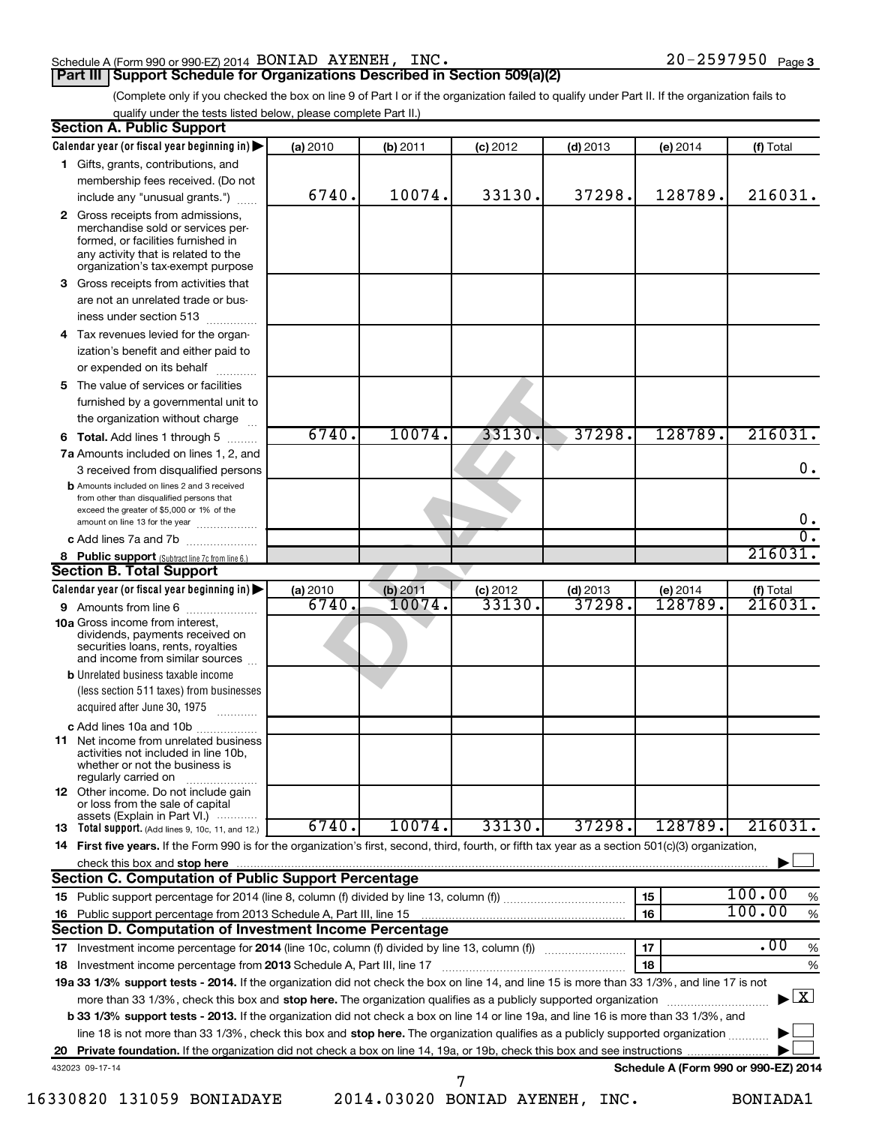## Schedule A (Form 990 or 990-EZ) 2014 Page BONIAD AYENEH, INC. 20-2597950

(Complete only if you checked the box on line 9 of Part I or if the organization failed to qualify under Part II. If the organization fails to qualify under the tests listed below, please complete Part II.)

| <b>Section A. Public Support</b>                                                                                                                                                         |          |          |            |            |                                      |                                          |
|------------------------------------------------------------------------------------------------------------------------------------------------------------------------------------------|----------|----------|------------|------------|--------------------------------------|------------------------------------------|
| Calendar year (or fiscal year beginning in)                                                                                                                                              | (a) 2010 | (b) 2011 | $(c)$ 2012 | $(d)$ 2013 | (e) 2014                             | (f) Total                                |
| 1 Gifts, grants, contributions, and                                                                                                                                                      |          |          |            |            |                                      |                                          |
| membership fees received. (Do not                                                                                                                                                        |          |          |            |            |                                      |                                          |
| include any "unusual grants.")                                                                                                                                                           | 6740.    | 10074.   | 33130.     | 37298.     | 128789.                              | 216031.                                  |
| 2 Gross receipts from admissions,<br>merchandise sold or services per-<br>formed, or facilities furnished in<br>any activity that is related to the<br>organization's tax-exempt purpose |          |          |            |            |                                      |                                          |
| 3 Gross receipts from activities that                                                                                                                                                    |          |          |            |            |                                      |                                          |
| are not an unrelated trade or bus-                                                                                                                                                       |          |          |            |            |                                      |                                          |
| iness under section 513                                                                                                                                                                  |          |          |            |            |                                      |                                          |
| 4 Tax revenues levied for the organ-                                                                                                                                                     |          |          |            |            |                                      |                                          |
| ization's benefit and either paid to<br>or expended on its behalf<br>.                                                                                                                   |          |          |            |            |                                      |                                          |
| 5 The value of services or facilities                                                                                                                                                    |          |          |            |            |                                      |                                          |
| furnished by a governmental unit to                                                                                                                                                      |          |          |            |            |                                      |                                          |
| the organization without charge                                                                                                                                                          |          |          |            |            |                                      |                                          |
| 6 Total. Add lines 1 through 5<br>in de estas estas                                                                                                                                      | 6740.    | 10074.   | 33130.     | 37298      | 128789.                              | 216031.                                  |
| 7a Amounts included on lines 1, 2, and<br>3 received from disqualified persons                                                                                                           |          |          |            |            |                                      | 0.                                       |
| <b>b</b> Amounts included on lines 2 and 3 received<br>from other than disqualified persons that                                                                                         |          |          |            |            |                                      |                                          |
| exceed the greater of \$5,000 or 1% of the<br>amount on line 13 for the year                                                                                                             |          |          |            |            |                                      | 0.                                       |
| c Add lines 7a and 7b                                                                                                                                                                    |          |          |            |            |                                      | σ.                                       |
| 8 Public support (Subtract line 7c from line 6.)<br><b>Section B. Total Support</b>                                                                                                      |          |          |            |            |                                      | 216031.                                  |
| Calendar year (or fiscal year beginning in)                                                                                                                                              | (a) 2010 | (b) 2011 | $(c)$ 2012 | $(d)$ 2013 | (e) 2014                             | (f) Total                                |
| <b>9</b> Amounts from line 6                                                                                                                                                             | 6740.    | 10074.   | 33130.     | 37298      | <u>128789.</u>                       | 216031.                                  |
| <b>10a</b> Gross income from interest,<br>dividends, payments received on<br>securities loans, rents, royalties<br>and income from similar sources                                       |          |          |            |            |                                      |                                          |
| <b>b</b> Unrelated business taxable income                                                                                                                                               |          |          |            |            |                                      |                                          |
| (less section 511 taxes) from businesses                                                                                                                                                 |          |          |            |            |                                      |                                          |
| acquired after June 30, 1975                                                                                                                                                             |          |          |            |            |                                      |                                          |
| c Add lines 10a and 10b                                                                                                                                                                  |          |          |            |            |                                      |                                          |
| <b>11</b> Net income from unrelated business<br>activities not included in line 10b.<br>whether or not the business is<br>regularly carried on                                           |          |          |            |            |                                      |                                          |
| <b>12</b> Other income. Do not include gain<br>or loss from the sale of capital                                                                                                          |          |          |            |            |                                      |                                          |
| assets (Explain in Part VI.)<br><b>13</b> Total support. (Add lines 9, 10c, 11, and 12.)                                                                                                 | 6740.    | 10074.   | 33130.     | 37298.     | 128789.                              | 216031.                                  |
| 14 First five years. If the Form 990 is for the organization's first, second, third, fourth, or fifth tax year as a section 501(c)(3) organization,                                      |          |          |            |            |                                      |                                          |
| check this box and stop here                                                                                                                                                             |          |          |            |            |                                      |                                          |
| <b>Section C. Computation of Public Support Percentage</b>                                                                                                                               |          |          |            |            |                                      |                                          |
|                                                                                                                                                                                          |          |          |            |            | 15                                   | 100.00<br>%                              |
|                                                                                                                                                                                          |          |          |            |            | 16                                   | 100.00<br>$\%$                           |
| Section D. Computation of Investment Income Percentage                                                                                                                                   |          |          |            |            |                                      |                                          |
|                                                                                                                                                                                          |          |          |            |            | 17                                   | .00<br>%                                 |
| 18 Investment income percentage from 2013 Schedule A, Part III, line 17                                                                                                                  |          |          |            |            | 18                                   | %                                        |
| 19a 33 1/3% support tests - 2014. If the organization did not check the box on line 14, and line 15 is more than 33 1/3%, and line 17 is not                                             |          |          |            |            |                                      |                                          |
| more than 33 1/3%, check this box and stop here. The organization qualifies as a publicly supported organization                                                                         |          |          |            |            |                                      | $\blacktriangleright$ $\boxed{\text{X}}$ |
| b 33 1/3% support tests - 2013. If the organization did not check a box on line 14 or line 19a, and line 16 is more than 33 1/3%, and                                                    |          |          |            |            |                                      |                                          |
| line 18 is not more than 33 1/3%, check this box and stop here. The organization qualifies as a publicly supported organization                                                          |          |          |            |            |                                      |                                          |
|                                                                                                                                                                                          |          |          |            |            |                                      |                                          |
| 432023 09-17-14                                                                                                                                                                          |          |          |            |            | Schedule A (Form 990 or 990-EZ) 2014 |                                          |
|                                                                                                                                                                                          |          |          | 7          |            |                                      |                                          |

16330820 131059 BONIADAYE 2014.03020 BONIAD AYENEH, INC. BONIADA1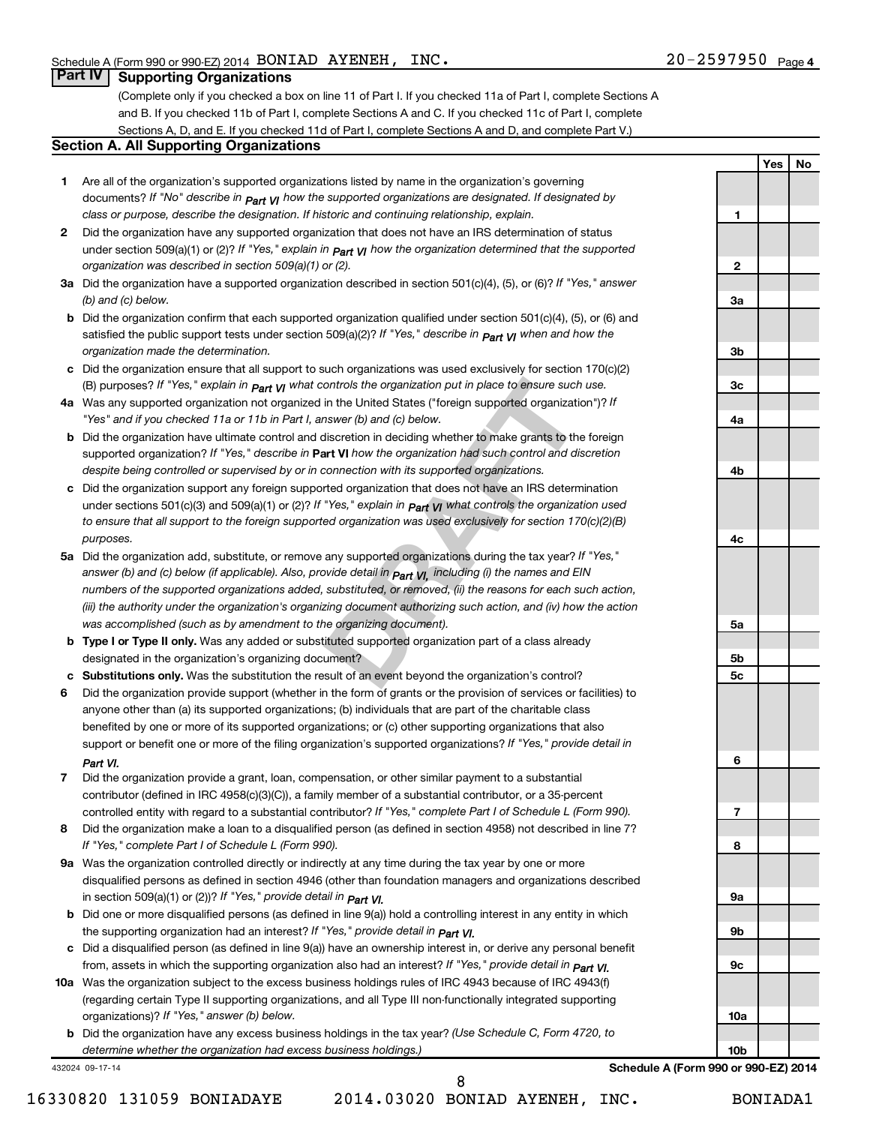**1**

**2**

**3a**

**3b**

**3c**

**4a**

**4b**

**4c**

**5a**

**5b 5c**

**6**

**7**

**8**

**9a**

**9b**

**9c**

**10a**

**10b**

**Yes No**

## **Part IV Supporting Organizations**

(Complete only if you checked a box on line 11 of Part I. If you checked 11a of Part I, complete Sections A and B. If you checked 11b of Part I, complete Sections A and C. If you checked 11c of Part I, complete Sections A, D, and E. If you checked 11d of Part I, complete Sections A and D, and complete Part V.)

## **Section A. All Supporting Organizations**

- **1** Are all of the organization's supported organizations listed by name in the organization's governing documents? If "No" describe in  $_{\mathsf{Part}}$   $_{\mathsf{V}}$  how the supported organizations are designated. If designated by *class or purpose, describe the designation. If historic and continuing relationship, explain.*
- **2** Did the organization have any supported organization that does not have an IRS determination of status under section 509(a)(1) or (2)? If "Yes," explain in  $_{\sf Part}$   $_{\sf VI}$  how the organization determined that the supported *organization was described in section 509(a)(1) or (2).*
- **3a** Did the organization have a supported organization described in section 501(c)(4), (5), or (6)? If "Yes," answer *(b) and (c) below.*
- **b** Did the organization confirm that each supported organization qualified under section 501(c)(4), (5), or (6) and satisfied the public support tests under section 509(a)(2)? If "Yes," describe in  $_{\rm Part}$   $_{\rm VI}$  when and how the *organization made the determination.*
- **c** Did the organization ensure that all support to such organizations was used exclusively for section 170(c)(2) (B) purposes? If "Yes," explain in  $_{\mathsf{Part}}$   $_{\mathsf{V}}$  what controls the organization put in place to ensure such use.
- **4 a** *If* Was any supported organization not organized in the United States ("foreign supported organization")? *"Yes" and if you checked 11a or 11b in Part I, answer (b) and (c) below.*
- **b** Did the organization have ultimate control and discretion in deciding whether to make grants to the foreign supported organization? If "Yes," describe in Part VI how the organization had such control and discretion *despite being controlled or supervised by or in connection with its supported organizations.*
- **c** Did the organization support any foreign supported organization that does not have an IRS determination under sections 501(c)(3) and 509(a)(1) or (2)? If "Yes," ex*plain in*  $_{\sf Part}$  *v*I what controls the organization used *to ensure that all support to the foreign supported organization was used exclusively for section 170(c)(2)(B) purposes.*
- ontrols the organization put in place to ensure such use.<br>
in the United States ("foreign supported organization")? If<br>
first the United States ("foreign supported organization")? If<br>
first the foreign<br>
discretion in decid **5a** Did the organization add, substitute, or remove any supported organizations during the tax year? If "Yes," answer (b) and (c) below (if applicable). Also, provide detail in  $_{\mathsf{Part}}$   $_{\mathsf{VI},\,}$  including (i) the names and EIN *numbers of the supported organizations added, substituted, or removed, (ii) the reasons for each such action, (iii) the authority under the organization's organizing document authorizing such action, and (iv) how the action was accomplished (such as by amendment to the organizing document).*
- **b** Type I or Type II only. Was any added or substituted supported organization part of a class already designated in the organization's organizing document?
- **c Substitutions only.**  Was the substitution the result of an event beyond the organization's control?
- **6** Did the organization provide support (whether in the form of grants or the provision of services or facilities) to support or benefit one or more of the filing organization's supported organizations? If "Yes," provide detail in anyone other than (a) its supported organizations; (b) individuals that are part of the charitable class benefited by one or more of its supported organizations; or (c) other supporting organizations that also *Part VI.*
- **7** Did the organization provide a grant, loan, compensation, or other similar payment to a substantial controlled entity with regard to a substantial contributor? If "Yes," complete Part I of Schedule L (Form 990). contributor (defined in IRC 4958(c)(3)(C)), a family member of a substantial contributor, or a 35-percent
- **8** Did the organization make a loan to a disqualified person (as defined in section 4958) not described in line 7? *If "Yes," complete Part I of Schedule L (Form 990).*
- **9 a** Was the organization controlled directly or indirectly at any time during the tax year by one or more *If "Yes," provide detail in*  in section 509(a)(1) or (2))? *Part VI.* disqualified persons as defined in section 4946 (other than foundation managers and organizations described
- **b** Did one or more disqualified persons (as defined in line 9(a)) hold a controlling interest in any entity in which  *If "Yes," provide detail in*  the supporting organization had an interest? *Part VI.*
- **c** Did a disqualified person (as defined in line 9(a)) have an ownership interest in, or derive any personal benefit from, assets in which the supporting organization also had an interest? If "Yes," *provide detail in Part VI.*
- **10 a** Was the organization subject to the excess business holdings rules of IRC 4943 because of IRC 4943(f)  *If "Yes," answer (b) below.* organizations)? (regarding certain Type II supporting organizations, and all Type III non-functionally integrated supporting
	- **b** Did the organization have any excess business holdings in the tax year? (Use Schedule C, Form 4720, to *determine whether the organization had excess business holdings.)*

432024 09-17-14

**Schedule A (Form 990 or 990-EZ) 2014**

8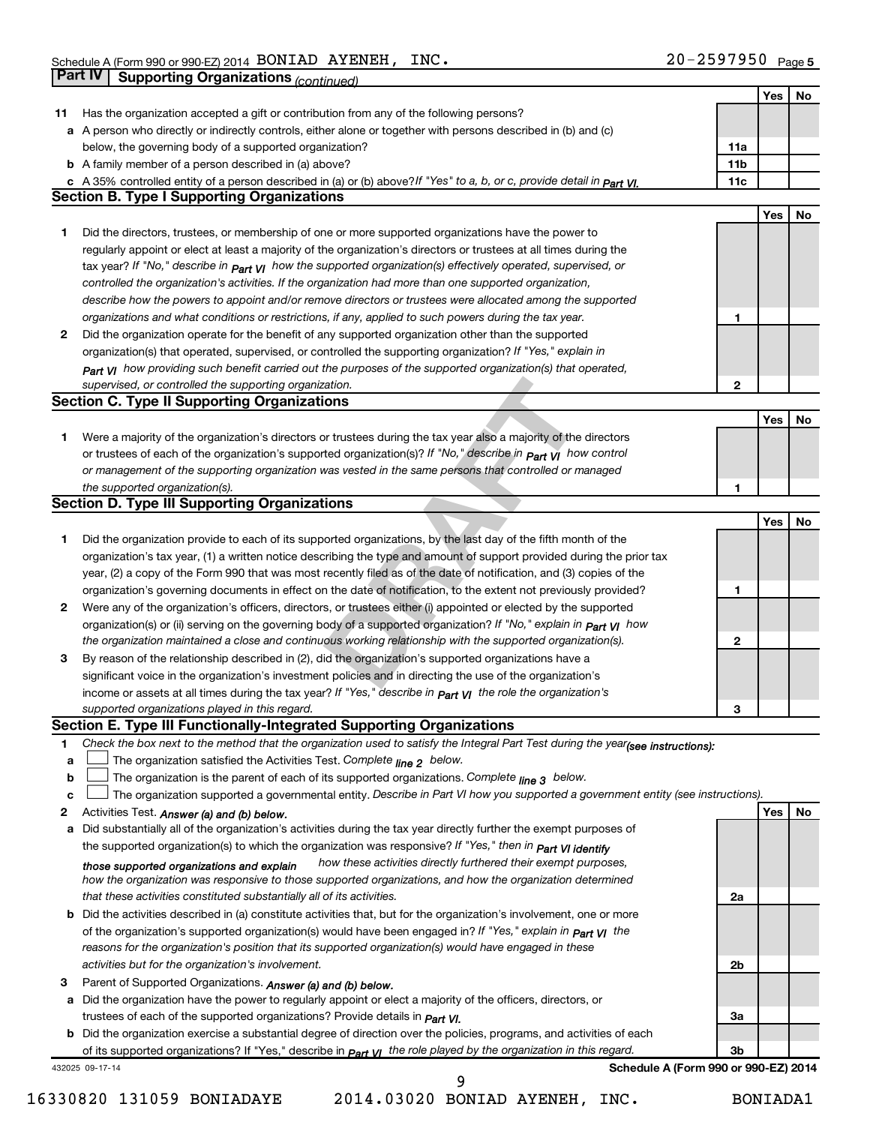|    | Part IV<br><b>Supporting Organizations (continued)</b>                                                                            |                 |     |    |
|----|-----------------------------------------------------------------------------------------------------------------------------------|-----------------|-----|----|
|    |                                                                                                                                   |                 | Yes | No |
| 11 | Has the organization accepted a gift or contribution from any of the following persons?                                           |                 |     |    |
|    | a A person who directly or indirectly controls, either alone or together with persons described in (b) and (c)                    |                 |     |    |
|    | below, the governing body of a supported organization?                                                                            | 11a             |     |    |
|    | <b>b</b> A family member of a person described in (a) above?                                                                      | 11 <sub>b</sub> |     |    |
|    | c A 35% controlled entity of a person described in (a) or (b) above?If "Yes" to a, b, or c, provide detail in Part VI.            | 11c             |     |    |
|    | <b>Section B. Type I Supporting Organizations</b>                                                                                 |                 |     |    |
|    |                                                                                                                                   |                 | Yes | No |
|    |                                                                                                                                   |                 |     |    |
| 1  | Did the directors, trustees, or membership of one or more supported organizations have the power to                               |                 |     |    |
|    | regularly appoint or elect at least a majority of the organization's directors or trustees at all times during the                |                 |     |    |
|    | tax year? If "No," describe in $P_{art}$ $V_I$ how the supported organization(s) effectively operated, supervised, or             |                 |     |    |
|    | controlled the organization's activities. If the organization had more than one supported organization,                           |                 |     |    |
|    | describe how the powers to appoint and/or remove directors or trustees were allocated among the supported                         |                 |     |    |
|    | organizations and what conditions or restrictions, if any, applied to such powers during the tax year.                            | 1               |     |    |
| 2  | Did the organization operate for the benefit of any supported organization other than the supported                               |                 |     |    |
|    | organization(s) that operated, supervised, or controlled the supporting organization? If "Yes," explain in                        |                 |     |    |
|    | $_{Part}$ v <sub>I</sub> how providing such benefit carried out the purposes of the supported organization(s) that operated,      |                 |     |    |
|    | supervised, or controlled the supporting organization.                                                                            | $\mathbf{2}$    |     |    |
|    | <b>Section C. Type II Supporting Organizations</b>                                                                                |                 |     |    |
|    |                                                                                                                                   |                 | Yes | No |
| 1. | Were a majority of the organization's directors or trustees during the tax year also a majority of the directors                  |                 |     |    |
|    | or trustees of each of the organization's supported organization(s)? If "No," describe in $P_{\text{art }VI}$ how control         |                 |     |    |
|    | or management of the supporting organization was vested in the same persons that controlled or managed                            |                 |     |    |
|    | the supported organization(s).                                                                                                    | 1               |     |    |
|    | <b>Section D. Type III Supporting Organizations</b>                                                                               |                 |     |    |
|    |                                                                                                                                   |                 | Yes | No |
| 1  | Did the organization provide to each of its supported organizations, by the last day of the fifth month of the                    |                 |     |    |
|    | organization's tax year, (1) a written notice describing the type and amount of support provided during the prior tax             |                 |     |    |
|    | year, (2) a copy of the Form 990 that was most recently filed as of the date of notification, and (3) copies of the               |                 |     |    |
|    | organization's governing documents in effect on the date of notification, to the extent not previously provided?                  | 1               |     |    |
| 2  | Were any of the organization's officers, directors, or trustees either (i) appointed or elected by the supported                  |                 |     |    |
|    | organization(s) or (ii) serving on the governing body of a supported organization? If "No," explain in part VI how                |                 |     |    |
|    | the organization maintained a close and continuous working relationship with the supported organization(s).                       | 2               |     |    |
| 3  | By reason of the relationship described in (2), did the organization's supported organizations have a                             |                 |     |    |
|    |                                                                                                                                   |                 |     |    |
|    | significant voice in the organization's investment policies and in directing the use of the organization's                        |                 |     |    |
|    | income or assets at all times during the tax year? If "Yes," describe in $P_{\text{art } V1}$ the role the organization's         |                 |     |    |
|    | supported organizations played in this regard.<br>Section E. Type III Functionally-Integrated Supporting Organizations            | з               |     |    |
|    |                                                                                                                                   |                 |     |    |
| 1  | Check the box next to the method that the organization used to satisfy the Integral Part Test during the year(see instructions):  |                 |     |    |
| а  | The organization satisfied the Activities Test. Complete line 2 below.                                                            |                 |     |    |
| b  | The organization is the parent of each of its supported organizations. Complete line 3 below.                                     |                 |     |    |
| c  | The organization supported a governmental entity. Describe in Part VI how you supported a government entity (see instructions).   |                 |     |    |
| 2  | Activities Test. Answer (a) and (b) below.                                                                                        |                 | Yes | No |
| а  | Did substantially all of the organization's activities during the tax year directly further the exempt purposes of                |                 |     |    |
|    | the supported organization(s) to which the organization was responsive? If "Yes," then in Part VI identify                        |                 |     |    |
|    | how these activities directly furthered their exempt purposes,<br>those supported organizations and explain                       |                 |     |    |
|    | how the organization was responsive to those supported organizations, and how the organization determined                         |                 |     |    |
|    | that these activities constituted substantially all of its activities.                                                            | 2a              |     |    |
|    | <b>b</b> Did the activities described in (a) constitute activities that, but for the organization's involvement, one or more      |                 |     |    |
|    | of the organization's supported organization(s) would have been engaged in? If "Yes," explain in <b>Part VI</b> the               |                 |     |    |
|    | reasons for the organization's position that its supported organization(s) would have engaged in these                            |                 |     |    |
|    | activities but for the organization's involvement.                                                                                | 2b              |     |    |
| 3  | Parent of Supported Organizations. Answer (a) and (b) below.                                                                      |                 |     |    |
| а  | Did the organization have the power to regularly appoint or elect a majority of the officers, directors, or                       |                 |     |    |
|    | trustees of each of the supported organizations? Provide details in <i>Part VI.</i>                                               | За              |     |    |
|    | <b>b</b> Did the organization exercise a substantial degree of direction over the policies, programs, and activities of each      |                 |     |    |
|    | of its supported organizations? If "Yes," describe in $P_{\text{diff}}$ $y_1$ the role played by the organization in this regard. | Зb              |     |    |
|    | Schedule A (Form 990 or 990-EZ) 2014<br>432025 09-17-14                                                                           |                 |     |    |
|    | 9                                                                                                                                 |                 |     |    |

16330820 131059 BONIADAYE 2014.03020 BONIAD AYENEH, INC. BONIADA1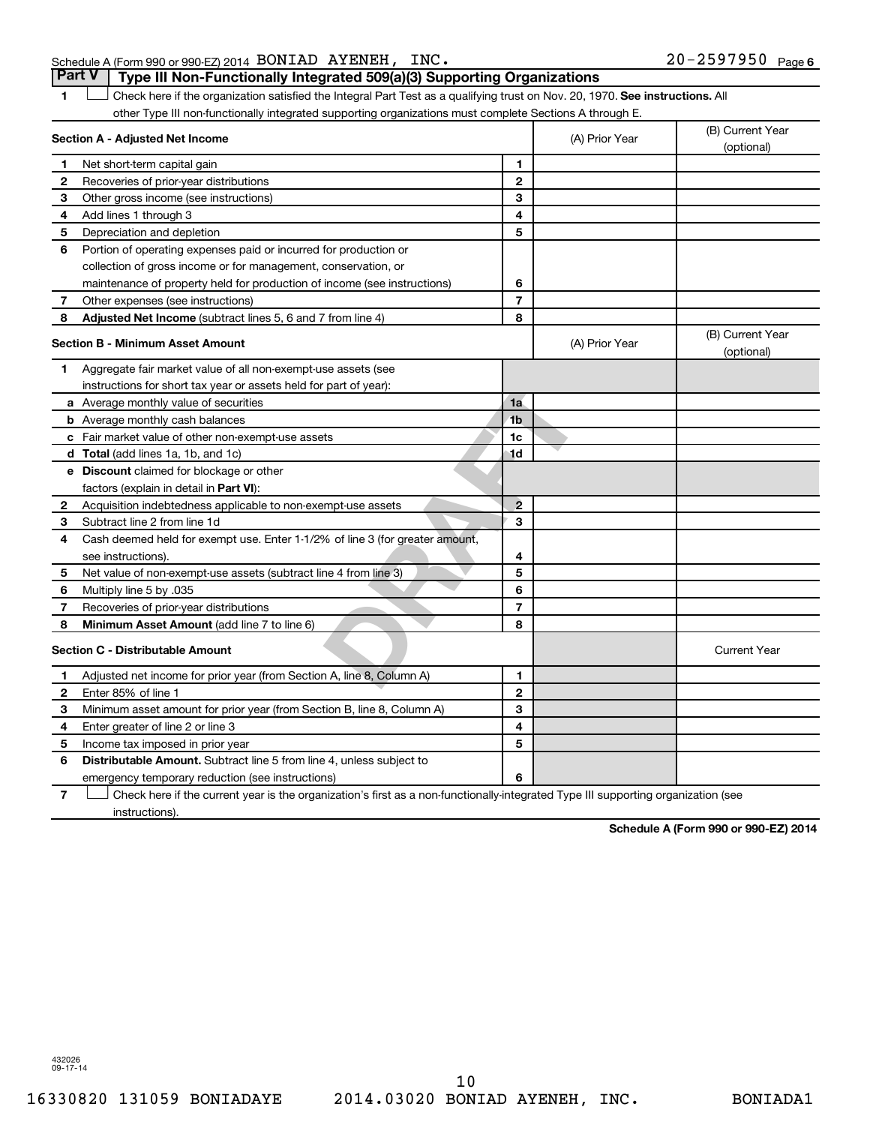## Schedule A (Form 990 or 990-EZ) 2014 Page BONIAD AYENEH, INC. 20-2597950

1 **Letter on Reck here if the organization satisfied the Integral Part Test as a qualifying trust on Nov. 20, 1970. See instructions. All** other Type III non-functionally integrated supporting organizations must complete Sections A through E. **Part V Type III Non-Functionally Integrated 509(a)(3) Supporting Organizations** 

|   | Section A - Adjusted Net Income                                                                                                   |                | (A) Prior Year | (B) Current Year<br>(optional) |
|---|-----------------------------------------------------------------------------------------------------------------------------------|----------------|----------------|--------------------------------|
| 1 | Net short-term capital gain                                                                                                       | 1              |                |                                |
| 2 | Recoveries of prior-year distributions                                                                                            | $\mathbf{2}$   |                |                                |
| З | Other gross income (see instructions)                                                                                             | 3              |                |                                |
| 4 | Add lines 1 through 3                                                                                                             | 4              |                |                                |
| 5 | Depreciation and depletion                                                                                                        | 5              |                |                                |
| 6 | Portion of operating expenses paid or incurred for production or                                                                  |                |                |                                |
|   | collection of gross income or for management, conservation, or                                                                    |                |                |                                |
|   | maintenance of property held for production of income (see instructions)                                                          | 6              |                |                                |
| 7 | Other expenses (see instructions)                                                                                                 | $\overline{7}$ |                |                                |
| 8 | Adjusted Net Income (subtract lines 5, 6 and 7 from line 4)                                                                       | 8              |                |                                |
|   | Section B - Minimum Asset Amount                                                                                                  |                | (A) Prior Year | (B) Current Year<br>(optional) |
| 1 | Aggregate fair market value of all non-exempt-use assets (see                                                                     |                |                |                                |
|   | instructions for short tax year or assets held for part of year):                                                                 |                |                |                                |
|   | <b>a</b> Average monthly value of securities                                                                                      | 1a             |                |                                |
|   | <b>b</b> Average monthly cash balances                                                                                            | 1 <sub>b</sub> |                |                                |
|   | c Fair market value of other non-exempt-use assets                                                                                | 1c             |                |                                |
|   | d Total (add lines 1a, 1b, and 1c)                                                                                                | 1d             |                |                                |
|   | e Discount claimed for blockage or other                                                                                          |                |                |                                |
|   | factors (explain in detail in Part VI):                                                                                           |                |                |                                |
| 2 | Acquisition indebtedness applicable to non-exempt-use assets                                                                      | $\overline{2}$ |                |                                |
| 3 | Subtract line 2 from line 1d                                                                                                      | 3              |                |                                |
| 4 | Cash deemed held for exempt use. Enter 1-1/2% of line 3 (for greater amount,                                                      |                |                |                                |
|   | see instructions).                                                                                                                | 4              |                |                                |
| 5 | Net value of non-exempt-use assets (subtract line 4 from line 3)                                                                  | 5              |                |                                |
| 6 | Multiply line 5 by .035                                                                                                           | 6              |                |                                |
| 7 | Recoveries of prior-year distributions                                                                                            | $\overline{7}$ |                |                                |
| 8 | Minimum Asset Amount (add line 7 to line 6)                                                                                       | 8              |                |                                |
|   | <b>Section C - Distributable Amount</b>                                                                                           |                |                | <b>Current Year</b>            |
| 1 | Adjusted net income for prior year (from Section A, line 8, Column A)                                                             | $\mathbf{1}$   |                |                                |
| 2 | Enter 85% of line 1                                                                                                               | $\mathbf{2}$   |                |                                |
| З | Minimum asset amount for prior year (from Section B, line 8, Column A)                                                            | 3              |                |                                |
| 4 | Enter greater of line 2 or line 3                                                                                                 | 4              |                |                                |
| 5 | Income tax imposed in prior year                                                                                                  | 5              |                |                                |
| 6 | <b>Distributable Amount.</b> Subtract line 5 from line 4, unless subject to                                                       |                |                |                                |
|   | emergency temporary reduction (see instructions)                                                                                  | 6              |                |                                |
| 7 | Check here if the current year is the organization's first as a non-functionally-integrated Type III supporting organization (see |                |                |                                |

instructions).

**Schedule A (Form 990 or 990-EZ) 2014**

432026 09-17-14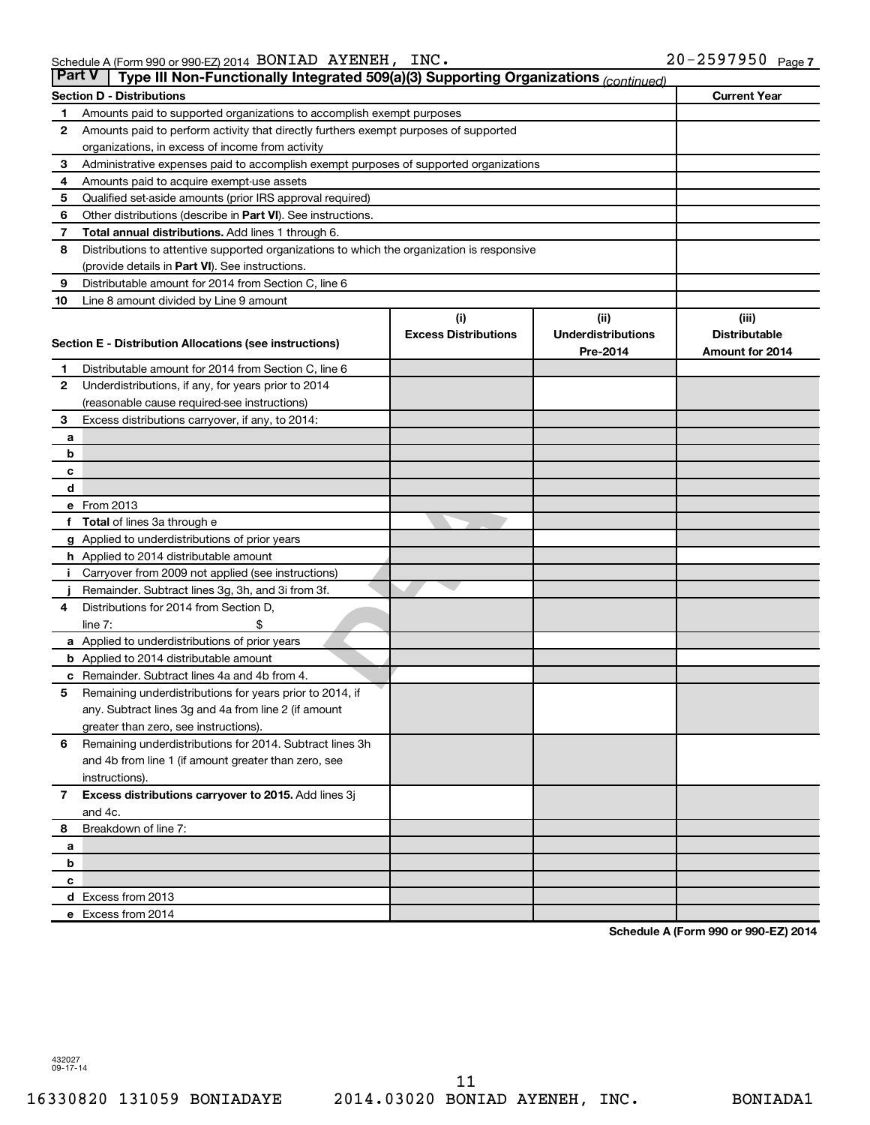|                | <b>Part V</b><br>Type III Non-Functionally Integrated 509(a)(3) Supporting Organizations (continued) |                             |                           |                      |  |  |  |  |  |  |
|----------------|------------------------------------------------------------------------------------------------------|-----------------------------|---------------------------|----------------------|--|--|--|--|--|--|
|                | <b>Section D - Distributions</b>                                                                     |                             |                           | <b>Current Year</b>  |  |  |  |  |  |  |
| 1              | Amounts paid to supported organizations to accomplish exempt purposes                                |                             |                           |                      |  |  |  |  |  |  |
| 2              | Amounts paid to perform activity that directly furthers exempt purposes of supported                 |                             |                           |                      |  |  |  |  |  |  |
|                | organizations, in excess of income from activity                                                     |                             |                           |                      |  |  |  |  |  |  |
| 3              | Administrative expenses paid to accomplish exempt purposes of supported organizations                |                             |                           |                      |  |  |  |  |  |  |
| 4              | Amounts paid to acquire exempt-use assets                                                            |                             |                           |                      |  |  |  |  |  |  |
| 5              | Qualified set-aside amounts (prior IRS approval required)                                            |                             |                           |                      |  |  |  |  |  |  |
| 6              | Other distributions (describe in Part VI). See instructions.                                         |                             |                           |                      |  |  |  |  |  |  |
| 7              | Total annual distributions. Add lines 1 through 6.                                                   |                             |                           |                      |  |  |  |  |  |  |
| 8              | Distributions to attentive supported organizations to which the organization is responsive           |                             |                           |                      |  |  |  |  |  |  |
|                | (provide details in Part VI). See instructions.                                                      |                             |                           |                      |  |  |  |  |  |  |
| 9              | Distributable amount for 2014 from Section C, line 6                                                 |                             |                           |                      |  |  |  |  |  |  |
| 10             | Line 8 amount divided by Line 9 amount                                                               |                             |                           |                      |  |  |  |  |  |  |
|                |                                                                                                      | (i)                         | (i)                       | (iii)                |  |  |  |  |  |  |
|                | Section E - Distribution Allocations (see instructions)                                              | <b>Excess Distributions</b> | <b>Underdistributions</b> | <b>Distributable</b> |  |  |  |  |  |  |
|                |                                                                                                      |                             | Pre-2014                  | Amount for 2014      |  |  |  |  |  |  |
| 1              | Distributable amount for 2014 from Section C, line 6                                                 |                             |                           |                      |  |  |  |  |  |  |
| $\mathbf{2}$   | Underdistributions, if any, for years prior to 2014                                                  |                             |                           |                      |  |  |  |  |  |  |
|                | (reasonable cause required-see instructions)                                                         |                             |                           |                      |  |  |  |  |  |  |
| 3              | Excess distributions carryover, if any, to 2014:                                                     |                             |                           |                      |  |  |  |  |  |  |
| a              |                                                                                                      |                             |                           |                      |  |  |  |  |  |  |
| b              |                                                                                                      |                             |                           |                      |  |  |  |  |  |  |
| с              |                                                                                                      |                             |                           |                      |  |  |  |  |  |  |
| d              | e From 2013                                                                                          |                             |                           |                      |  |  |  |  |  |  |
|                | <b>Total</b> of lines 3a through e                                                                   |                             |                           |                      |  |  |  |  |  |  |
|                | g Applied to underdistributions of prior years                                                       |                             |                           |                      |  |  |  |  |  |  |
|                | <b>h</b> Applied to 2014 distributable amount                                                        |                             |                           |                      |  |  |  |  |  |  |
|                | Carryover from 2009 not applied (see instructions)                                                   |                             |                           |                      |  |  |  |  |  |  |
|                | Remainder. Subtract lines 3g, 3h, and 3i from 3f.                                                    |                             |                           |                      |  |  |  |  |  |  |
| 4              | Distributions for 2014 from Section D,                                                               |                             |                           |                      |  |  |  |  |  |  |
|                | $line 7$ :                                                                                           |                             |                           |                      |  |  |  |  |  |  |
|                | a Applied to underdistributions of prior years                                                       |                             |                           |                      |  |  |  |  |  |  |
|                | <b>b</b> Applied to 2014 distributable amount                                                        |                             |                           |                      |  |  |  |  |  |  |
| с              | Remainder. Subtract lines 4a and 4b from 4.                                                          |                             |                           |                      |  |  |  |  |  |  |
| 5              | Remaining underdistributions for years prior to 2014, if                                             |                             |                           |                      |  |  |  |  |  |  |
|                | any. Subtract lines 3g and 4a from line 2 (if amount                                                 |                             |                           |                      |  |  |  |  |  |  |
|                | greater than zero, see instructions).                                                                |                             |                           |                      |  |  |  |  |  |  |
| 6              | Remaining underdistributions for 2014. Subtract lines 3h                                             |                             |                           |                      |  |  |  |  |  |  |
|                | and 4b from line 1 (if amount greater than zero, see                                                 |                             |                           |                      |  |  |  |  |  |  |
|                | instructions).                                                                                       |                             |                           |                      |  |  |  |  |  |  |
| $\overline{7}$ | Excess distributions carryover to 2015. Add lines 3j                                                 |                             |                           |                      |  |  |  |  |  |  |
|                | and 4c.                                                                                              |                             |                           |                      |  |  |  |  |  |  |
| 8              | Breakdown of line 7:                                                                                 |                             |                           |                      |  |  |  |  |  |  |
| a              |                                                                                                      |                             |                           |                      |  |  |  |  |  |  |
| b              |                                                                                                      |                             |                           |                      |  |  |  |  |  |  |
| с              |                                                                                                      |                             |                           |                      |  |  |  |  |  |  |
|                | d Excess from 2013                                                                                   |                             |                           |                      |  |  |  |  |  |  |
|                | e Excess from 2014                                                                                   |                             |                           |                      |  |  |  |  |  |  |

**Schedule A (Form 990 or 990-EZ) 2014**

432027 09-17-14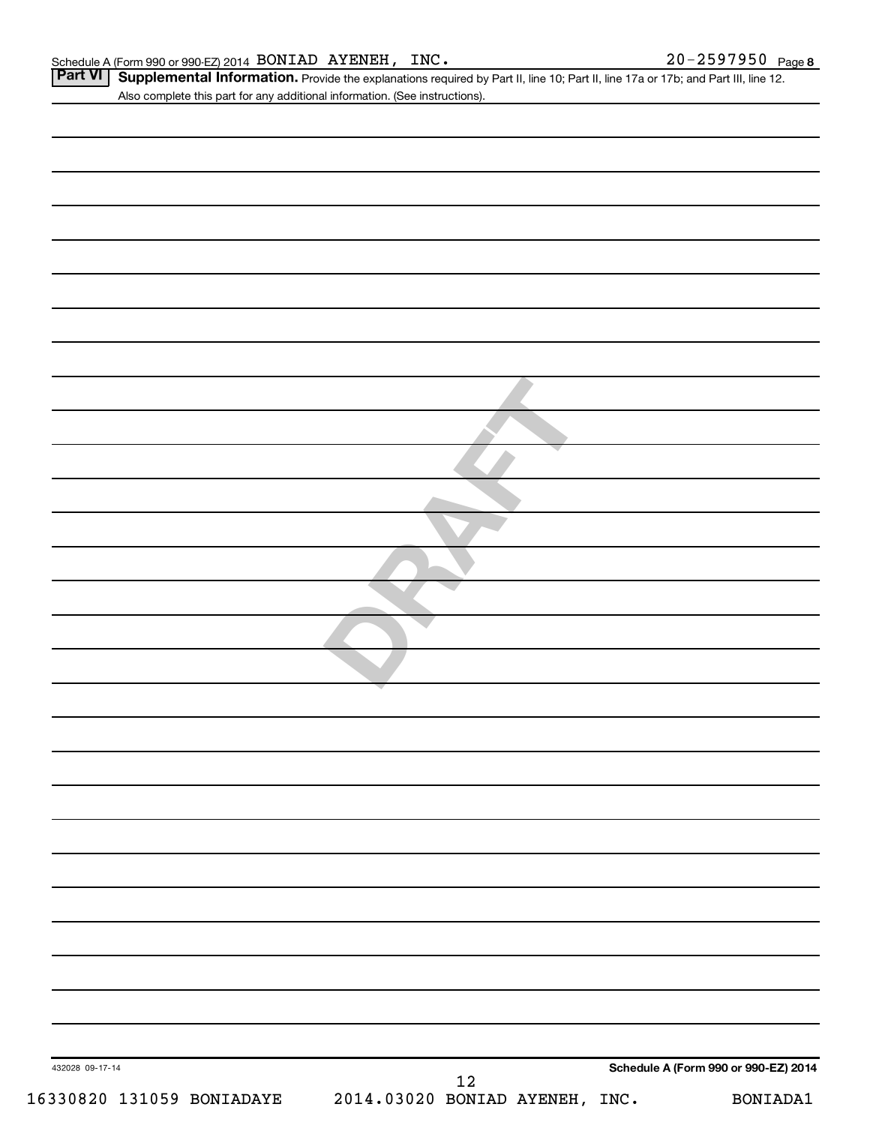| Schedule A (Form 990 or 990-EZ) 2014 BONIAD AYENEH, INC.                                                                                         | $20 - 2597950$ Page 8 |  |
|--------------------------------------------------------------------------------------------------------------------------------------------------|-----------------------|--|
| <b>Part VI</b> Supplemental Information. Provide the explanations required by Part II, line 10; Part II, line 17a or 17b; and Part III, line 12. |                       |  |
| Also complete this part for any additional information. (See instructions).                                                                      |                       |  |
|                                                                                                                                                  |                       |  |
|                                                                                                                                                  |                       |  |
|                                                                                                                                                  |                       |  |
|                                                                                                                                                  |                       |  |
|                                                                                                                                                  |                       |  |
|                                                                                                                                                  |                       |  |
|                                                                                                                                                  |                       |  |
|                                                                                                                                                  |                       |  |

**DRAFT**

432028 09-17-14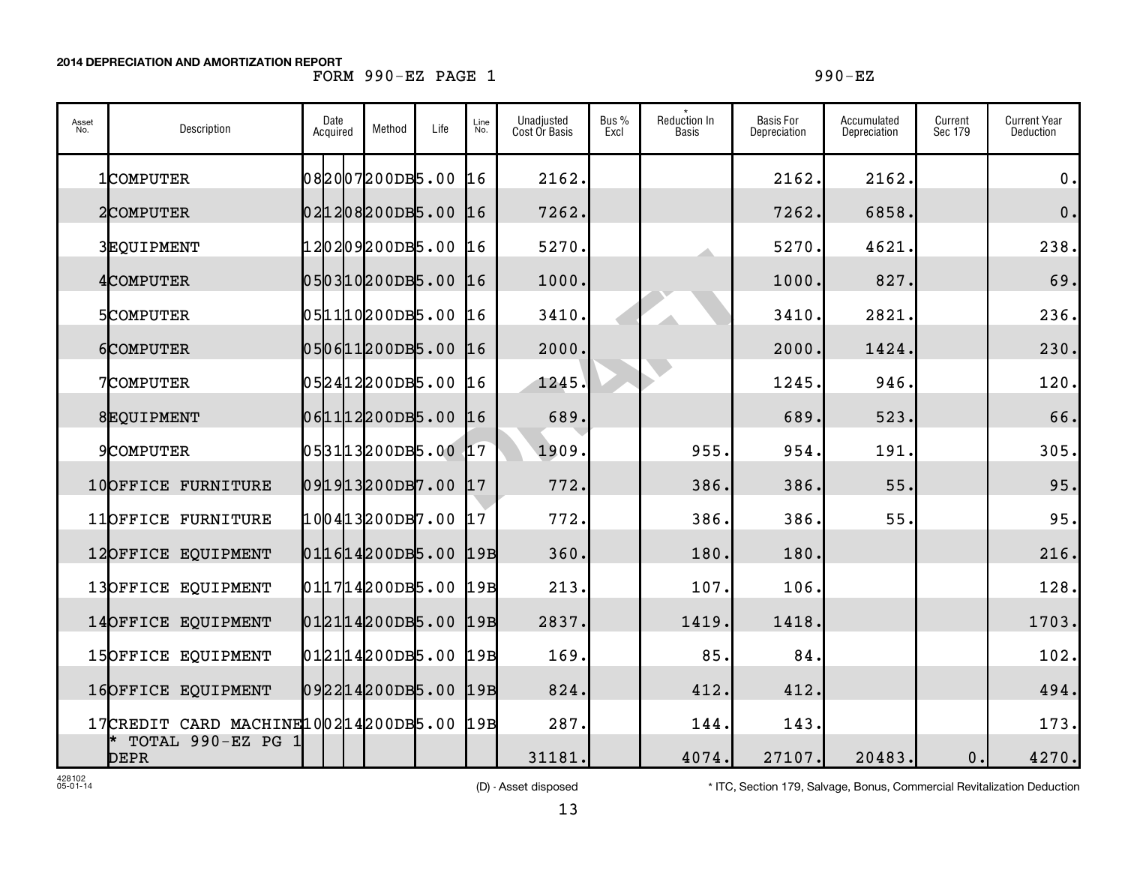### **2014 DEPRECIATION AND AMORTIZATION REPORT**

## FORM 990-EZ PAGE 1 990-EZ

| Asset<br>No. | Description                              | Date<br>Acquired       | Method | Life | Line<br>No. | Unadjusted<br>Cost Or Basis | Bus %<br>Excl | Reduction In<br><b>Basis</b> | <b>Basis For</b><br>Depreciation | Accumulated<br>Depreciation | Current<br>Sec 179 | <b>Current Year</b><br>Deduction |
|--------------|------------------------------------------|------------------------|--------|------|-------------|-----------------------------|---------------|------------------------------|----------------------------------|-----------------------------|--------------------|----------------------------------|
|              | 1COMPUTER                                | 082007200DB5.00        |        |      | 16          | 2162.                       |               |                              | 2162.                            | 2162.                       |                    | 0.                               |
|              | 2COMPUTER                                | 021208200DB5.00        |        |      | 16          | 7262.                       |               |                              | 7262.                            | 6858.                       |                    | $0$ .                            |
|              | 3EQUIPMENT                               | 120209200DB5.00        |        |      | 16          | 5270.                       |               |                              | 5270.                            | 4621.                       |                    | 238.                             |
|              | 4COMPUTER                                | 050310200DB5.00        |        |      | 16          | 1000.                       |               |                              | 1000.                            | 827.                        |                    | 69.                              |
|              | 5COMPUTER                                | 051110200DB5.00        |        |      | 16          | 3410.                       |               |                              | 3410.                            | 2821.                       |                    | 236.                             |
|              | 6COMPUTER                                | 050611200DB5.00        |        |      | 16          | 2000.                       |               |                              | 2000.                            | 1424.                       |                    | 230.                             |
|              | 7COMPUTER                                | 052412200DB5.00        |        |      | 16          | 1245.                       |               |                              | 1245.                            | 946.                        |                    | 120.                             |
|              | 8EQUIPMENT                               | 061112200DB5.00        |        |      | 16          | 689.                        |               |                              | 689.                             | 523.                        |                    | 66.                              |
|              | 9COMPUTER                                | 053113200DB5.00        |        |      | 117         | 1909.                       |               | 955.                         | 954.                             | 191.                        |                    | 305.                             |
|              | 10OFFICE FURNITURE                       | $091913200DB7.00$ $17$ |        |      |             | 772.                        |               | 386.                         | 386.                             | 55.                         |                    | 95.                              |
|              | 11OFFICE FURNITURE                       | 100413200DB7.00        |        |      | 17          | 772.                        |               | 386.                         | 386.                             | 55.                         |                    | 95.                              |
|              | 12OFFICE EQUIPMENT                       | 011614200DB5.00        |        |      | 19B         | 360.                        |               | 180.                         | 180.                             |                             |                    | 216.                             |
|              | 13OFFICE EQUIPMENT                       | 011714200DB5.00        |        |      | 19B         | 213.                        |               | 107.                         | 106.                             |                             |                    | 128.                             |
|              | 14OFFICE EQUIPMENT                       | 012114200DB5.00        |        |      | 19B         | 2837.                       |               | 1419.                        | 1418.                            |                             |                    | 1703.                            |
|              | 15OFFICE EQUIPMENT                       | $012114200DB5.00$ 19B  |        |      |             | 169.                        |               | 85.                          | 84.                              |                             |                    | 102.                             |
|              | 16OFFICE EQUIPMENT                       | 092214200DB5.00        |        |      | 19B         | 824.                        |               | 412.                         | 412.                             |                             |                    | 494.                             |
|              | 17CREDIT CARD MACHINE 1002 14200 DB 5.00 |                        |        |      | 19B         | 287.                        |               | 144.                         | 143.                             |                             |                    | 173.                             |
|              | TOTAL 990-EZ PG<br><b>DEPR</b>           |                        |        |      |             | 31181.                      |               | 4074.                        | 27107.                           | 20483.                      | 0.1                | 4270.                            |

(D) - Asset disposed \* ITC, Section 179, Salvage, Bonus, Commercial Revitalization Deduction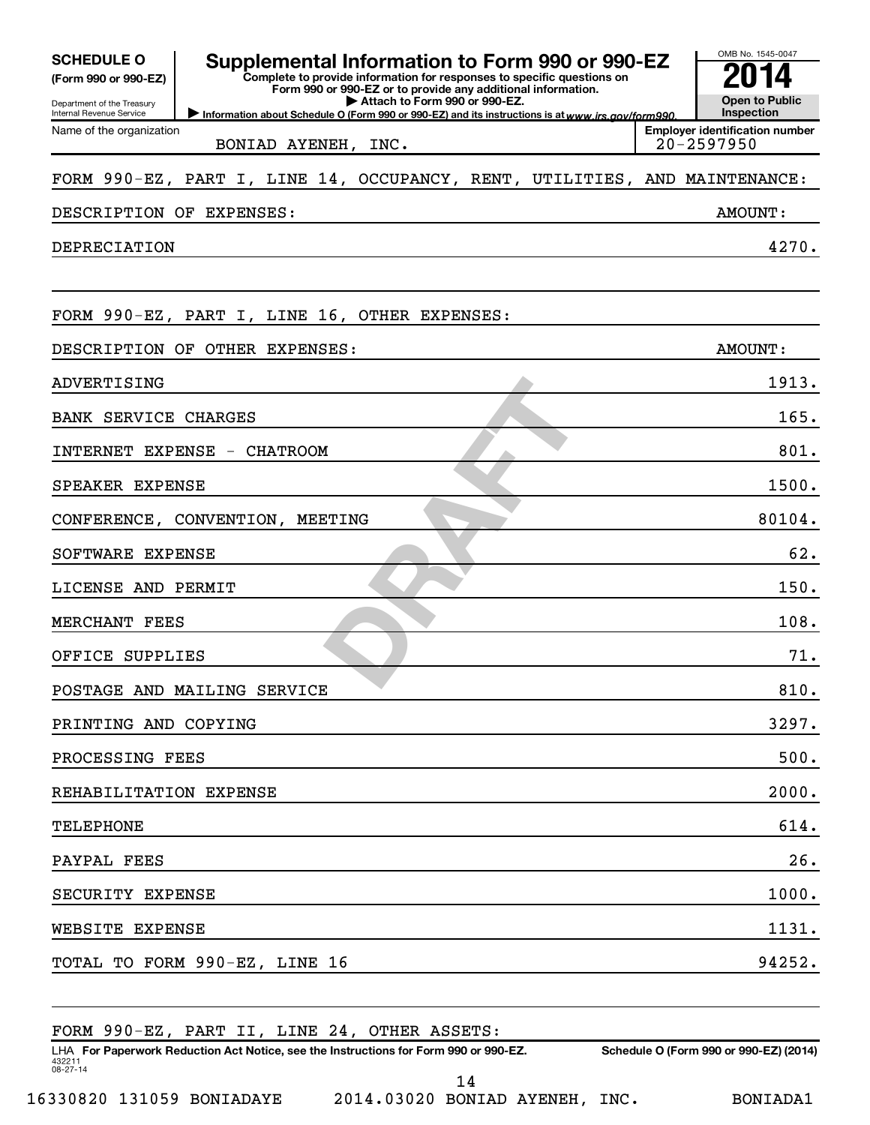| <b>SCHEDULE O</b><br>(Form 990 or 990-EZ)<br>Department of the Treasury<br>Internal Revenue Service | Supplemental Information to Form 990 or 990-EZ<br>Complete to provide information for responses to specific questions on<br>Form 990 or 990-EZ or to provide any additional information.<br>Attach to Form 990 or 990-EZ.<br>Information about Schedule O (Form 990 or 990-EZ) and its instructions is at www.irs.gov/form990. | OMB No. 1545-0047<br><b>Open to Public</b><br>Inspection |
|-----------------------------------------------------------------------------------------------------|--------------------------------------------------------------------------------------------------------------------------------------------------------------------------------------------------------------------------------------------------------------------------------------------------------------------------------|----------------------------------------------------------|
| Name of the organization                                                                            | BONIAD AYENEH, INC.                                                                                                                                                                                                                                                                                                            | <b>Employer identification number</b><br>$20 - 2597950$  |
|                                                                                                     | FORM 990-EZ, PART I, LINE 14, OCCUPANCY, RENT, UTILITIES, AND MAINTENANCE:                                                                                                                                                                                                                                                     |                                                          |
| DESCRIPTION OF EXPENSES:                                                                            |                                                                                                                                                                                                                                                                                                                                | <b>AMOUNT:</b>                                           |
| DEPRECIATION                                                                                        |                                                                                                                                                                                                                                                                                                                                | 4270.                                                    |
|                                                                                                     | FORM 990-EZ, PART I, LINE 16, OTHER EXPENSES:                                                                                                                                                                                                                                                                                  |                                                          |
|                                                                                                     | DESCRIPTION OF OTHER EXPENSES:                                                                                                                                                                                                                                                                                                 | <b>AMOUNT:</b>                                           |
| ADVERTISING                                                                                         |                                                                                                                                                                                                                                                                                                                                | 1913.                                                    |
| <b>BANK SERVICE CHARGES</b>                                                                         |                                                                                                                                                                                                                                                                                                                                | 165.                                                     |
|                                                                                                     | INTERNET EXPENSE - CHATROOM                                                                                                                                                                                                                                                                                                    | 801.                                                     |
| SPEAKER EXPENSE                                                                                     |                                                                                                                                                                                                                                                                                                                                | 1500.                                                    |
|                                                                                                     | CONFERENCE, CONVENTION, MEETING                                                                                                                                                                                                                                                                                                | 80104.                                                   |
| SOFTWARE EXPENSE                                                                                    |                                                                                                                                                                                                                                                                                                                                | 62.                                                      |
| LICENSE AND PERMIT                                                                                  |                                                                                                                                                                                                                                                                                                                                | 150.                                                     |
| MERCHANT FEES                                                                                       |                                                                                                                                                                                                                                                                                                                                | 108.                                                     |
| OFFICE SUPPLIES                                                                                     |                                                                                                                                                                                                                                                                                                                                | 71.                                                      |
|                                                                                                     | POSTAGE AND MAILING SERVICE                                                                                                                                                                                                                                                                                                    | 810.                                                     |
| PRINTING AND COPYING                                                                                |                                                                                                                                                                                                                                                                                                                                | 3297.                                                    |
| PROCESSING FEES                                                                                     |                                                                                                                                                                                                                                                                                                                                | 500.                                                     |
| REHABILITATION EXPENSE                                                                              |                                                                                                                                                                                                                                                                                                                                | 2000.                                                    |
| TELEPHONE                                                                                           |                                                                                                                                                                                                                                                                                                                                | 614.                                                     |
| PAYPAL FEES                                                                                         |                                                                                                                                                                                                                                                                                                                                | 26.                                                      |
| SECURITY EXPENSE                                                                                    |                                                                                                                                                                                                                                                                                                                                | 1000.                                                    |
| WEBSITE EXPENSE                                                                                     |                                                                                                                                                                                                                                                                                                                                | 1131.                                                    |
|                                                                                                     | TOTAL TO FORM 990-EZ, LINE 16                                                                                                                                                                                                                                                                                                  | 94252.                                                   |

432211 08-27-14 LHA For Paperwork Reduction Act Notice, see the Instructions for Form 990 or 990-EZ. Schedule O (Form 990 or 990-EZ) (2014) FORM 990-EZ, PART II, LINE 24, OTHER ASSETS: 16330820 131059 BONIADAYE 2014.03020 BONIAD AYENEH, INC. BONIADA1 14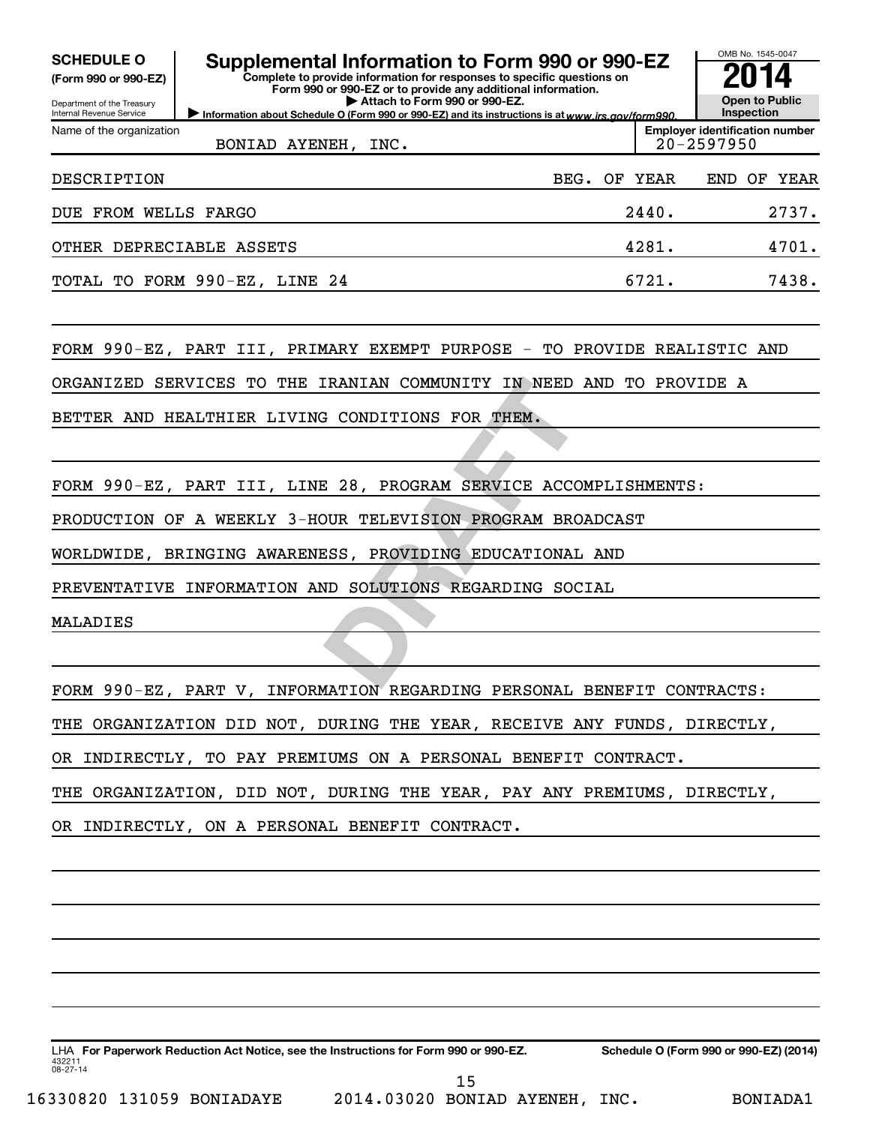**(Form 990 or 990-EZ)**

Department of the Treasury Internal Revenue Service

## **SCHEDULE O Supplemental Information to Form 990 or 990-EZ 2014**<br>(Form 990 or 990-EZ) Complete to provide information for responses to specific questions on

**Complete to provide information for responses to specific questions on Form 990 or 990-EZ or to provide any additional information. | Attach to Form 990 or 990-EZ.**

Information about Schedule O (Form 990 or 990-EZ) and its instructions is at www.irs.gov/form990.

**Open to Public Inspection**

OMB No. 1545-0047

| Name of the organization<br>BONIAD AYENEH, INC. | <b>Employer identification number</b><br>$20 - 2597950$ |             |
|-------------------------------------------------|---------------------------------------------------------|-------------|
| DESCRIPTION                                     | BEG. OF YEAR                                            | END OF YEAR |
| DUE FROM WELLS FARGO                            | 2440.                                                   | 2737.       |
| OTHER DEPRECIABLE ASSETS                        | 4281.                                                   | 4701.       |
| TOTAL TO FORM 990-EZ, LINE 24                   | 6721.                                                   | 7438.       |

FORM 990-EZ, PART III, PRIMARY EXEMPT PURPOSE - TO PROVIDE REALISTIC AND

ORGANIZED SERVICES TO THE IRANIAN COMMUNITY IN NEED AND TO PROVIDE A

BETTER AND HEALTHIER LIVING CONDITIONS FOR THEM.

FORM 990-EZ, PART III, LINE 28, PROGRAM SERVICE ACCOMPLISHMENTS:

PRODUCTION OF A WEEKLY 3-HOUR TELEVISION PROGRAM BROADCAST

WORLDWIDE, BRINGING AWARENESS, PROVIDING EDUCATIONAL AND

EXAMIAN COMMUNITY IN NEED AND<br>
FONDITIONS FOR THEM.<br>
E 28, PROGRAM SERVICE ACCOMPLI<br>
DUR TELEVISION PROGRAM BROADCA<br>
ESS, PROVIDING EDUCATIONAL AND<br>
ND SOLUTIONS REGARDING SOCIAL<br>
ANTION PECAPDING PEPSONAL PENE PREVENTATIVE INFORMATION AND SOLUTIONS REGARDING SOCIAL

MALADIES

FORM 990-EZ, PART V, INFORMATION REGARDING PERSONAL BENEFIT CONTRACTS:

THE ORGANIZATION DID NOT, DURING THE YEAR, RECEIVE ANY FUNDS, DIRECTLY,

OR INDIRECTLY, TO PAY PREMIUMS ON A PERSONAL BENEFIT CONTRACT.

THE ORGANIZATION, DID NOT, DURING THE YEAR, PAY ANY PREMIUMS, DIRECTLY,

OR INDIRECTLY, ON A PERSONAL BENEFIT CONTRACT.

432211 08-27-14 LHA For Paperwork Reduction Act Notice, see the Instructions for Form 990 or 990-EZ. Schedule O (Form 990 or 990-EZ) (2014)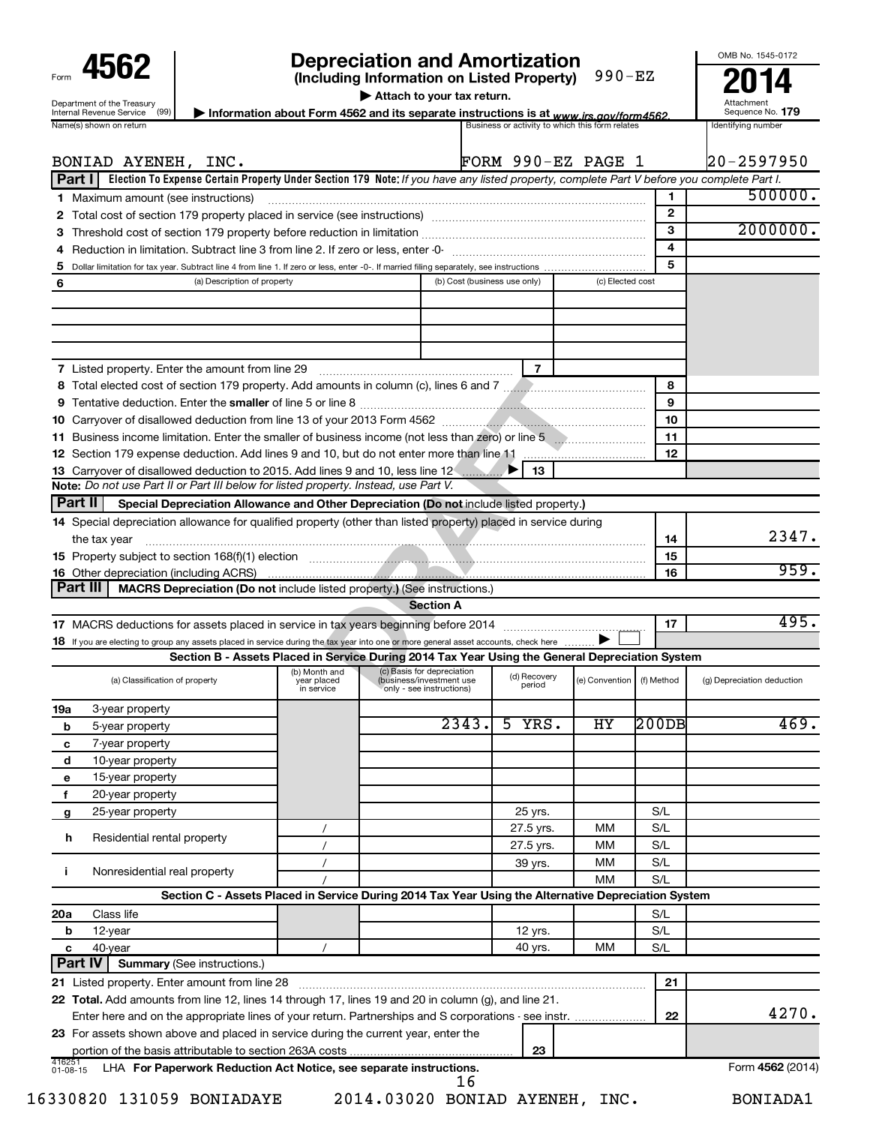| Form                                                          |
|---------------------------------------------------------------|
| Department of the Treasury<br><b>Internal Revenue Service</b> |
|                                                               |

# **4562 Depreciation and Amortization**<br>(Including Information on Listed Property) 990-EZ **2014**

**(Including Information on Listed Property)** 990-EZ

**| Attach to your tax return.**

Attachment Sequence No.

OMB No. 1545-0172

| Internal Revenue Service | (99) | A Information about Form 4562 and its separate instructions is at www.irs.gov/form4562 | Sequence No. 179   |
|--------------------------|------|----------------------------------------------------------------------------------------|--------------------|
| Name(s) shown on return  |      | Business or activity to which this form relates                                        | Identifving number |
|                          |      |                                                                                        |                    |
|                          |      |                                                                                        |                    |

|                          |                  | BONIAD AYENEH, INC.                                                                  |                                            |                                                                                                                                                                                                                                |                        | FORM 990-EZ PAGE 1          |              | 20-2597950                 |  |
|--------------------------|------------------|--------------------------------------------------------------------------------------|--------------------------------------------|--------------------------------------------------------------------------------------------------------------------------------------------------------------------------------------------------------------------------------|------------------------|-----------------------------|--------------|----------------------------|--|
| Part I                   |                  |                                                                                      |                                            | Election To Expense Certain Property Under Section 179 Note; If you have any listed property, complete Part V before you complete Part I.                                                                                      |                        |                             |              |                            |  |
|                          |                  | 1 Maximum amount (see instructions)                                                  |                                            |                                                                                                                                                                                                                                |                        |                             | 1            | 500000.                    |  |
|                          |                  |                                                                                      |                                            |                                                                                                                                                                                                                                |                        |                             | $\mathbf{2}$ |                            |  |
|                          |                  |                                                                                      |                                            |                                                                                                                                                                                                                                |                        |                             | 3            | 2000000.                   |  |
| 4                        |                  |                                                                                      |                                            |                                                                                                                                                                                                                                |                        |                             | 4            |                            |  |
| 5                        |                  |                                                                                      |                                            |                                                                                                                                                                                                                                |                        |                             | 5            |                            |  |
| 6                        |                  | (a) Description of property                                                          |                                            | (b) Cost (business use only)                                                                                                                                                                                                   |                        | (c) Elected cost            |              |                            |  |
|                          |                  |                                                                                      |                                            |                                                                                                                                                                                                                                |                        |                             |              |                            |  |
|                          |                  |                                                                                      |                                            |                                                                                                                                                                                                                                |                        |                             |              |                            |  |
|                          |                  |                                                                                      |                                            |                                                                                                                                                                                                                                |                        |                             |              |                            |  |
|                          |                  |                                                                                      |                                            |                                                                                                                                                                                                                                |                        |                             |              |                            |  |
|                          |                  | <b>7</b> Listed property. Enter the amount from line 29                              |                                            |                                                                                                                                                                                                                                | 7                      |                             |              |                            |  |
|                          |                  |                                                                                      |                                            |                                                                                                                                                                                                                                |                        |                             | 8            |                            |  |
|                          |                  |                                                                                      |                                            |                                                                                                                                                                                                                                |                        |                             | 9            |                            |  |
|                          |                  |                                                                                      |                                            |                                                                                                                                                                                                                                |                        |                             | 10           |                            |  |
|                          |                  |                                                                                      |                                            |                                                                                                                                                                                                                                |                        |                             | 11           |                            |  |
|                          |                  |                                                                                      |                                            |                                                                                                                                                                                                                                |                        |                             | 12           |                            |  |
|                          |                  |                                                                                      |                                            | 13 Carryover of disallowed deduction to 2015. Add lines 9 and 10, less line 12 manual                                                                                                                                          | 13                     |                             |              |                            |  |
|                          |                  | Note: Do not use Part II or Part III below for listed property. Instead, use Part V. |                                            |                                                                                                                                                                                                                                |                        |                             |              |                            |  |
| <b>Part II</b>           |                  |                                                                                      |                                            | Special Depreciation Allowance and Other Depreciation (Do not include listed property.)                                                                                                                                        |                        |                             |              |                            |  |
|                          |                  |                                                                                      |                                            | 14 Special depreciation allowance for qualified property (other than listed property) placed in service during                                                                                                                 |                        |                             |              |                            |  |
|                          | the tax year     |                                                                                      |                                            |                                                                                                                                                                                                                                |                        |                             | 14           | 2347.                      |  |
|                          |                  |                                                                                      |                                            | 15 Property subject to section 168(f)(1) election manufactured and contain an according to Property subject to section 168(f)(1) election manufactured and contain and contain and contain and contain and contain and contain |                        |                             | 15           | 959.                       |  |
| <b>Part III</b>          |                  | <b>16</b> Other depreciation (including ACRS)                                        |                                            |                                                                                                                                                                                                                                |                        |                             | 16           |                            |  |
|                          |                  |                                                                                      |                                            | MACRS Depreciation (Do not include listed property.) (See instructions.)<br><b>Section A</b>                                                                                                                                   |                        |                             |              |                            |  |
|                          |                  |                                                                                      |                                            |                                                                                                                                                                                                                                |                        |                             |              | 495.                       |  |
|                          |                  |                                                                                      |                                            |                                                                                                                                                                                                                                |                        |                             | 17           |                            |  |
|                          |                  |                                                                                      |                                            | 18 If you are electing to group any assets placed in service during the tax year into one or more general asset accounts, check here                                                                                           |                        |                             |              |                            |  |
|                          |                  |                                                                                      |                                            |                                                                                                                                                                                                                                |                        |                             |              |                            |  |
|                          |                  |                                                                                      |                                            | Section B - Assets Placed in Service During 2014 Tax Year Using the General Depreciation System                                                                                                                                |                        |                             |              |                            |  |
|                          |                  | (a) Classification of property                                                       | (b) Month and<br>year placed<br>in service | (c) Basis for depreciation<br>(business/investment use<br>only - see instructions)                                                                                                                                             | (d) Recovery<br>period | (e) Convention   (f) Method |              | (g) Depreciation deduction |  |
| 19a                      | 3-year property  |                                                                                      |                                            |                                                                                                                                                                                                                                |                        |                             |              |                            |  |
| b                        | 5-year property  |                                                                                      |                                            | 2343                                                                                                                                                                                                                           | 5 YRS.                 | HY                          | 200DB        | 469.                       |  |
| c                        | 7-year property  |                                                                                      |                                            |                                                                                                                                                                                                                                |                        |                             |              |                            |  |
| d                        | 10-year property |                                                                                      |                                            |                                                                                                                                                                                                                                |                        |                             |              |                            |  |
| е                        | 15-year property |                                                                                      |                                            |                                                                                                                                                                                                                                |                        |                             |              |                            |  |
| f                        | 20-year property |                                                                                      |                                            |                                                                                                                                                                                                                                |                        |                             |              |                            |  |
| g                        | 25-year property |                                                                                      |                                            |                                                                                                                                                                                                                                | 25 yrs.                |                             | S/L          |                            |  |
|                          |                  |                                                                                      | $\prime$                                   |                                                                                                                                                                                                                                | 27.5 yrs.              | MМ                          | S/L          |                            |  |
| h                        |                  | Residential rental property                                                          |                                            |                                                                                                                                                                                                                                | 27.5 yrs.              | MМ                          | S/L          |                            |  |
|                          |                  |                                                                                      |                                            |                                                                                                                                                                                                                                | 39 yrs.                | MМ                          | S/L          |                            |  |
| j.                       |                  | Nonresidential real property                                                         |                                            |                                                                                                                                                                                                                                |                        | МM                          | S/L          |                            |  |
|                          |                  |                                                                                      |                                            | Section C - Assets Placed in Service During 2014 Tax Year Using the Alternative Depreciation System                                                                                                                            |                        |                             |              |                            |  |
| 20a                      | Class life       |                                                                                      |                                            |                                                                                                                                                                                                                                |                        |                             | S/L          |                            |  |
| b                        | 12-year          |                                                                                      |                                            |                                                                                                                                                                                                                                | 12 yrs.                |                             | S/L          |                            |  |
| с                        | 40-year          |                                                                                      |                                            |                                                                                                                                                                                                                                | 40 yrs.                | MМ                          | S/L          |                            |  |
| <b>Part IV</b>           |                  | <b>Summary (See instructions.)</b>                                                   |                                            |                                                                                                                                                                                                                                |                        |                             |              |                            |  |
|                          |                  | 21 Listed property. Enter amount from line 28                                        |                                            |                                                                                                                                                                                                                                |                        |                             | 21           |                            |  |
|                          |                  |                                                                                      |                                            | 22 Total. Add amounts from line 12, lines 14 through 17, lines 19 and 20 in column (g), and line 21.                                                                                                                           |                        |                             |              |                            |  |
|                          |                  |                                                                                      |                                            | Enter here and on the appropriate lines of your return. Partnerships and S corporations - see instr.                                                                                                                           |                        |                             | 22           | 4270.                      |  |
|                          |                  | 23 For assets shown above and placed in service during the current year, enter the   |                                            |                                                                                                                                                                                                                                |                        |                             |              |                            |  |
| 416251<br>$01 - 08 - 15$ |                  | portion of the basis attributable to section 263A costs                              |                                            | LHA For Paperwork Reduction Act Notice, see separate instructions.                                                                                                                                                             | 23                     |                             |              | Form 4562 (2014)           |  |

16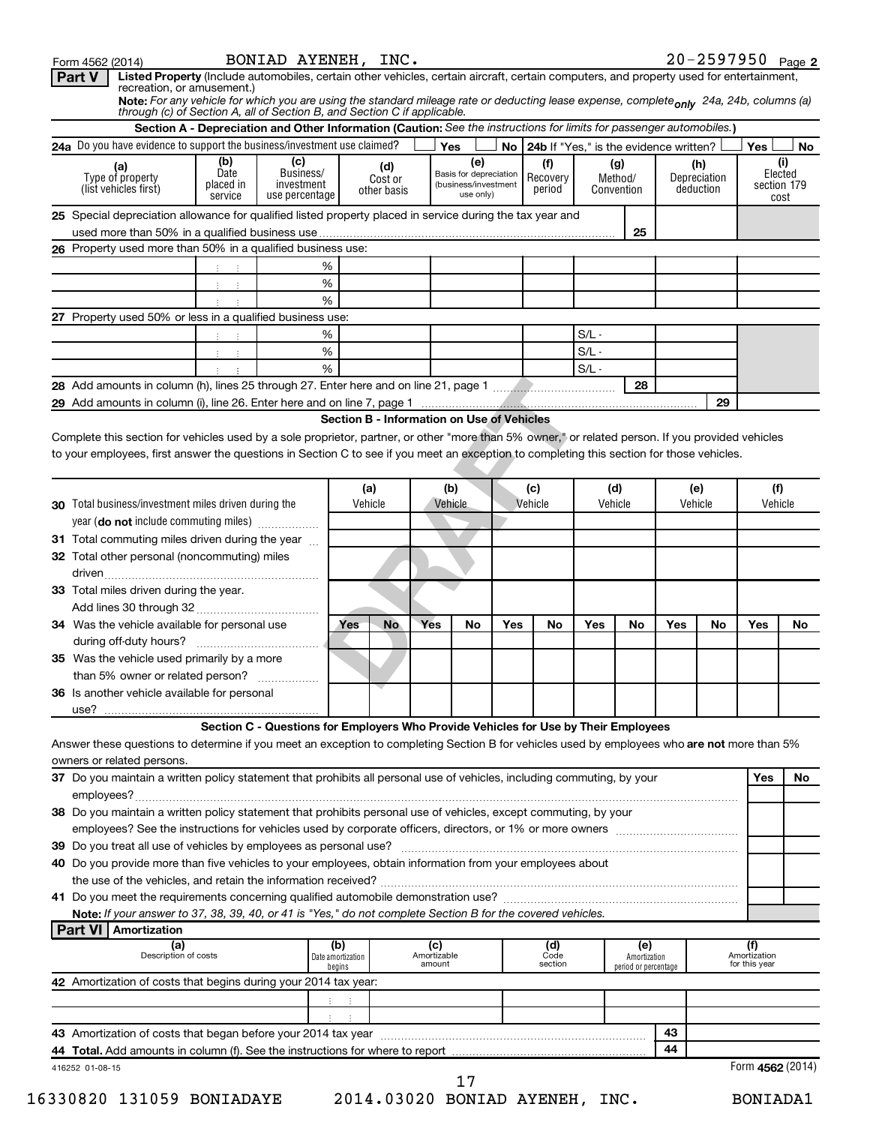|    | Part V<br>Listed Property (Include automobiles, certain other vehicles, certain aircraft, certain computers, and property used for entertainment,<br>recreation, or amusement.)<br>Note: For any vehicle for which you are using the standard mileage rate or deducting lease expense, complete <sub>only</sub> 24a, 24b, columns (a) |                                     |                                                                                                                      |                                    |                                            |                              |                                                                    |     |                                             |                              |                                             |     |                                  |                                      |                                       |
|----|---------------------------------------------------------------------------------------------------------------------------------------------------------------------------------------------------------------------------------------------------------------------------------------------------------------------------------------|-------------------------------------|----------------------------------------------------------------------------------------------------------------------|------------------------------------|--------------------------------------------|------------------------------|--------------------------------------------------------------------|-----|---------------------------------------------|------------------------------|---------------------------------------------|-----|----------------------------------|--------------------------------------|---------------------------------------|
|    | through (c) of Section A, all of Section B, and Section C if applicable.                                                                                                                                                                                                                                                              |                                     |                                                                                                                      |                                    |                                            |                              |                                                                    |     |                                             |                              |                                             |     |                                  |                                      |                                       |
|    |                                                                                                                                                                                                                                                                                                                                       |                                     | Section A - Depreciation and Other Information (Caution: See the instructions for limits for passenger automobiles.) |                                    |                                            |                              |                                                                    |     |                                             |                              |                                             |     |                                  |                                      |                                       |
|    | 24a Do you have evidence to support the business/investment use claimed?                                                                                                                                                                                                                                                              |                                     |                                                                                                                      |                                    |                                            |                              | <b>Yes</b>                                                         |     | No   24b If "Yes," is the evidence written? |                              |                                             |     |                                  | Yes                                  | No.                                   |
|    | (a)<br>Type of property<br>(list vehicles first)                                                                                                                                                                                                                                                                                      | (b)<br>Date<br>placed in<br>service | (c)<br>Business/<br>investment<br>use percentage                                                                     |                                    | (d)<br>Cost or<br>other basis              |                              | (e)<br>Basis for depreciation<br>(business/investment<br>use only) |     | (f)<br>Recovery<br>period                   | (g)<br>Method/<br>Convention |                                             |     | (h)<br>Depreciation<br>deduction |                                      | (i)<br>Elected<br>section 179<br>cost |
|    | 25 Special depreciation allowance for qualified listed property placed in service during the tax year and                                                                                                                                                                                                                             |                                     |                                                                                                                      |                                    |                                            |                              |                                                                    |     |                                             |                              |                                             |     |                                  |                                      |                                       |
|    |                                                                                                                                                                                                                                                                                                                                       |                                     |                                                                                                                      |                                    |                                            |                              |                                                                    |     |                                             |                              | 25                                          |     |                                  |                                      |                                       |
| 26 | Property used more than 50% in a qualified business use:                                                                                                                                                                                                                                                                              |                                     |                                                                                                                      |                                    |                                            |                              |                                                                    |     |                                             |                              |                                             |     |                                  |                                      |                                       |
|    |                                                                                                                                                                                                                                                                                                                                       |                                     |                                                                                                                      | %                                  |                                            |                              |                                                                    |     |                                             |                              |                                             |     |                                  |                                      |                                       |
|    |                                                                                                                                                                                                                                                                                                                                       |                                     |                                                                                                                      | %                                  |                                            |                              |                                                                    |     |                                             |                              |                                             |     |                                  |                                      |                                       |
|    |                                                                                                                                                                                                                                                                                                                                       |                                     |                                                                                                                      | %                                  |                                            |                              |                                                                    |     |                                             |                              |                                             |     |                                  |                                      |                                       |
|    | 27 Property used 50% or less in a qualified business use:                                                                                                                                                                                                                                                                             |                                     |                                                                                                                      |                                    |                                            |                              |                                                                    |     |                                             |                              |                                             |     |                                  |                                      |                                       |
|    |                                                                                                                                                                                                                                                                                                                                       |                                     |                                                                                                                      | %                                  |                                            |                              |                                                                    |     |                                             | $S/L -$                      |                                             |     |                                  |                                      |                                       |
|    |                                                                                                                                                                                                                                                                                                                                       | $\mathbb{C}$<br>÷                   |                                                                                                                      | $\%$                               |                                            |                              |                                                                    |     |                                             | $S/L -$                      |                                             |     |                                  |                                      |                                       |
|    |                                                                                                                                                                                                                                                                                                                                       |                                     |                                                                                                                      | %                                  |                                            |                              |                                                                    |     |                                             | $S/L -$                      | 28                                          |     |                                  |                                      |                                       |
|    |                                                                                                                                                                                                                                                                                                                                       |                                     |                                                                                                                      |                                    |                                            |                              |                                                                    |     |                                             |                              |                                             |     | 29                               |                                      |                                       |
|    |                                                                                                                                                                                                                                                                                                                                       |                                     |                                                                                                                      |                                    | Section B - Information on Use of Vehicles |                              |                                                                    |     |                                             |                              |                                             |     |                                  |                                      |                                       |
|    |                                                                                                                                                                                                                                                                                                                                       |                                     |                                                                                                                      |                                    |                                            |                              |                                                                    |     |                                             |                              |                                             |     |                                  |                                      |                                       |
|    | Complete this section for vehicles used by a sole proprietor, partner, or other "more than 5% owner," or related person. If you provided vehicles<br>to your employees, first answer the questions in Section C to see if you meet an exception to completing this section for those vehicles.                                        |                                     |                                                                                                                      |                                    |                                            |                              |                                                                    |     |                                             |                              |                                             |     |                                  |                                      |                                       |
|    |                                                                                                                                                                                                                                                                                                                                       |                                     |                                                                                                                      |                                    |                                            |                              |                                                                    |     |                                             |                              |                                             |     |                                  |                                      |                                       |
|    |                                                                                                                                                                                                                                                                                                                                       |                                     |                                                                                                                      |                                    | (a)                                        |                              | (b)                                                                |     | (c)                                         | (d)                          |                                             |     | (e)                              | (f)                                  |                                       |
|    | <b>30</b> Total business/investment miles driven during the                                                                                                                                                                                                                                                                           |                                     |                                                                                                                      |                                    | Vehicle                                    |                              | <b>Vehicle</b>                                                     |     | Vehicle                                     | Vehicle                      |                                             |     | Vehicle                          | Vehicle                              |                                       |
|    | year (do not include commuting miles)                                                                                                                                                                                                                                                                                                 |                                     |                                                                                                                      |                                    |                                            |                              |                                                                    |     |                                             |                              |                                             |     |                                  |                                      |                                       |
|    | 31 Total commuting miles driven during the year                                                                                                                                                                                                                                                                                       |                                     |                                                                                                                      |                                    |                                            |                              |                                                                    |     |                                             |                              |                                             |     |                                  |                                      |                                       |
|    | 32 Total other personal (noncommuting) miles                                                                                                                                                                                                                                                                                          |                                     |                                                                                                                      |                                    |                                            |                              |                                                                    |     |                                             |                              |                                             |     |                                  |                                      |                                       |
|    |                                                                                                                                                                                                                                                                                                                                       |                                     |                                                                                                                      |                                    |                                            |                              |                                                                    |     |                                             |                              |                                             |     |                                  |                                      |                                       |
|    | 33 Total miles driven during the year.                                                                                                                                                                                                                                                                                                |                                     |                                                                                                                      |                                    |                                            |                              |                                                                    |     |                                             |                              |                                             |     |                                  |                                      |                                       |
|    |                                                                                                                                                                                                                                                                                                                                       |                                     |                                                                                                                      |                                    |                                            |                              |                                                                    |     |                                             |                              |                                             |     |                                  |                                      |                                       |
|    | 34 Was the vehicle available for personal use                                                                                                                                                                                                                                                                                         |                                     |                                                                                                                      | Yes                                | <b>No</b>                                  | Yes                          | No                                                                 | Yes | No                                          | Yes                          | No                                          | Yes | No                               | Yes                                  | No.                                   |
|    |                                                                                                                                                                                                                                                                                                                                       |                                     |                                                                                                                      |                                    |                                            |                              |                                                                    |     |                                             |                              |                                             |     |                                  |                                      |                                       |
|    | 35 Was the vehicle used primarily by a more                                                                                                                                                                                                                                                                                           |                                     |                                                                                                                      |                                    |                                            |                              |                                                                    |     |                                             |                              |                                             |     |                                  |                                      |                                       |
|    | than 5% owner or related person?                                                                                                                                                                                                                                                                                                      |                                     |                                                                                                                      |                                    |                                            |                              |                                                                    |     |                                             |                              |                                             |     |                                  |                                      |                                       |
|    | 36 Is another vehicle available for personal                                                                                                                                                                                                                                                                                          |                                     |                                                                                                                      |                                    |                                            |                              |                                                                    |     |                                             |                              |                                             |     |                                  |                                      |                                       |
|    | use?                                                                                                                                                                                                                                                                                                                                  |                                     |                                                                                                                      |                                    |                                            |                              |                                                                    |     |                                             |                              |                                             |     |                                  |                                      |                                       |
|    |                                                                                                                                                                                                                                                                                                                                       |                                     | Section C - Questions for Employers Who Provide Vehicles for Use by Their Employees                                  |                                    |                                            |                              |                                                                    |     |                                             |                              |                                             |     |                                  |                                      |                                       |
|    | Answer these questions to determine if you meet an exception to completing Section B for vehicles used by employees who are not more than 5%                                                                                                                                                                                          |                                     |                                                                                                                      |                                    |                                            |                              |                                                                    |     |                                             |                              |                                             |     |                                  |                                      |                                       |
|    | owners or related persons.                                                                                                                                                                                                                                                                                                            |                                     |                                                                                                                      |                                    |                                            |                              |                                                                    |     |                                             |                              |                                             |     |                                  |                                      |                                       |
|    | 37 Do you maintain a written policy statement that prohibits all personal use of vehicles, including commuting, by your                                                                                                                                                                                                               |                                     |                                                                                                                      |                                    |                                            |                              |                                                                    |     |                                             |                              |                                             |     |                                  | Yes                                  | No.                                   |
|    | 38 Do you maintain a written policy statement that prohibits personal use of vehicles, except commuting, by your                                                                                                                                                                                                                      |                                     |                                                                                                                      |                                    |                                            |                              |                                                                    |     |                                             |                              |                                             |     |                                  |                                      |                                       |
|    |                                                                                                                                                                                                                                                                                                                                       |                                     |                                                                                                                      |                                    |                                            |                              |                                                                    |     |                                             |                              |                                             |     |                                  |                                      |                                       |
|    |                                                                                                                                                                                                                                                                                                                                       |                                     |                                                                                                                      |                                    |                                            |                              |                                                                    |     |                                             |                              |                                             |     |                                  |                                      |                                       |
|    | 40 Do you provide more than five vehicles to your employees, obtain information from your employees about                                                                                                                                                                                                                             |                                     |                                                                                                                      |                                    |                                            |                              |                                                                    |     |                                             |                              |                                             |     |                                  |                                      |                                       |
|    |                                                                                                                                                                                                                                                                                                                                       |                                     |                                                                                                                      |                                    |                                            |                              |                                                                    |     |                                             |                              |                                             |     |                                  |                                      |                                       |
|    |                                                                                                                                                                                                                                                                                                                                       |                                     |                                                                                                                      |                                    |                                            |                              |                                                                    |     |                                             |                              |                                             |     |                                  |                                      |                                       |
|    | Note: If your answer to 37, 38, 39, 40, or 41 is "Yes," do not complete Section B for the covered vehicles.                                                                                                                                                                                                                           |                                     |                                                                                                                      |                                    |                                            |                              |                                                                    |     |                                             |                              |                                             |     |                                  |                                      |                                       |
|    | <b>Part VI</b><br>Amortization                                                                                                                                                                                                                                                                                                        |                                     |                                                                                                                      |                                    |                                            |                              |                                                                    |     |                                             |                              |                                             |     |                                  |                                      |                                       |
|    | (a)<br>Description of costs                                                                                                                                                                                                                                                                                                           |                                     |                                                                                                                      | (b)<br>Date amortization<br>begins |                                            | (c)<br>Amortizable<br>amount |                                                                    |     | (d)<br>Code<br>section                      |                              | (e)<br>Amortization<br>period or percentage |     |                                  | (f)<br>Amortization<br>for this year |                                       |
|    | 42 Amortization of costs that begins during your 2014 tax year:                                                                                                                                                                                                                                                                       |                                     |                                                                                                                      |                                    |                                            |                              |                                                                    |     |                                             |                              |                                             |     |                                  |                                      |                                       |
|    |                                                                                                                                                                                                                                                                                                                                       |                                     |                                                                                                                      |                                    |                                            |                              |                                                                    |     |                                             |                              |                                             |     |                                  |                                      |                                       |
|    |                                                                                                                                                                                                                                                                                                                                       |                                     |                                                                                                                      |                                    |                                            |                              |                                                                    |     |                                             |                              |                                             |     |                                  |                                      |                                       |
|    | 43 Amortization of costs that began before your 2014 tax year manufactured content content content of costs that began before your 2014 tax year manufactured content content of the Amorta Content of Amorta Content of Amort                                                                                                        |                                     |                                                                                                                      |                                    |                                            |                              |                                                                    |     |                                             |                              |                                             | 43  |                                  |                                      |                                       |
|    | 44 Total. Add amounts in column (f). See the instructions for where to report                                                                                                                                                                                                                                                         |                                     |                                                                                                                      |                                    |                                            |                              |                                                                    |     |                                             |                              |                                             | 44  |                                  |                                      |                                       |
|    | 416252 01-08-15                                                                                                                                                                                                                                                                                                                       |                                     |                                                                                                                      |                                    |                                            |                              |                                                                    |     |                                             |                              |                                             |     |                                  | Form 4562 (2014)                     |                                       |
|    |                                                                                                                                                                                                                                                                                                                                       |                                     |                                                                                                                      |                                    |                                            |                              | 17                                                                 |     |                                             |                              |                                             |     |                                  |                                      |                                       |

Form 4562 (2014) Page BONIAD AYENEH, INC. 20-2597950

16330820 131059 BONIADAYE 2014.03020 BONIAD AYENEH, INC. BONIADA1

20-2597950 Page 2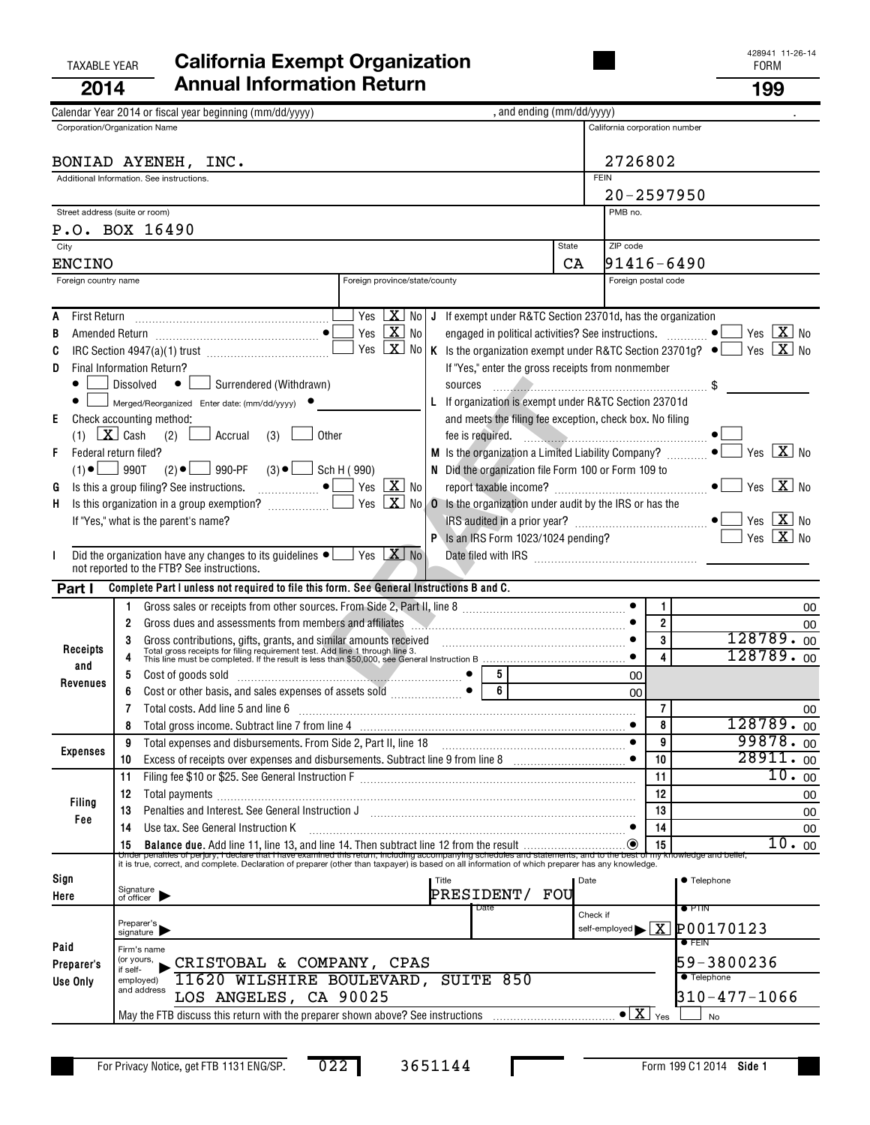| 2014                 | <b>Annual Information Return</b>                                                                                                                                                                                                                                                                                                 |                                                              | 199                                        |
|----------------------|----------------------------------------------------------------------------------------------------------------------------------------------------------------------------------------------------------------------------------------------------------------------------------------------------------------------------------|--------------------------------------------------------------|--------------------------------------------|
|                      | , and ending (mm/dd/yyyy)<br>Calendar Year 2014 or fiscal year beginning (mm/dd/yyyy)                                                                                                                                                                                                                                            |                                                              |                                            |
|                      | Corporation/Organization Name                                                                                                                                                                                                                                                                                                    | California corporation number                                |                                            |
|                      |                                                                                                                                                                                                                                                                                                                                  |                                                              |                                            |
|                      | BONIAD AYENEH, INC.<br>Additional Information. See instructions.                                                                                                                                                                                                                                                                 | 2726802<br><b>FEIN</b>                                       |                                            |
|                      |                                                                                                                                                                                                                                                                                                                                  | 20-2597950                                                   |                                            |
|                      | Street address (suite or room)                                                                                                                                                                                                                                                                                                   | PMB no.                                                      |                                            |
|                      | P.O. BOX 16490                                                                                                                                                                                                                                                                                                                   |                                                              |                                            |
| City                 | State                                                                                                                                                                                                                                                                                                                            | ZIP code                                                     |                                            |
| <b>ENCINO</b>        | CA                                                                                                                                                                                                                                                                                                                               | 91416-6490                                                   |                                            |
| Foreign country name | Foreign province/state/county                                                                                                                                                                                                                                                                                                    | Foreign postal code                                          |                                            |
|                      |                                                                                                                                                                                                                                                                                                                                  |                                                              |                                            |
| First Return<br>A    | $\boxed{\textbf{X}}$ No $\boxed{\textbf{J}}$ If exempt under R&TC Section 23701d, has the organization<br>$\blacksquare$ Yes                                                                                                                                                                                                     |                                                              |                                            |
| В                    | $\boxed{\mathbf{X}}$ No<br>engaged in political activities? See instructions.  ● L<br>Yes<br>Yes<br>$\mathbf{x}$                                                                                                                                                                                                                 |                                                              | Yes $\boxed{\mathbf{X}}$ No<br>Yes $X $ No |
| C<br>D               | No   K Is the organization exempt under R&TC Section 23701g? $\bullet$<br>If "Yes," enter the gross receipts from nonmember<br>Final Information Return?                                                                                                                                                                         |                                                              |                                            |
|                      | Surrendered (Withdrawn)<br>Dissolved • L<br>$\sim$ 5<br>sources                                                                                                                                                                                                                                                                  |                                                              |                                            |
|                      | L If organization is exempt under R&TC Section 23701d<br>$\Box$ Merged/Reorganized Enter date: (mm/dd/yyyy) $\bullet$                                                                                                                                                                                                            |                                                              |                                            |
| Е                    | Check accounting method:<br>and meets the filing fee exception, check box. No filing                                                                                                                                                                                                                                             |                                                              |                                            |
|                      | $\lfloor x \rfloor$ Cash<br>$(2)$ $\Box$ Accrual<br>(3)<br>Other                                                                                                                                                                                                                                                                 |                                                              |                                            |
| F                    | M Is the organization a Limited Liability Company?<br>Federal return filed?                                                                                                                                                                                                                                                      |                                                              | $ X _{N0}$<br>Yes                          |
|                      | $(2) \bullet$ 990-PF $(3) \bullet$ Sch H (990)<br>$(1) \bullet$ 990T<br>N Did the organization file Form 100 or Form 109 to                                                                                                                                                                                                      |                                                              |                                            |
| G                    | Yes $\boxed{\mathbf{X}}$ No                                                                                                                                                                                                                                                                                                      |                                                              |                                            |
| н                    | $\mathbf{X}$<br>Yes<br><b>No</b><br><b>0</b> Is the organization under audit by the IRS or has the                                                                                                                                                                                                                               |                                                              | $\sqrt{X}$ No                              |
|                      | If "Yes," what is the parent's name?<br>P Is an IRS Form 1023/1024 pending?                                                                                                                                                                                                                                                      |                                                              | Yes<br>$\sqrt{X}$ No<br>Yes                |
|                      | Did the organization have any changes to its guidelines $\bullet$ $\Box$ Yes $\Box X$ No                                                                                                                                                                                                                                         |                                                              |                                            |
|                      | not reported to the FTB? See instructions.                                                                                                                                                                                                                                                                                       |                                                              |                                            |
| Part I               | Complete Part I unless not required to file this form. See General Instructions B and C.                                                                                                                                                                                                                                         |                                                              |                                            |
|                      |                                                                                                                                                                                                                                                                                                                                  | 1                                                            | 00                                         |
|                      | Gross dues and assessments from members and affiliates <b>Constitution</b> of the state of the state of the state of the state of the state of the state of the state of the state of the state of the state of the state of the st<br>2                                                                                         | $\overline{2}$                                               | 00                                         |
| Receipts             | Gross contributions, gifts, grants, and similar amounts received contained and the contributions, gifts, grants, and similar amounts received contained and the state of filing requirement test. Add line 1 through line 3.<br>T<br>3                                                                                           | 3                                                            | 128789.00                                  |
| and                  |                                                                                                                                                                                                                                                                                                                                  |                                                              | 128789.00                                  |
| Revenues             | Cost of goods sold entertainment and the cost of goods sold<br>51<br>5<br>$\overline{6}$                                                                                                                                                                                                                                         | 00                                                           |                                            |
|                      | Total costs. Add line 5 and line 6                                                                                                                                                                                                                                                                                               | 00<br>$\overline{7}$                                         | 00                                         |
|                      | 8                                                                                                                                                                                                                                                                                                                                | 8                                                            | 128789.00                                  |
|                      | 9                                                                                                                                                                                                                                                                                                                                | 9                                                            | 99878.00                                   |
| <b>Expenses</b>      | Excess of receipts over expenses and disbursements. Subtract line 9 from line 8 [11, 11] Excess of receipts over expenses and disbursements. Subtract line 9 from line 8<br>10                                                                                                                                                   | 10                                                           | 28911.00                                   |
|                      | 11                                                                                                                                                                                                                                                                                                                               | 11                                                           | 10.00                                      |
| Filing               | Total payments [11] matter and the contract of the contract of the contract of the contract of the contract of the contract of the contract of the contract of the contract of the contract of the contract of the contract of<br>12                                                                                             | 12                                                           | 00                                         |
| Fee                  | 13                                                                                                                                                                                                                                                                                                                               | 13                                                           | 00                                         |
|                      | Use tax. See General Instruction K<br>14                                                                                                                                                                                                                                                                                         | 14                                                           | 00                                         |
|                      | Balance due. Add line 11, line 13, and line 14. Then subtract line 12 from the result<br>15<br>it is true, correct, and complete. Declaration of preparer (there has needed in more than the best of the best of my knowledge and belief,<br>It is true, correct, and complete. Declaration of preparer (other than taxpayer) is | 15                                                           | 10.00                                      |
| Sign                 |                                                                                                                                                                                                                                                                                                                                  |                                                              | <b>• Telephone</b>                         |
| Here                 | Title<br>Signature<br>of officer<br>PRESIDENT/ FOU                                                                                                                                                                                                                                                                               | Date                                                         |                                            |
|                      | Date                                                                                                                                                                                                                                                                                                                             | Check if                                                     | $\bullet$ PTIN                             |
|                      | Preparer's<br>signature                                                                                                                                                                                                                                                                                                          | self-employed $\blacktriangleright$ $\mid$ $\text{X}$ $\mid$ | P00170123                                  |
| Paid                 | Firm's name                                                                                                                                                                                                                                                                                                                      |                                                              | $\bullet$ Fein                             |
| Preparer's           | (or yours,<br>CRISTOBAL & COMPANY, CPAS<br>if self-                                                                                                                                                                                                                                                                              |                                                              | 59-3800236                                 |
| Use Only             | 11620 WILSHIRE BOULEVARD,<br>SUITE 850<br>employed)<br>and address                                                                                                                                                                                                                                                               |                                                              | <b>Telephone</b>                           |
|                      | LOS ANGELES, CA 90025                                                                                                                                                                                                                                                                                                            |                                                              | 310-477-1066                               |
|                      |                                                                                                                                                                                                                                                                                                                                  | $\bullet$ $\boxed{\text{X}}$<br>Yes                          | <b>No</b>                                  |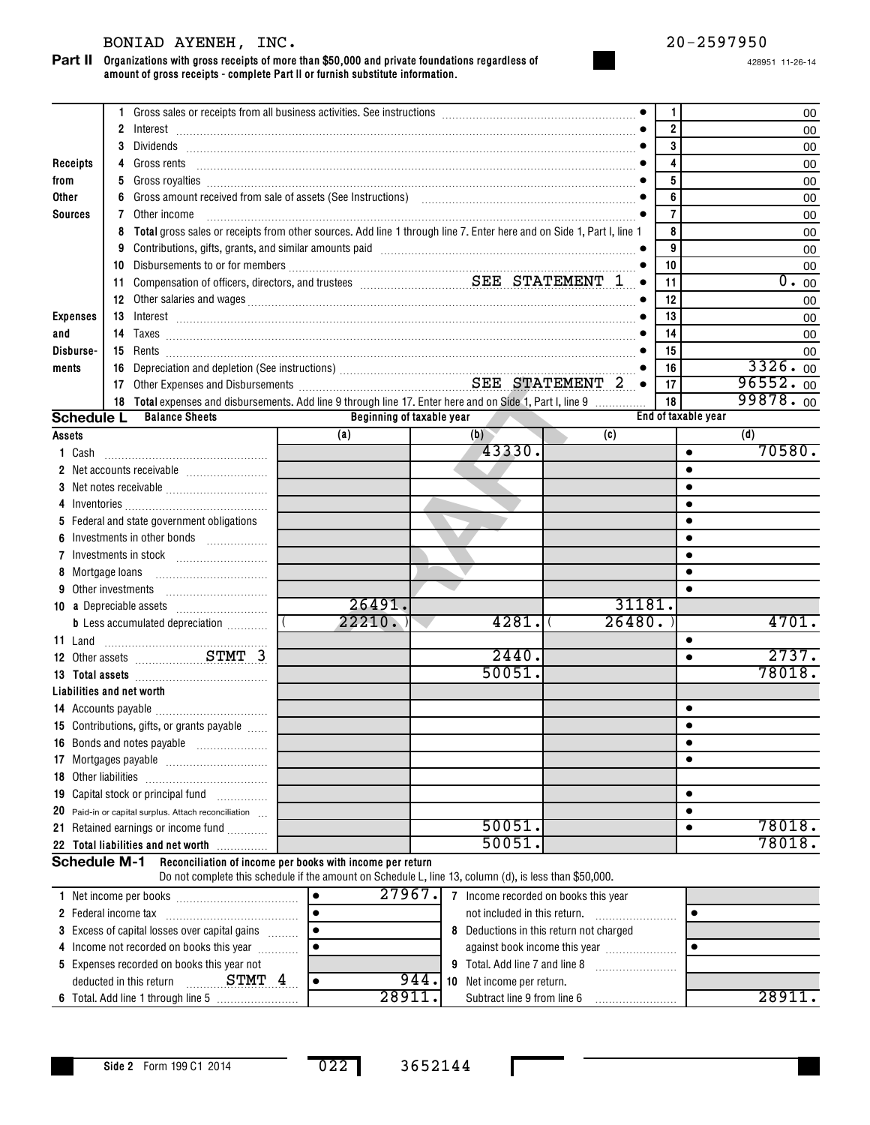## BONIAD AYENEH, INC. 20-2597950

### **Organizations with gross receipts of more than \$50,000 and private foundations regardless of Part II amount of gross receipts - complete Part II or furnish substitute information.**

|                   | 1.                | Gross sales or receipts from all business activities. See instructions manufactured contains the state of $\bullet$                                                                                                                                                                                                                                                                                                                           |        |                           |           | 1<br>00              |
|-------------------|-------------------|-----------------------------------------------------------------------------------------------------------------------------------------------------------------------------------------------------------------------------------------------------------------------------------------------------------------------------------------------------------------------------------------------------------------------------------------------|--------|---------------------------|-----------|----------------------|
|                   | $\overline{2}$    |                                                                                                                                                                                                                                                                                                                                                                                                                                               |        |                           |           | $\overline{2}$<br>00 |
|                   | 3                 |                                                                                                                                                                                                                                                                                                                                                                                                                                               |        |                           |           | 3<br>00              |
| Receipts          | 4                 |                                                                                                                                                                                                                                                                                                                                                                                                                                               |        | 4<br>00                   |           |                      |
| from              | 5                 |                                                                                                                                                                                                                                                                                                                                                                                                                                               |        |                           |           | 5<br>00              |
| Other             | 6                 |                                                                                                                                                                                                                                                                                                                                                                                                                                               |        |                           |           | 6<br>00              |
| <b>Sources</b>    | 7                 | Other income                                                                                                                                                                                                                                                                                                                                                                                                                                  |        |                           |           | $\overline{7}$<br>00 |
|                   | 8                 | Total gross sales or receipts from other sources. Add line 1 through line 7. Enter here and on Side 1, Part I, line 1                                                                                                                                                                                                                                                                                                                         |        |                           |           | 8<br>00              |
|                   | 9                 | Contributions, gifts, grants, and similar amounts paid [11] contract and according to the set of the set of the set of the set of the set of the set of the set of the set of the set of the set of the set of the set of the                                                                                                                                                                                                                 |        |                           |           | 9<br>00              |
|                   | 10                |                                                                                                                                                                                                                                                                                                                                                                                                                                               |        |                           |           | 10<br>00             |
|                   | 11                |                                                                                                                                                                                                                                                                                                                                                                                                                                               |        |                           | $\bullet$ | 0.00<br>11           |
|                   | 12                |                                                                                                                                                                                                                                                                                                                                                                                                                                               |        |                           |           | 12<br>00             |
| <b>Expenses</b>   | 13                | ${\small \rule{0.0cm}{0.0cm}} {\small \rule{0.0cm}{0.0cm}} {\small \rule{0.0cm}{0.0cm}} {\small \rule{0.0cm}{0.0cm}} {\small \rule{0.0cm}{0.0cm}} {\small \rule{0.0cm}{0.0cm}} {\small \rule{0.0cm}{0.0cm}} {\small \rule{0.0cm}{0.0cm}} {\small \rule{0.0cm}{0.0cm}} {\small \rule{0.0cm}{0.0cm}} {\small \rule{0.0cm}{0.0cm}} {\small \rule{0.0cm}{0.0cm}} {\small \rule{0.0cm}{0.0cm}} {\small \rule{0.0cm}{0.0cm}} {\small \rule{0.0cm}{$ |        |                           |           | 13<br>00             |
| and               | 14                |                                                                                                                                                                                                                                                                                                                                                                                                                                               |        |                           |           | 14<br>00             |
| Disburse-         | 15                |                                                                                                                                                                                                                                                                                                                                                                                                                                               |        |                           |           | 15<br>00             |
| ments             | 16                |                                                                                                                                                                                                                                                                                                                                                                                                                                               |        |                           |           | 3326.00<br>16        |
|                   | 17                |                                                                                                                                                                                                                                                                                                                                                                                                                                               |        |                           |           | 96552.00<br>17       |
|                   |                   | 18 Total expenses and disbursements. Add line 9 through line 17. Enter here and on Side 1, Part I, line 9                                                                                                                                                                                                                                                                                                                                     |        |                           |           | 99878.00<br>18       |
| <b>Schedule L</b> |                   | <b>Balance Sheets</b>                                                                                                                                                                                                                                                                                                                                                                                                                         |        | Beginning of taxable year |           | End of taxable year  |
| Assets            |                   |                                                                                                                                                                                                                                                                                                                                                                                                                                               | (a)    | (b)                       | (c)       | (d)                  |
| 1 Cash            |                   |                                                                                                                                                                                                                                                                                                                                                                                                                                               |        | 43330.                    |           | 70580.<br>$\bullet$  |
|                   |                   |                                                                                                                                                                                                                                                                                                                                                                                                                                               |        |                           |           |                      |
|                   |                   |                                                                                                                                                                                                                                                                                                                                                                                                                                               |        |                           |           | $\bullet$            |
|                   |                   |                                                                                                                                                                                                                                                                                                                                                                                                                                               |        |                           |           | $\bullet$            |
|                   |                   | 5 Federal and state government obligations                                                                                                                                                                                                                                                                                                                                                                                                    |        |                           |           | $\bullet$            |
|                   |                   | Investments in other bonds                                                                                                                                                                                                                                                                                                                                                                                                                    |        |                           |           | $\bullet$            |
|                   |                   |                                                                                                                                                                                                                                                                                                                                                                                                                                               |        |                           |           |                      |
| 8 Mortgage loans  |                   |                                                                                                                                                                                                                                                                                                                                                                                                                                               |        |                           |           |                      |
| 9                 | Other investments |                                                                                                                                                                                                                                                                                                                                                                                                                                               | 26491. |                           | 31181.    |                      |
|                   |                   | <b>b</b> Less accumulated depreciation <i></i>                                                                                                                                                                                                                                                                                                                                                                                                | 22210. | 4281.                     | 26480.    | 4701.                |
| 11 Land           |                   |                                                                                                                                                                                                                                                                                                                                                                                                                                               |        |                           |           | $\bullet$            |
|                   |                   |                                                                                                                                                                                                                                                                                                                                                                                                                                               |        | 2440.                     |           | 2737.<br>$\bullet$   |
|                   |                   |                                                                                                                                                                                                                                                                                                                                                                                                                                               |        | 50051                     |           | 78018.               |
|                   |                   | the contract of the contract of the contract of the contract of the contract of the contract of the contract of the contract of the contract of the contract of the contract of the contract of the contract of the contract o                                                                                                                                                                                                                |        |                           |           |                      |

| 9 Other investments                                  |                                                |        |        |        |        |
|------------------------------------------------------|------------------------------------------------|--------|--------|--------|--------|
|                                                      |                                                | 26491. |        | 31181  |        |
|                                                      | <b>b</b> Less accumulated depreciation <i></i> | 22210. | 4281.  | 26480. | 4701.  |
|                                                      |                                                |        |        |        |        |
|                                                      |                                                |        | 2440.  |        | 2737.  |
|                                                      |                                                |        | 50051. |        | 78018. |
| Liabilities and net worth                            |                                                |        |        |        |        |
|                                                      |                                                |        |        |        |        |
| 15 Contributions, gifts, or grants payable           |                                                |        |        |        |        |
| 16 Bonds and notes payable                           |                                                |        |        |        |        |
|                                                      |                                                |        |        |        |        |
|                                                      |                                                |        |        |        |        |
| 19 Capital stock or principal fund                   |                                                |        |        |        |        |
| 20 Paid-in or capital surplus. Attach reconciliation |                                                |        |        |        |        |
| 21 Retained earnings or income fund                  |                                                |        | 50051. |        | 78018. |
| 22 Total liabilities and net worth                   |                                                |        | 50051. |        | 78018. |

**Schedule M-1** Reconciliation of income per books with income per return

Do not complete this schedule if the amount on Schedule L, line 13, column (d), is less than \$50,000.

| 1 Net income per books                               | 27967 <b>.</b> | Income recorded on books this year    |  |
|------------------------------------------------------|----------------|---------------------------------------|--|
| <b>2</b> Federal income tax                          |                | not included in this return.          |  |
| <b>3</b> Excess of capital losses over capital gains |                | Deductions in this return not charged |  |
| 4 Income not recorded on books this year             |                | against book income this year         |  |
| 5 Expenses recorded on books this year not           |                | 9 Total. Add line 7 and line 8        |  |
| STMT<br>deducted in this return                      | 944.I          | 10 Net income per return.             |  |
|                                                      |                | Subtract line 9 from line 6           |  |

022 3652144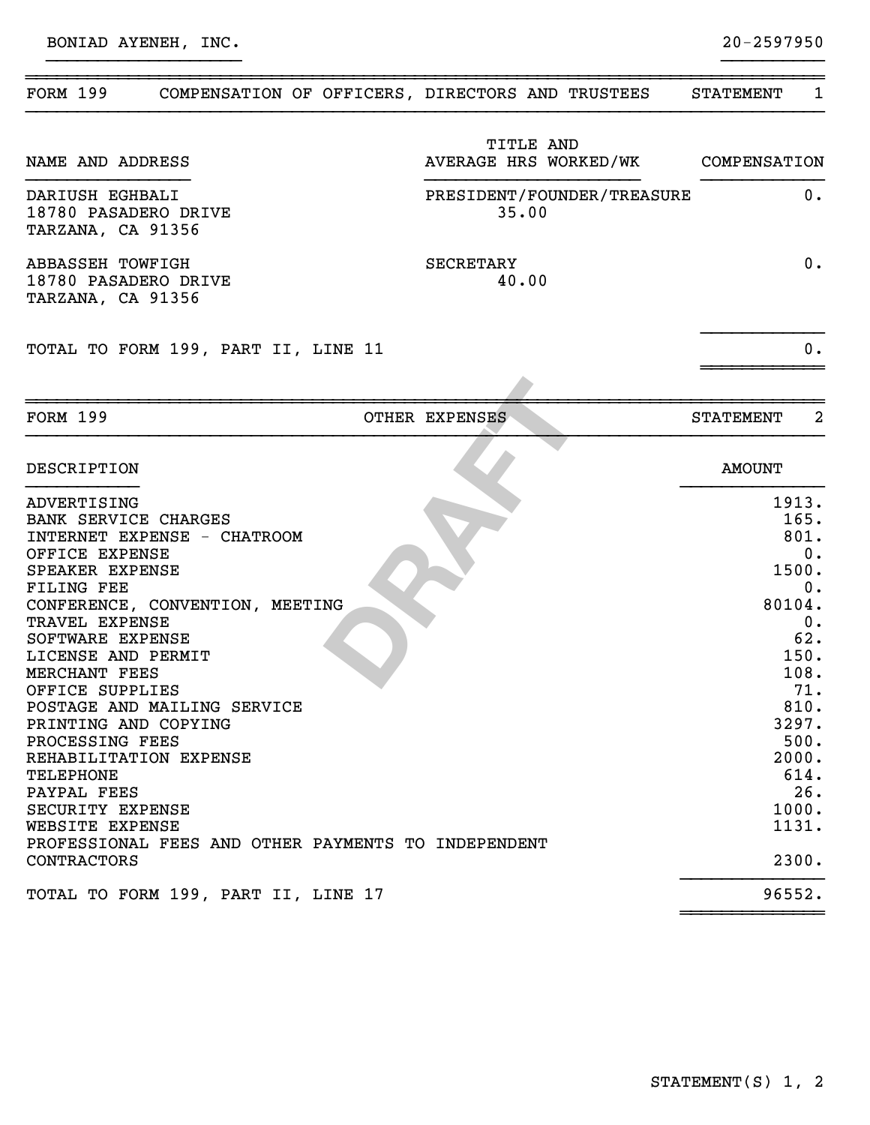| <b>FORM 199</b>                                                                                                                                                                                                                                                                                                                                                                                                                                                                               | COMPENSATION OF OFFICERS, DIRECTORS AND TRUSTEES | 1<br>STATEMENT                                                                                                                                                 |
|-----------------------------------------------------------------------------------------------------------------------------------------------------------------------------------------------------------------------------------------------------------------------------------------------------------------------------------------------------------------------------------------------------------------------------------------------------------------------------------------------|--------------------------------------------------|----------------------------------------------------------------------------------------------------------------------------------------------------------------|
| NAME AND ADDRESS                                                                                                                                                                                                                                                                                                                                                                                                                                                                              | TITLE AND<br>AVERAGE HRS WORKED/WK COMPENSATION  |                                                                                                                                                                |
| DARIUSH EGHBALI<br>18780 PASADERO DRIVE<br>TARZANA, CA 91356                                                                                                                                                                                                                                                                                                                                                                                                                                  | PRESIDENT/FOUNDER/TREASURE<br>35.00              | 0.                                                                                                                                                             |
| <b>ABBASSEH TOWFIGH</b><br>18780 PASADERO DRIVE<br>TARZANA, CA 91356                                                                                                                                                                                                                                                                                                                                                                                                                          | <b>SECRETARY</b><br>40.00                        | 0.                                                                                                                                                             |
| TOTAL TO FORM 199, PART II, LINE 11                                                                                                                                                                                                                                                                                                                                                                                                                                                           |                                                  | 0.                                                                                                                                                             |
| <b>FORM 199</b>                                                                                                                                                                                                                                                                                                                                                                                                                                                                               | OTHER EXPENSES                                   | $\overline{2}$<br><b>STATEMENT</b>                                                                                                                             |
| DESCRIPTION                                                                                                                                                                                                                                                                                                                                                                                                                                                                                   |                                                  | <b>AMOUNT</b>                                                                                                                                                  |
| ADVERTISING<br>BANK SERVICE CHARGES<br>INTERNET EXPENSE - CHATROOM<br>OFFICE EXPENSE<br>SPEAKER EXPENSE<br>FILING FEE<br>CONFERENCE, CONVENTION, MEETING<br>TRAVEL EXPENSE<br>SOFTWARE EXPENSE<br>LICENSE AND PERMIT<br>MERCHANT FEES<br>OFFICE SUPPLIES<br>POSTAGE AND MAILING SERVICE<br>PRINTING AND COPYING<br>PROCESSING FEES<br>REHABILITATION EXPENSE<br><b>TELEPHONE</b><br>PAYPAL FEES<br>SECURITY EXPENSE<br>WEBSITE EXPENSE<br>PROFESSIONAL FEES AND OTHER PAYMENTS TO INDEPENDENT |                                                  | 1913.<br>165.<br>801.<br>0.<br>1500.<br>0.<br>80104.<br>$0$ .<br>62.<br>150.<br>108.<br>71.<br>810.<br>3297.<br>500.<br>2000.<br>614.<br>26.<br>1000.<br>1131. |
| <b>CONTRACTORS</b><br>TOTAL TO FORM 199, PART II, LINE 17                                                                                                                                                                                                                                                                                                                                                                                                                                     |                                                  | 2300.<br>96552.                                                                                                                                                |

~~~~~~~~~~~~~~~~~~~~~~~~~~~~~~~~~~~~~~~~~~~~~~~~~~~~~~~~~~~~~~~~~~~~~~~~~~~~~~

}}}}}}}}}}}}}}}}}}} }}}}}}}}}}

~~~~~~~~~~~~~~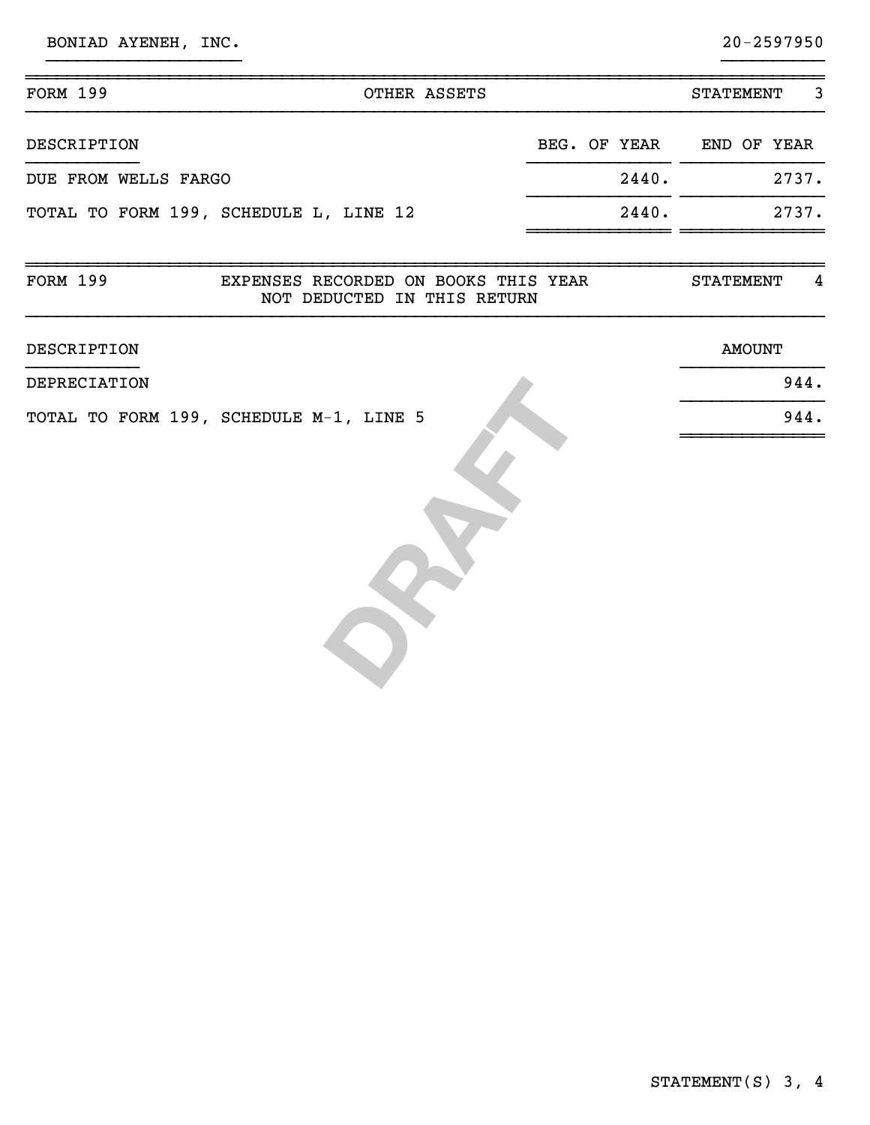|  | BONIAD AYENEH, | INC. |
|--|----------------|------|
|--|----------------|------|

 $20 - 2597950$ 

| <b>FORM 199</b>                        | OTHER ASSETS                                                        |              | 3<br><b>STATEMENT</b> |
|----------------------------------------|---------------------------------------------------------------------|--------------|-----------------------|
| <b>DESCRIPTION</b>                     |                                                                     | BEG. OF YEAR | END OF YEAR           |
| DUE FROM WELLS FARGO                   |                                                                     | 2440.        | 2737.                 |
| TOTAL TO FORM 199, SCHEDULE L, LINE 12 |                                                                     | 2440.        | 2737.                 |
| <b>FORM 199</b>                        | EXPENSES RECORDED ON BOOKS THIS YEAR<br>NOT DEDUCTED IN THIS RETURN |              | <b>STATEMENT</b><br>4 |

}}}}}}}}}}}}}}}}}}} }}}}}}}}}}

| DESCRIPTION                             | <b>AMOUNT</b> |
|-----------------------------------------|---------------|
| DEPRECIATION                            | 944.          |
| TOTAL TO FORM 199, SCHEDULE M-1, LINE 5 | 944.          |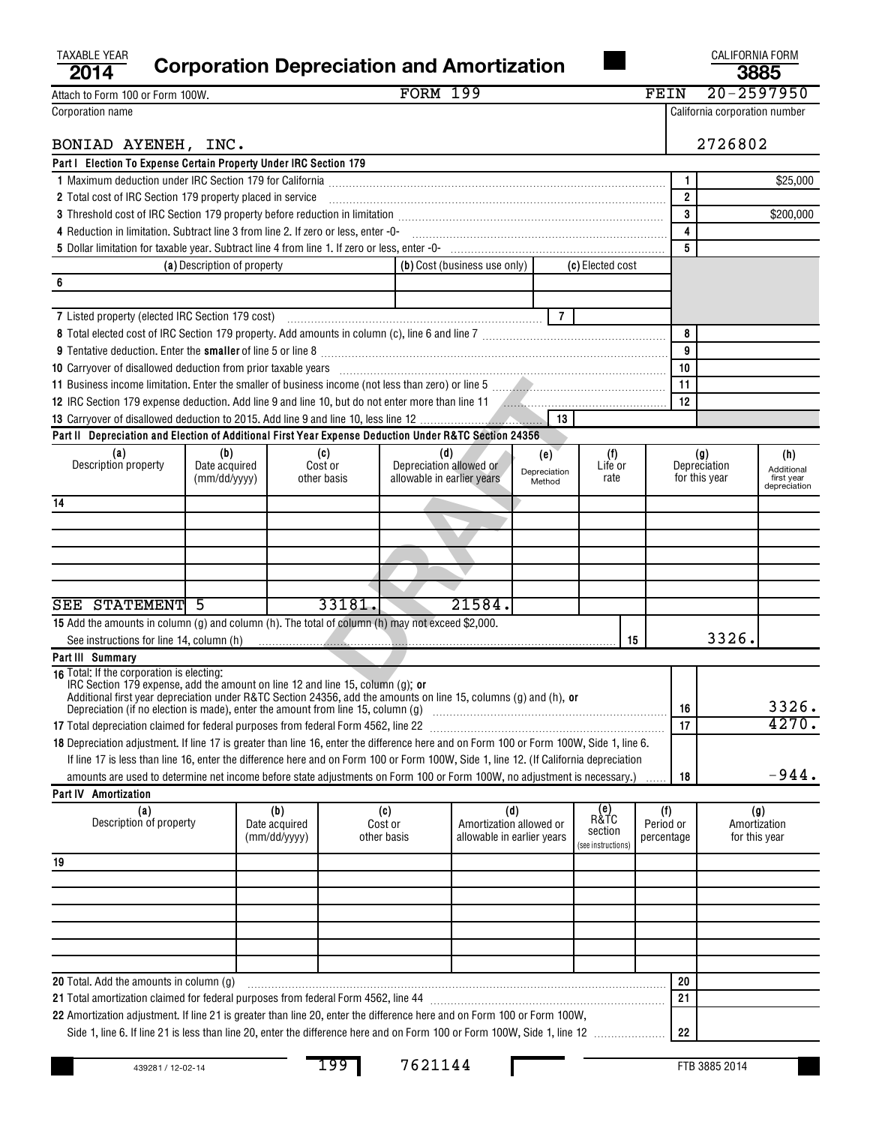| <b>TAXABLE YEAR</b><br>2014                                                                                                                                                                        |                             | <b>Corporation Depreciation and Amortization</b> |                |                                |                                      |                        |                    |    |                         | <b>CALIFORNIA FORM</b>        | 3885                                     |
|----------------------------------------------------------------------------------------------------------------------------------------------------------------------------------------------------|-----------------------------|--------------------------------------------------|----------------|--------------------------------|--------------------------------------|------------------------|--------------------|----|-------------------------|-------------------------------|------------------------------------------|
| Attach to Form 100 or Form 100W.                                                                                                                                                                   |                             |                                                  |                | <b>FORM 199</b>                |                                      |                        |                    |    | FEIN                    | $20 - 2597950$                |                                          |
| Corporation name                                                                                                                                                                                   |                             |                                                  |                |                                |                                      |                        |                    |    |                         | California corporation number |                                          |
| BONIAD AYENEH, INC.                                                                                                                                                                                |                             |                                                  |                |                                |                                      |                        |                    |    |                         | 2726802                       |                                          |
| Part   Election To Expense Certain Property Under IRC Section 179                                                                                                                                  |                             |                                                  |                |                                |                                      |                        |                    |    |                         |                               |                                          |
|                                                                                                                                                                                                    |                             |                                                  |                |                                |                                      |                        |                    |    | 1                       |                               | \$25,000                                 |
| 2 Total cost of IRC Section 179 property placed in service                                                                                                                                         |                             |                                                  |                |                                |                                      |                        |                    |    | $\overline{2}$          |                               |                                          |
|                                                                                                                                                                                                    |                             |                                                  |                |                                |                                      |                        |                    |    | 3                       |                               | \$200,000                                |
|                                                                                                                                                                                                    |                             |                                                  |                |                                |                                      |                        |                    |    | 4                       |                               |                                          |
|                                                                                                                                                                                                    |                             |                                                  |                |                                |                                      |                        |                    |    | 5                       |                               |                                          |
|                                                                                                                                                                                                    | (a) Description of property |                                                  |                |                                | (b) Cost (business use only) $\vert$ |                        | (c) Elected cost   |    |                         |                               |                                          |
| 6                                                                                                                                                                                                  |                             |                                                  |                |                                |                                      |                        |                    |    |                         |                               |                                          |
| 7 Listed property (elected IRC Section 179 cost)                                                                                                                                                   |                             |                                                  |                |                                |                                      | $\overline{7}$         |                    |    |                         |                               |                                          |
|                                                                                                                                                                                                    |                             |                                                  |                |                                |                                      |                        |                    |    | 8                       |                               |                                          |
|                                                                                                                                                                                                    |                             |                                                  |                |                                |                                      |                        |                    |    | $\mathbf{q}$            |                               |                                          |
|                                                                                                                                                                                                    |                             |                                                  |                |                                |                                      |                        |                    |    | 10                      |                               |                                          |
|                                                                                                                                                                                                    |                             |                                                  |                |                                |                                      |                        |                    |    | 11                      |                               |                                          |
|                                                                                                                                                                                                    |                             |                                                  |                |                                |                                      |                        |                    |    | 12                      |                               |                                          |
|                                                                                                                                                                                                    |                             |                                                  |                |                                |                                      | 13                     |                    |    |                         |                               |                                          |
| Part II Depreciation and Election of Additional First Year Expense Deduction Under R&TC Section 24356                                                                                              |                             |                                                  |                |                                |                                      |                        |                    |    |                         |                               |                                          |
| (a)<br>Description property                                                                                                                                                                        | (b)<br>Date acquired        |                                                  | (c)<br>Cost or | (d)<br>Depreciation allowed or |                                      | (e)                    | (f)<br>Life or     |    |                         | (g)<br>Depreciation           | (h)                                      |
|                                                                                                                                                                                                    | (mm/dd/yyyy)                |                                                  | other basis    | allowable in earlier years     |                                      | Depreciation<br>Method | rate               |    |                         | for this year                 | Additional<br>first year<br>depreciation |
| 14                                                                                                                                                                                                 |                             |                                                  |                |                                |                                      |                        |                    |    |                         |                               |                                          |
|                                                                                                                                                                                                    |                             |                                                  |                |                                |                                      |                        |                    |    |                         |                               |                                          |
|                                                                                                                                                                                                    |                             |                                                  |                |                                |                                      |                        |                    |    |                         |                               |                                          |
|                                                                                                                                                                                                    |                             |                                                  |                |                                |                                      |                        |                    |    |                         |                               |                                          |
|                                                                                                                                                                                                    |                             |                                                  |                |                                |                                      |                        |                    |    |                         |                               |                                          |
|                                                                                                                                                                                                    |                             |                                                  |                |                                |                                      |                        |                    |    |                         |                               |                                          |
| SEE STATEMENT 5                                                                                                                                                                                    |                             |                                                  | 33181.         |                                | 21584.                               |                        |                    |    |                         |                               |                                          |
| 15 Add the amounts in column (g) and column (h). The total of column (h) may not exceed \$2,000.                                                                                                   |                             |                                                  |                |                                |                                      |                        |                    |    |                         |                               |                                          |
| See instructions for line 14, column (h)                                                                                                                                                           |                             |                                                  |                |                                |                                      |                        |                    | 15 |                         | 3326.                         |                                          |
| Part III Summary<br>16 Total: If the corporation is electing:                                                                                                                                      |                             |                                                  |                |                                |                                      |                        |                    |    |                         |                               |                                          |
| IRC Section 179 expense, add the amount on line 12 and line 15, column (g); or<br>Additional first year depreciation under R&TC Section 24356, add the amounts on line 15, columns (g) and (h), or |                             |                                                  |                |                                |                                      |                        |                    |    |                         |                               |                                          |
| Depreciation (if no election is made), enter the amount from line 15, column $(g)$                                                                                                                 |                             |                                                  |                |                                |                                      |                        |                    |    | 16                      |                               | 3326.                                    |
| 17 Total depreciation claimed for federal purposes from federal Form 4562, line 22                                                                                                                 |                             |                                                  |                |                                |                                      |                        |                    |    | 17                      |                               | 4270.                                    |
| 18 Depreciation adjustment. If line 17 is greater than line 16, enter the difference here and on Form 100 or Form 100W, Side 1, line 6.                                                            |                             |                                                  |                |                                |                                      |                        |                    |    |                         |                               |                                          |
| If line 17 is less than line 16, enter the difference here and on Form 100 or Form 100W, Side 1, line 12. (If California depreciation                                                              |                             |                                                  |                |                                |                                      |                        |                    |    |                         |                               |                                          |
| amounts are used to determine net income before state adjustments on Form 100 or Form 100W, no adjustment is necessary.)                                                                           |                             |                                                  |                |                                |                                      |                        |                    |    | 18                      |                               | $-944.$                                  |
| Part IV Amortization                                                                                                                                                                               |                             |                                                  |                |                                |                                      |                        |                    |    |                         |                               |                                          |
| (a)<br>Description of property                                                                                                                                                                     |                             | (b)                                              |                | (c)                            | (d)<br>Amortization allowed or       |                        | (e)<br>R&TC        |    | (f)                     | (g)                           |                                          |
|                                                                                                                                                                                                    |                             | Date acquired<br>(mm/dd/yyyy)                    |                | Cost or<br>other basis         | allowable in earlier vears           |                        | section            |    | Period or<br>percentage | Amortization<br>for this year |                                          |
|                                                                                                                                                                                                    |                             |                                                  |                |                                |                                      |                        | (see instructions) |    |                         |                               |                                          |
| 19                                                                                                                                                                                                 |                             |                                                  |                |                                |                                      |                        |                    |    |                         |                               |                                          |
|                                                                                                                                                                                                    |                             |                                                  |                |                                |                                      |                        |                    |    |                         |                               |                                          |
|                                                                                                                                                                                                    |                             |                                                  |                |                                |                                      |                        |                    |    |                         |                               |                                          |
|                                                                                                                                                                                                    |                             |                                                  |                |                                |                                      |                        |                    |    |                         |                               |                                          |
|                                                                                                                                                                                                    |                             |                                                  |                |                                |                                      |                        |                    |    |                         |                               |                                          |
|                                                                                                                                                                                                    |                             |                                                  |                |                                |                                      |                        |                    |    |                         |                               |                                          |
| <b>20</b> Total. Add the amounts in column $(g)$                                                                                                                                                   |                             |                                                  |                |                                |                                      |                        |                    |    | 20                      |                               |                                          |
| 21 Total amortization claimed for federal purposes from federal Form 4562, line 44                                                                                                                 |                             |                                                  |                |                                |                                      |                        |                    |    | 21                      |                               |                                          |
| 22 Amortization adjustment. If line 21 is greater than line 20, enter the difference here and on Form 100 or Form 100W,                                                                            |                             |                                                  |                |                                |                                      |                        |                    |    |                         |                               |                                          |
|                                                                                                                                                                                                    |                             |                                                  |                |                                |                                      |                        |                    |    | 22                      |                               |                                          |

199 7621144

Г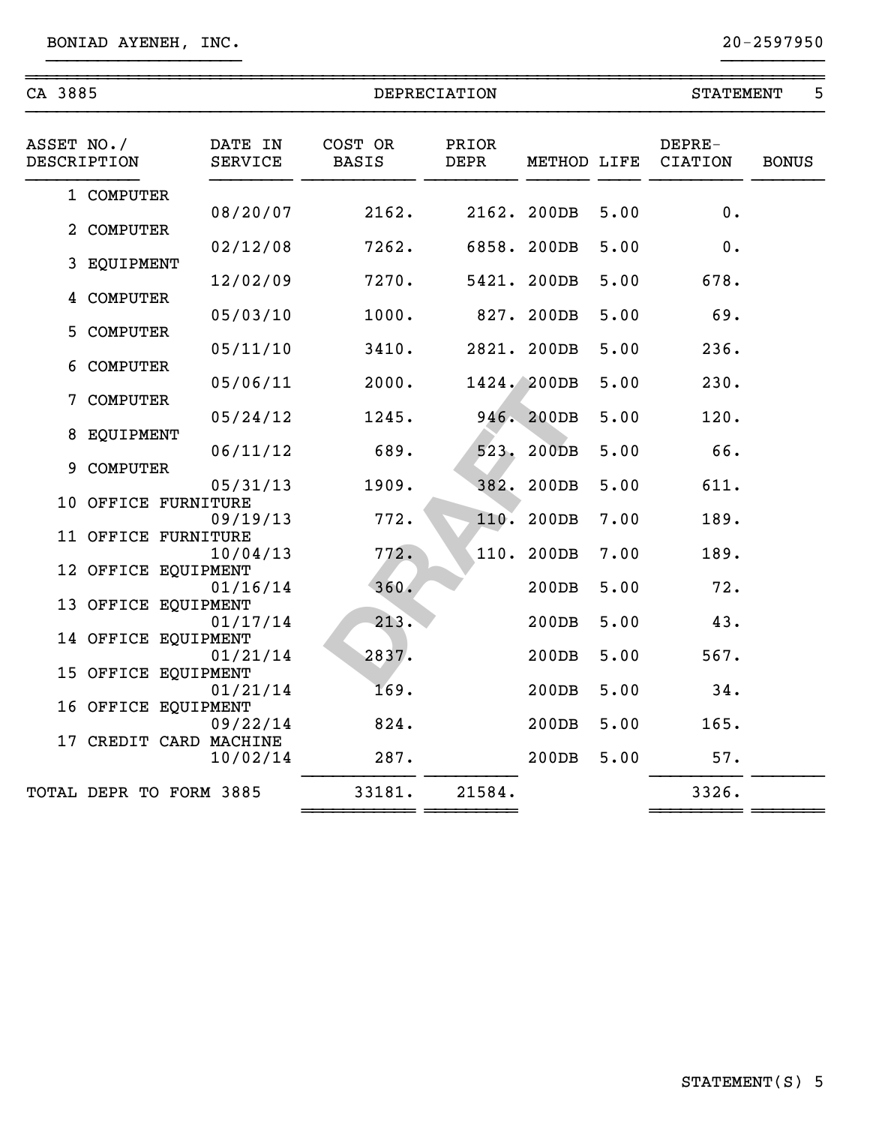|  | BONIAD AYENEH, | INC. |
|--|----------------|------|
|--|----------------|------|

## 20-2597950

| CA 3885    |                         |                           | DEPRECIATION            | 5<br><b>STATEMENT</b> |             |      |                          |              |
|------------|-------------------------|---------------------------|-------------------------|-----------------------|-------------|------|--------------------------|--------------|
| ASSET NO./ | DESCRIPTION             | DATE IN<br><b>SERVICE</b> | COST OR<br><b>BASIS</b> | PRIOR<br>DEPR         | METHOD LIFE |      | DEPRE-<br><b>CIATION</b> | <b>BONUS</b> |
|            | 1 COMPUTER              |                           |                         |                       |             |      |                          |              |
|            | 2 COMPUTER              | 08/20/07                  | 2162.                   |                       | 2162. 200DB | 5.00 | 0.                       |              |
|            |                         | 02/12/08                  | 7262.                   |                       | 6858. 200DB | 5.00 | 0.                       |              |
|            | 3 EQUIPMENT             | 12/02/09                  | 7270.                   |                       | 5421. 200DB | 5.00 | 678.                     |              |
|            | 4 COMPUTER              |                           |                         |                       |             |      |                          |              |
|            |                         | 05/03/10                  | 1000.                   |                       | 827. 200DB  | 5.00 | 69.                      |              |
| 5          | <b>COMPUTER</b>         | 05/11/10                  | 3410.                   |                       | 2821. 200DB | 5.00 | 236.                     |              |
|            | 6 COMPUTER              |                           |                         |                       |             |      |                          |              |
| 7          | <b>COMPUTER</b>         | 05/06/11                  | 2000.                   |                       | 1424. 200DB | 5.00 | 230.                     |              |
|            |                         | 05/24/12                  | 1245.                   |                       | 946. 200DB  | 5.00 | 120.                     |              |
| 8          | <b>EQUIPMENT</b>        | 06/11/12                  | 689.                    |                       | 523. 200DB  | 5.00 | 66.                      |              |
| 9.         | <b>COMPUTER</b>         |                           |                         |                       |             |      |                          |              |
|            |                         | 05/31/13                  | 1909.                   |                       | 382. 200DB  | 5.00 | 611.                     |              |
|            | 10 OFFICE FURNITURE     | 09/19/13                  | 772.                    |                       | 110. 200DB  | 7.00 | 189.                     |              |
|            | 11 OFFICE FURNITURE     |                           |                         |                       |             |      |                          |              |
|            | 12 OFFICE EQUIPMENT     | 10/04/13                  | 772.                    |                       | 110. 200DB  | 7.00 | 189.                     |              |
|            |                         | 01/16/14                  | 360.                    |                       | 200DB       | 5.00 | 72.                      |              |
|            | 13 OFFICE EQUIPMENT     |                           |                         |                       |             |      |                          |              |
|            | 14 OFFICE EQUIPMENT     | 01/17/14                  | 213.                    |                       | 200DB       | 5.00 | 43.                      |              |
|            |                         | 01/21/14                  | 2837.                   |                       | 200DB       | 5.00 | 567.                     |              |
|            | 15 OFFICE EQUIPMENT     | 01/21/14                  | 169.                    |                       | 200DB       | 5.00 | 34.                      |              |
|            | 16 OFFICE EQUIPMENT     |                           |                         |                       |             |      |                          |              |
|            |                         | 09/22/14                  | 824.                    |                       | 200DB       | 5.00 | 165.                     |              |
|            | 17 CREDIT CARD MACHINE  | 10/02/14                  | 287.                    |                       | 200DB       | 5.00 | 57.                      |              |
|            | TOTAL DEPR TO FORM 3885 |                           | 33181.                  | 21584.                |             |      | 3326.                    |              |
|            |                         |                           |                         |                       |             |      |                          |              |

~~~~~~~~~~~~~~~~~~~~~~~~~~~~~~~~~~~~~~~~~~~~~~~~~~~~~~~~~~~~~~~~~~~~~~~~~~~~~~

}}}}}}}}}}}}}}}}}}} }}}}}}}}}}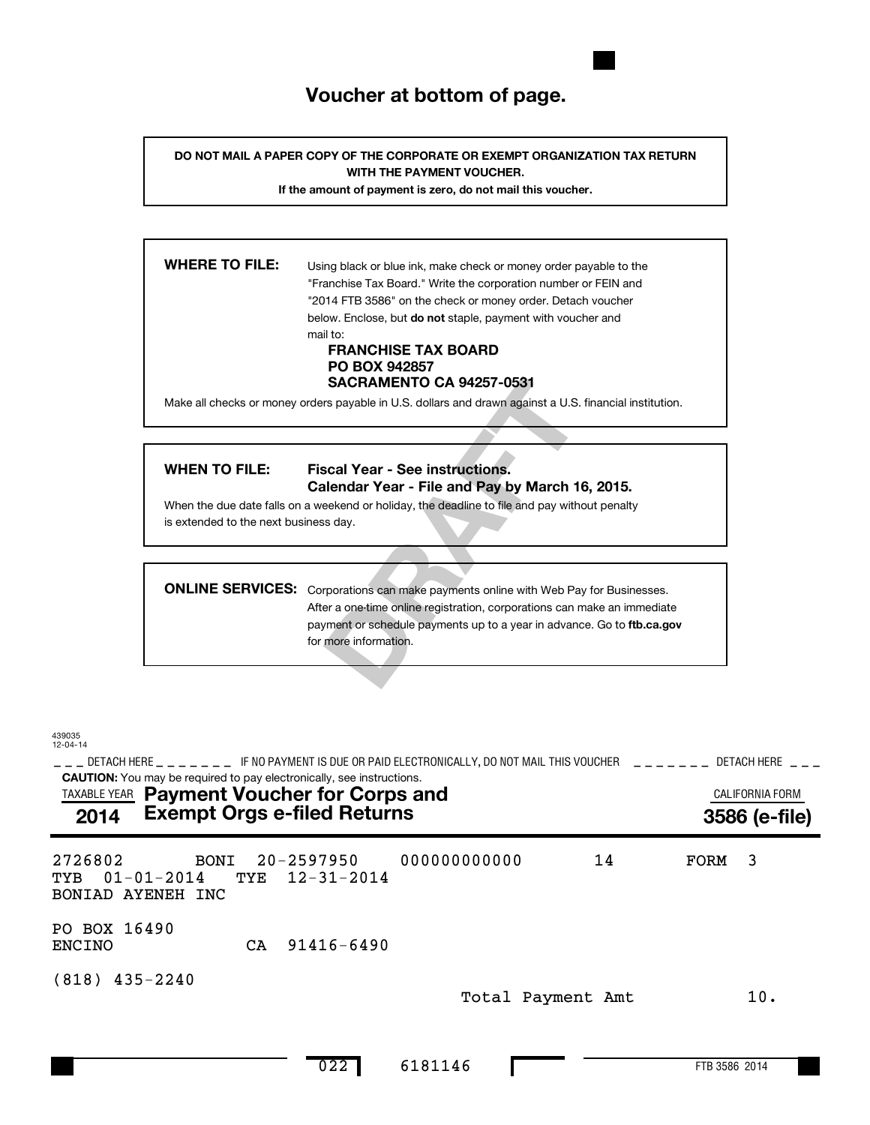## **Voucher at bottom of page.**

**DO NOT MAIL A PAPER COPY OF THE CORPORATE OR EXEMPT ORGANIZATION TAX RETURN WITH THE PAYMENT VOUCHER.**

**If the amount of payment is zero, do not mail this voucher.**

| <b>WHERE TO FILE:</b>                 | Using black or blue ink, make check or money order payable to the                                       |
|---------------------------------------|---------------------------------------------------------------------------------------------------------|
|                                       | "Franchise Tax Board." Write the corporation number or FEIN and                                         |
|                                       | "2014 FTB 3586" on the check or money order. Detach voucher                                             |
|                                       | below. Enclose, but do not staple, payment with voucher and                                             |
|                                       | mail to:                                                                                                |
|                                       | <b>FRANCHISE TAX BOARD</b>                                                                              |
|                                       | <b>PO BOX 942857</b>                                                                                    |
|                                       | <b>SACRAMENTO CA 94257-0531</b>                                                                         |
|                                       | Make all checks or money orders payable in U.S. dollars and drawn against a U.S. financial institution. |
|                                       |                                                                                                         |
|                                       |                                                                                                         |
|                                       |                                                                                                         |
| WHEN TO FILE:                         | <b>Fiscal Year - See instructions.</b>                                                                  |
|                                       |                                                                                                         |
|                                       | Calendar Year - File and Pay by March 16, 2015.                                                         |
|                                       |                                                                                                         |
|                                       | When the due date falls on a weekend or holiday, the deadline to file and pay without penalty           |
| is extended to the next business day. |                                                                                                         |
|                                       |                                                                                                         |
|                                       |                                                                                                         |
|                                       |                                                                                                         |
| <b>ONLINE SERVICES:</b>               | Corporations can make payments online with Web Pay for Businesses.                                      |
|                                       | After a one-time online registration, corporations can make an immediate                                |
|                                       | payment or schedule payments up to a year in advance. Go to ftb.ca.gov                                  |
|                                       | for more information.                                                                                   |
|                                       |                                                                                                         |

439035 12-04-14

**CAUTION:** You may be required to pay electronically, see instructions.  $\mu = 0$  detach here  $\mu = 0.001$  or the NO payment is due or paid electronically, do not mail this voucher  $\mu = 0.001$  detach here  $\mu = 0.001$ 

| <b>TAXABLE YEAR Payment Voucher for Corps and</b><br><b>Exempt Orgs e-filed Returns</b><br>2014 |                |                                  |              | CALIFORNIA FORM<br>3586 (e-file) |      |     |
|-------------------------------------------------------------------------------------------------|----------------|----------------------------------|--------------|----------------------------------|------|-----|
| 2726802<br>BONI<br>$01 - 01 - 2014$<br>TYB<br>BONIAD AYENEH INC                                 |                | $20 - 2597950$<br>TYE 12-31-2014 | 000000000000 | 14                               | FORM | -3  |
| PO BOX 16490<br><b>ENCINO</b>                                                                   | C <sub>A</sub> | $91416 - 6490$                   |              |                                  |      |     |
| $(818)$ 435-2240                                                                                |                |                                  |              | Total Payment Amt                |      | 10. |

п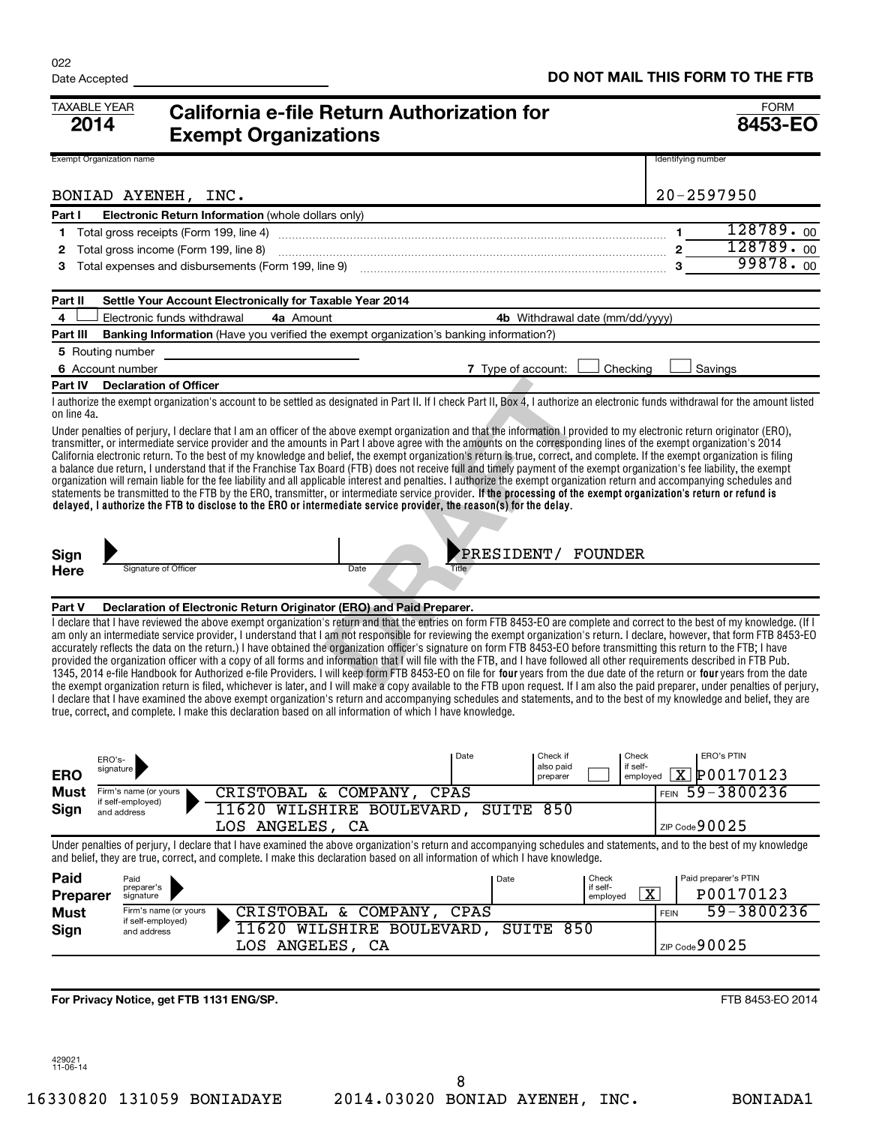| <b>TAXABLE YEAR</b><br>2014 |                                       | California e-file Return Authorization for<br><b>Exempt Organizations</b>                                                                                                                                                                                                                                                                                                                                                                                                                                                                                                                                                                                                                                                                                                                                                                                                                                                                                                                                                                                                                                                                                                                                                                                                                                                                                                    | <b>FORM</b><br>8453-EO               |
|-----------------------------|---------------------------------------|------------------------------------------------------------------------------------------------------------------------------------------------------------------------------------------------------------------------------------------------------------------------------------------------------------------------------------------------------------------------------------------------------------------------------------------------------------------------------------------------------------------------------------------------------------------------------------------------------------------------------------------------------------------------------------------------------------------------------------------------------------------------------------------------------------------------------------------------------------------------------------------------------------------------------------------------------------------------------------------------------------------------------------------------------------------------------------------------------------------------------------------------------------------------------------------------------------------------------------------------------------------------------------------------------------------------------------------------------------------------------|--------------------------------------|
|                             | <b>Exempt Organization name</b>       |                                                                                                                                                                                                                                                                                                                                                                                                                                                                                                                                                                                                                                                                                                                                                                                                                                                                                                                                                                                                                                                                                                                                                                                                                                                                                                                                                                              | Identifying number                   |
|                             | BONIAD AYENEH, INC.                   |                                                                                                                                                                                                                                                                                                                                                                                                                                                                                                                                                                                                                                                                                                                                                                                                                                                                                                                                                                                                                                                                                                                                                                                                                                                                                                                                                                              | $20 - 2597950$                       |
| Part I                      |                                       | Electronic Return Information (whole dollars only)                                                                                                                                                                                                                                                                                                                                                                                                                                                                                                                                                                                                                                                                                                                                                                                                                                                                                                                                                                                                                                                                                                                                                                                                                                                                                                                           |                                      |
| 1                           |                                       |                                                                                                                                                                                                                                                                                                                                                                                                                                                                                                                                                                                                                                                                                                                                                                                                                                                                                                                                                                                                                                                                                                                                                                                                                                                                                                                                                                              | 128789.00                            |
| 2                           | Total gross income (Form 199, line 8) |                                                                                                                                                                                                                                                                                                                                                                                                                                                                                                                                                                                                                                                                                                                                                                                                                                                                                                                                                                                                                                                                                                                                                                                                                                                                                                                                                                              | 128789.00                            |
| З                           |                                       |                                                                                                                                                                                                                                                                                                                                                                                                                                                                                                                                                                                                                                                                                                                                                                                                                                                                                                                                                                                                                                                                                                                                                                                                                                                                                                                                                                              | 99878.00                             |
| Part II                     |                                       | Settle Your Account Electronically for Taxable Year 2014                                                                                                                                                                                                                                                                                                                                                                                                                                                                                                                                                                                                                                                                                                                                                                                                                                                                                                                                                                                                                                                                                                                                                                                                                                                                                                                     |                                      |
| 4                           | Electronic funds withdrawal           | 4a Amount<br>4b Withdrawal date (mm/dd/yyyy)                                                                                                                                                                                                                                                                                                                                                                                                                                                                                                                                                                                                                                                                                                                                                                                                                                                                                                                                                                                                                                                                                                                                                                                                                                                                                                                                 |                                      |
| Part III                    |                                       | Banking Information (Have you verified the exempt organization's banking information?)                                                                                                                                                                                                                                                                                                                                                                                                                                                                                                                                                                                                                                                                                                                                                                                                                                                                                                                                                                                                                                                                                                                                                                                                                                                                                       |                                      |
|                             | 5 Routing number                      |                                                                                                                                                                                                                                                                                                                                                                                                                                                                                                                                                                                                                                                                                                                                                                                                                                                                                                                                                                                                                                                                                                                                                                                                                                                                                                                                                                              |                                      |
|                             | 6 Account number                      | 7 Type of account:<br>Checking                                                                                                                                                                                                                                                                                                                                                                                                                                                                                                                                                                                                                                                                                                                                                                                                                                                                                                                                                                                                                                                                                                                                                                                                                                                                                                                                               | Savings                              |
| Part IV                     | <b>Declaration of Officer</b>         |                                                                                                                                                                                                                                                                                                                                                                                                                                                                                                                                                                                                                                                                                                                                                                                                                                                                                                                                                                                                                                                                                                                                                                                                                                                                                                                                                                              |                                      |
| on line 4a.                 |                                       | I authorize the exempt organization's account to be settled as designated in Part II. If I check Part II, Box 4, I authorize an electronic funds withdrawal for the amount listed                                                                                                                                                                                                                                                                                                                                                                                                                                                                                                                                                                                                                                                                                                                                                                                                                                                                                                                                                                                                                                                                                                                                                                                            |                                      |
|                             |                                       | Under penalties of perjury, I declare that I am an officer of the above exempt organization and that the information I provided to my electronic return originator (ERO),<br>transmitter, or intermediate service provider and the amounts in Part I above agree with the amounts on the corresponding lines of the exempt organization's 2014<br>California electronic return. To the best of my knowledge and belief, the exempt organization's return is true, correct, and complete. If the exempt organization is filing<br>a balance due return, I understand that if the Franchise Tax Board (FTB) does not receive full and timely payment of the exempt organization's fee liability, the exempt<br>organization will remain liable for the fee liability and all applicable interest and penalties. I authorize the exempt organization return and accompanying schedules and<br>statements be transmitted to the FTB by the ERO, transmitter, or intermediate service provider. If the processing of the exempt organization's return or refund is<br>delayed. I authorize the FTB to disclose to the ERO or intermediate service provider, the reason(s) for the delay.                                                                                                                                                                                          |                                      |
| Sign                        |                                       | PRESIDENT/<br><b>FOUNDER</b>                                                                                                                                                                                                                                                                                                                                                                                                                                                                                                                                                                                                                                                                                                                                                                                                                                                                                                                                                                                                                                                                                                                                                                                                                                                                                                                                                 |                                      |
| <b>Here</b>                 | Signature of Officer                  | Date<br><b>Title</b>                                                                                                                                                                                                                                                                                                                                                                                                                                                                                                                                                                                                                                                                                                                                                                                                                                                                                                                                                                                                                                                                                                                                                                                                                                                                                                                                                         |                                      |
|                             |                                       |                                                                                                                                                                                                                                                                                                                                                                                                                                                                                                                                                                                                                                                                                                                                                                                                                                                                                                                                                                                                                                                                                                                                                                                                                                                                                                                                                                              |                                      |
| Part V                      |                                       | Declaration of Electronic Return Originator (ERO) and Paid Preparer.                                                                                                                                                                                                                                                                                                                                                                                                                                                                                                                                                                                                                                                                                                                                                                                                                                                                                                                                                                                                                                                                                                                                                                                                                                                                                                         |                                      |
|                             |                                       | I declare that I have reviewed the above exempt organization's return and that the entries on form FTB 8453-EO are complete and correct to the best of my knowledge. (If I<br>am only an intermediate service provider, I understand that I am not responsible for reviewing the exempt organization's return. I declare, however, that form FTB 8453-EO<br>accurately reflects the data on the return.) I have obtained the organization officer's signature on form FTB 8453-EO before transmitting this return to the FTB; I have<br>provided the organization officer with a copy of all forms and information that I will file with the FTB, and I have followed all other requirements described in FTB Pub.<br>1345, 2014 e-file Handbook for Authorized e-file Providers. I will keep form FTB 8453-EO on file for four years from the due date of the return or four years from the date<br>the exempt organization return is filed, whichever is later, and I will make a copy available to the FTB upon request. If I am also the paid preparer, under penalties of perjury,<br>I declare that I have examined the above exempt organization's return and accompanying schedules and statements, and to the best of my knowledge and belief, they are<br>true, correct, and complete. I make this declaration based on all information of which I have knowledge. |                                      |
| ERO                         | ERO's-<br>signature                   | Check<br>Date<br>Check if<br>if self-<br>also paid                                                                                                                                                                                                                                                                                                                                                                                                                                                                                                                                                                                                                                                                                                                                                                                                                                                                                                                                                                                                                                                                                                                                                                                                                                                                                                                           | <b>ERO's PTIN</b><br>P00170123<br>X  |
| Must                        | Firm's name (or yours                 | preparer<br>CRISTOBAL & COMPANY, CPAS                                                                                                                                                                                                                                                                                                                                                                                                                                                                                                                                                                                                                                                                                                                                                                                                                                                                                                                                                                                                                                                                                                                                                                                                                                                                                                                                        | employed<br>FEIN 59-3800236          |
| Sign                        | if self-employed)<br>and address      | 11620 WILSHIRE BOULEVARD,<br>SUITE 850                                                                                                                                                                                                                                                                                                                                                                                                                                                                                                                                                                                                                                                                                                                                                                                                                                                                                                                                                                                                                                                                                                                                                                                                                                                                                                                                       |                                      |
|                             |                                       | LOS ANGELES, CA                                                                                                                                                                                                                                                                                                                                                                                                                                                                                                                                                                                                                                                                                                                                                                                                                                                                                                                                                                                                                                                                                                                                                                                                                                                                                                                                                              | ZIP Code $90025$                     |
|                             |                                       | Under penalties of perjury, I declare that I have examined the above organization's return and accompanying schedules and statements, and to the best of my knowledge<br>and belief, they are true, correct, and complete. I make this declaration based on all information of which I have knowledge.                                                                                                                                                                                                                                                                                                                                                                                                                                                                                                                                                                                                                                                                                                                                                                                                                                                                                                                                                                                                                                                                       |                                      |
| Paid                        | Paid                                  | Date<br>Check                                                                                                                                                                                                                                                                                                                                                                                                                                                                                                                                                                                                                                                                                                                                                                                                                                                                                                                                                                                                                                                                                                                                                                                                                                                                                                                                                                | Paid preparer's PTIN                 |
| <b>Preparer</b>             | preparer's<br>signature               | if self-<br>employed                                                                                                                                                                                                                                                                                                                                                                                                                                                                                                                                                                                                                                                                                                                                                                                                                                                                                                                                                                                                                                                                                                                                                                                                                                                                                                                                                         | $\overline{\textbf{x}}$<br>P00170123 |
| <b>Must</b>                 | Firm's name (or yours                 | CRISTOBAL & COMPANY, CPAS                                                                                                                                                                                                                                                                                                                                                                                                                                                                                                                                                                                                                                                                                                                                                                                                                                                                                                                                                                                                                                                                                                                                                                                                                                                                                                                                                    | 59-3800236<br><b>FEIN</b>            |
| Sign                        | if self-employed)<br>and address      | 11620 WILSHIRE BOULEVARD, SUITE 850                                                                                                                                                                                                                                                                                                                                                                                                                                                                                                                                                                                                                                                                                                                                                                                                                                                                                                                                                                                                                                                                                                                                                                                                                                                                                                                                          |                                      |
|                             |                                       | LOS ANGELES, CA                                                                                                                                                                                                                                                                                                                                                                                                                                                                                                                                                                                                                                                                                                                                                                                                                                                                                                                                                                                                                                                                                                                                                                                                                                                                                                                                                              | ZIP Code $90025$                     |
|                             |                                       |                                                                                                                                                                                                                                                                                                                                                                                                                                                                                                                                                                                                                                                                                                                                                                                                                                                                                                                                                                                                                                                                                                                                                                                                                                                                                                                                                                              |                                      |
|                             |                                       | For Privacy Notice, get FTB 1131 ENG/SP.                                                                                                                                                                                                                                                                                                                                                                                                                                                                                                                                                                                                                                                                                                                                                                                                                                                                                                                                                                                                                                                                                                                                                                                                                                                                                                                                     | FTB 8453-EO 2014                     |

429021 11-06-14